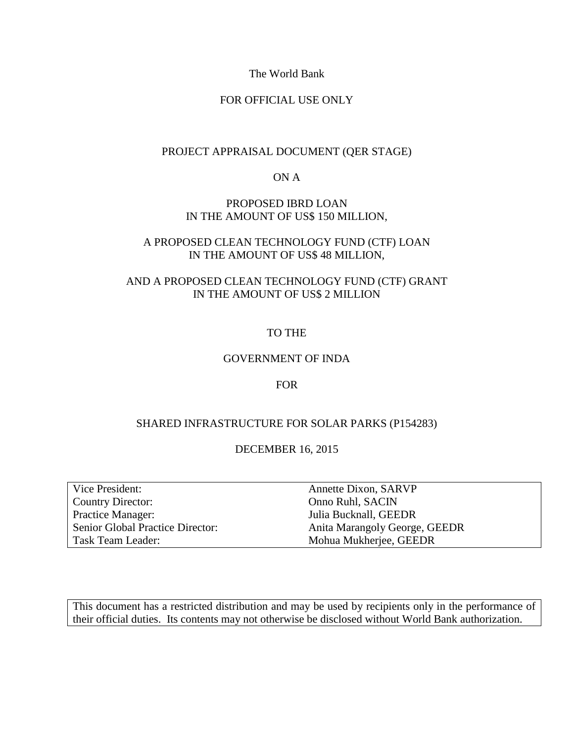The World Bank

### FOR OFFICIAL USE ONLY

### PROJECT APPRAISAL DOCUMENT (QER STAGE)

ON A

### PROPOSED IBRD LOAN IN THE AMOUNT OF US\$ 150 MILLION,

### A PROPOSED CLEAN TECHNOLOGY FUND (CTF) LOAN IN THE AMOUNT OF US\$ 48 MILLION,

### AND A PROPOSED CLEAN TECHNOLOGY FUND (CTF) GRANT IN THE AMOUNT OF US\$ 2 MILLION

### TO THE

### GOVERNMENT OF INDA

### FOR

### SHARED INFRASTRUCTURE FOR SOLAR PARKS (P154283)

### DECEMBER 16, 2015

| Vice President:                         |
|-----------------------------------------|
| <b>Country Director:</b>                |
| Practice Manager:                       |
| <b>Senior Global Practice Director:</b> |
| Task Team Leader:                       |

Annette Dixon, SARVP Onno Ruhl, SACIN Julia Bucknall, GEEDR Anita Marangoly George, GEEDR Mohua Mukherjee, GEEDR

This document has a restricted distribution and may be used by recipients only in the performance of their official duties. Its contents may not otherwise be disclosed without World Bank authorization.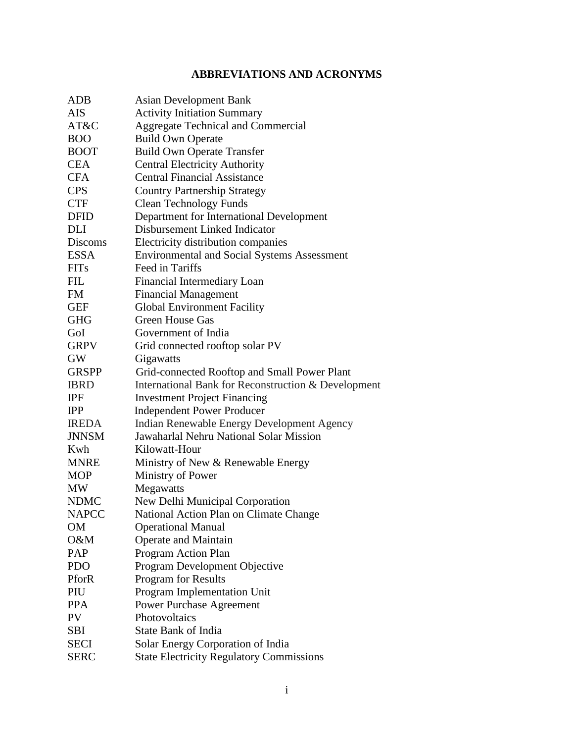# **ABBREVIATIONS AND ACRONYMS**

| ADB            | <b>Asian Development Bank</b>                       |
|----------------|-----------------------------------------------------|
| <b>AIS</b>     | <b>Activity Initiation Summary</b>                  |
| AT&C           | Aggregate Technical and Commercial                  |
| <b>BOO</b>     | <b>Build Own Operate</b>                            |
| <b>BOOT</b>    | <b>Build Own Operate Transfer</b>                   |
| <b>CEA</b>     | <b>Central Electricity Authority</b>                |
| <b>CFA</b>     | <b>Central Financial Assistance</b>                 |
| <b>CPS</b>     | <b>Country Partnership Strategy</b>                 |
| <b>CTF</b>     | <b>Clean Technology Funds</b>                       |
| <b>DFID</b>    | Department for International Development            |
| DLI            | Disbursement Linked Indicator                       |
| <b>Discoms</b> | Electricity distribution companies                  |
| <b>ESSA</b>    | <b>Environmental and Social Systems Assessment</b>  |
| <b>FITs</b>    | Feed in Tariffs                                     |
| <b>FIL</b>     | Financial Intermediary Loan                         |
| <b>FM</b>      | <b>Financial Management</b>                         |
| <b>GEF</b>     | <b>Global Environment Facility</b>                  |
| <b>GHG</b>     | <b>Green House Gas</b>                              |
| GoI            | Government of India                                 |
| <b>GRPV</b>    | Grid connected rooftop solar PV                     |
| <b>GW</b>      | Gigawatts                                           |
| <b>GRSPP</b>   | Grid-connected Rooftop and Small Power Plant        |
| <b>IBRD</b>    | International Bank for Reconstruction & Development |
| <b>IPF</b>     | <b>Investment Project Financing</b>                 |
| <b>IPP</b>     | <b>Independent Power Producer</b>                   |
| <b>IREDA</b>   | Indian Renewable Energy Development Agency          |
| <b>JNNSM</b>   | Jawaharlal Nehru National Solar Mission             |
| Kwh            | Kilowatt-Hour                                       |
| <b>MNRE</b>    | Ministry of New & Renewable Energy                  |
| <b>MOP</b>     | Ministry of Power                                   |
| MW             | Megawatts                                           |
| <b>NDMC</b>    | New Delhi Municipal Corporation                     |
| <b>NAPCC</b>   | National Action Plan on Climate Change              |
| OM             | <b>Operational Manual</b>                           |
| O&M            | Operate and Maintain                                |
| PAP            | Program Action Plan                                 |
| <b>PDO</b>     | Program Development Objective                       |
| PforR          | Program for Results                                 |
| PIU            | Program Implementation Unit                         |
| <b>PPA</b>     | <b>Power Purchase Agreement</b>                     |
| PV             | Photovoltaics                                       |
| <b>SBI</b>     | <b>State Bank of India</b>                          |
| <b>SECI</b>    | Solar Energy Corporation of India                   |
| <b>SERC</b>    | <b>State Electricity Regulatory Commissions</b>     |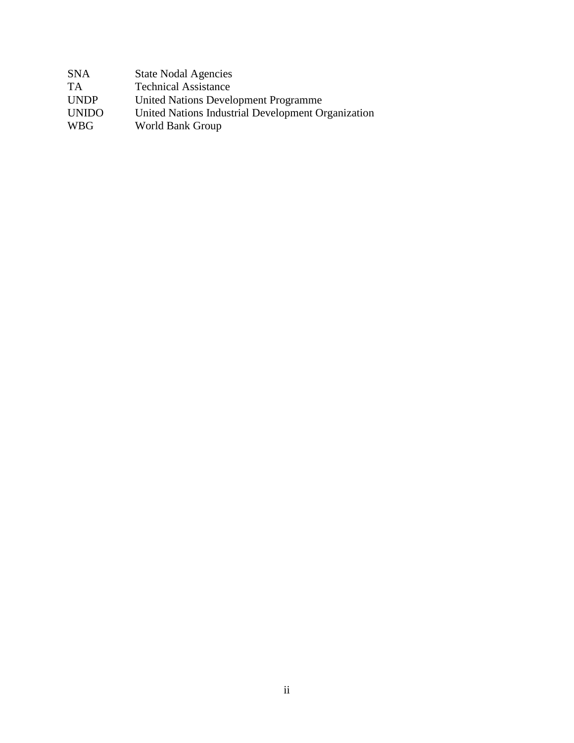| <b>SNA</b>   | <b>State Nodal Agencies</b>                        |
|--------------|----------------------------------------------------|
| <b>TA</b>    | <b>Technical Assistance</b>                        |
| <b>UNDP</b>  | United Nations Development Programme               |
| <b>UNIDO</b> | United Nations Industrial Development Organization |
| <b>WBG</b>   | World Bank Group                                   |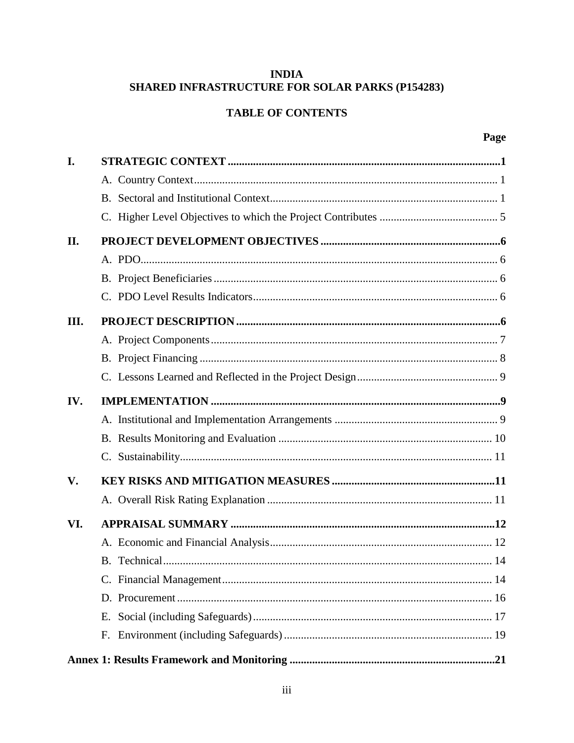# **INDIA SHARED INFRASTRUCTURE FOR SOLAR PARKS (P154283)**

# **TABLE OF CONTENTS**

| I.  |    |
|-----|----|
|     |    |
|     |    |
|     |    |
| II. |    |
|     |    |
|     |    |
|     |    |
| Ш.  |    |
|     |    |
|     |    |
|     |    |
| IV. |    |
|     |    |
|     |    |
|     |    |
| V.  |    |
|     |    |
| VI. |    |
|     |    |
|     |    |
|     |    |
|     |    |
|     | Е. |
|     |    |
|     |    |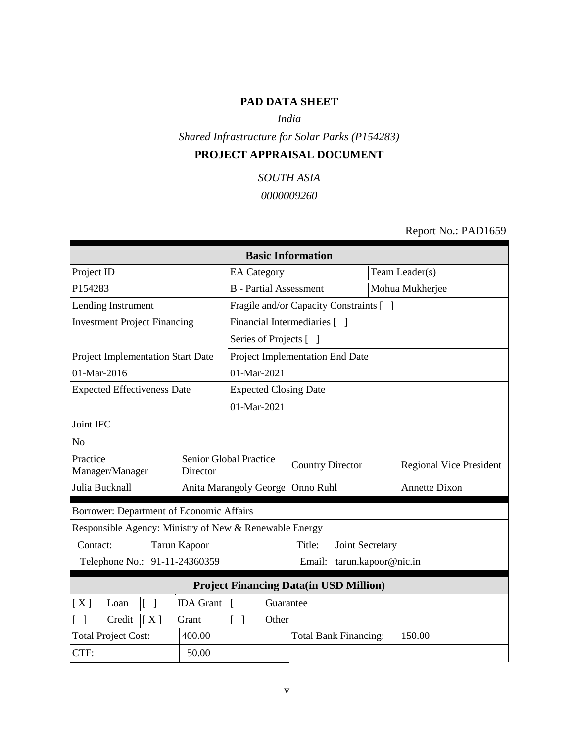# **PAD DATA SHEET**

*India*

*Shared Infrastructure for Solar Parks (P154283)*

# **PROJECT APPRAISAL DOCUMENT**

*SOUTH ASIA 0000009260*

Report No.: PAD1659

| <b>Basic Information</b>                                       |                                                                                     |                                         |                      |  |  |  |  |  |
|----------------------------------------------------------------|-------------------------------------------------------------------------------------|-----------------------------------------|----------------------|--|--|--|--|--|
| Project ID                                                     | <b>EA</b> Category                                                                  |                                         | Team Leader(s)       |  |  |  |  |  |
| P154283                                                        | <b>B</b> - Partial Assessment                                                       |                                         | Mohua Mukherjee      |  |  |  |  |  |
| Lending Instrument                                             |                                                                                     | Fragile and/or Capacity Constraints [ ] |                      |  |  |  |  |  |
| <b>Investment Project Financing</b>                            |                                                                                     | Financial Intermediaries [ ]            |                      |  |  |  |  |  |
|                                                                | Series of Projects [ ]                                                              |                                         |                      |  |  |  |  |  |
| Project Implementation Start Date                              |                                                                                     | Project Implementation End Date         |                      |  |  |  |  |  |
| 01-Mar-2016                                                    | 01-Mar-2021                                                                         |                                         |                      |  |  |  |  |  |
| <b>Expected Effectiveness Date</b>                             | <b>Expected Closing Date</b>                                                        |                                         |                      |  |  |  |  |  |
|                                                                | 01-Mar-2021                                                                         |                                         |                      |  |  |  |  |  |
| Joint IFC                                                      |                                                                                     |                                         |                      |  |  |  |  |  |
| No                                                             |                                                                                     |                                         |                      |  |  |  |  |  |
| Practice<br>Manager/Manager<br>Director                        | Senior Global Practice<br><b>Country Director</b><br><b>Regional Vice President</b> |                                         |                      |  |  |  |  |  |
| Julia Bucknall                                                 | Anita Marangoly George Onno Ruhl                                                    |                                         | <b>Annette Dixon</b> |  |  |  |  |  |
| Borrower: Department of Economic Affairs                       |                                                                                     |                                         |                      |  |  |  |  |  |
| Responsible Agency: Ministry of New & Renewable Energy         |                                                                                     |                                         |                      |  |  |  |  |  |
| Contact:<br><b>Tarun Kapoor</b>                                |                                                                                     | Title:<br>Joint Secretary               |                      |  |  |  |  |  |
| tarun.kapoor@nic.in<br>Telephone No.: 91-11-24360359<br>Email: |                                                                                     |                                         |                      |  |  |  |  |  |
| <b>Project Financing Data(in USD Million)</b>                  |                                                                                     |                                         |                      |  |  |  |  |  |
| $\lceil \cdot \rceil$<br><b>IDA</b> Grant<br>[X]<br>Loan       | Ιſ<br>Guarantee                                                                     |                                         |                      |  |  |  |  |  |
| Credit<br>[X]<br>Grant                                         | $\Gamma$<br>Other<br>$\mathbf{I}$                                                   |                                         |                      |  |  |  |  |  |
| 400.00<br><b>Total Project Cost:</b>                           |                                                                                     | <b>Total Bank Financing:</b>            | 150.00               |  |  |  |  |  |
| CTF:<br>50.00                                                  |                                                                                     |                                         |                      |  |  |  |  |  |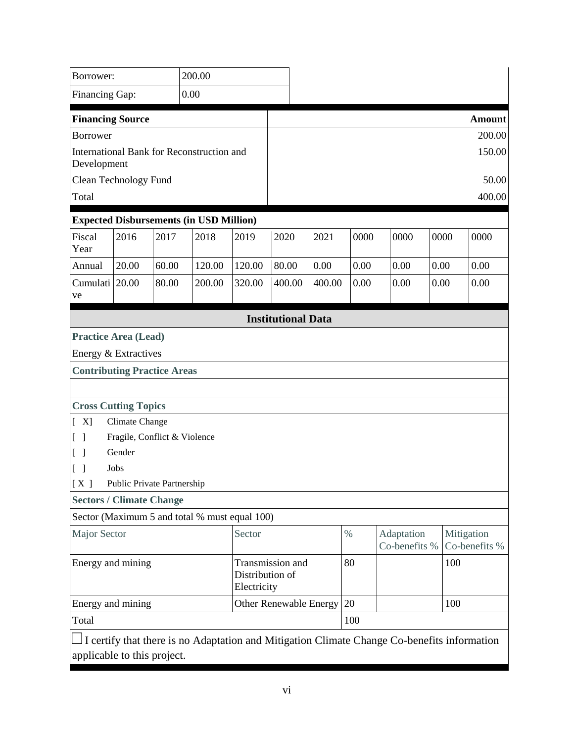| Borrower:                                                               |                              |       | 200.00                                         |        |                               |                             |      |                             |      |               |
|-------------------------------------------------------------------------|------------------------------|-------|------------------------------------------------|--------|-------------------------------|-----------------------------|------|-----------------------------|------|---------------|
| Financing Gap:                                                          |                              |       | 0.00                                           |        |                               |                             |      |                             |      |               |
| <b>Financing Source</b>                                                 |                              |       |                                                |        |                               |                             |      |                             |      | <b>Amount</b> |
| <b>Borrower</b>                                                         |                              |       |                                                |        |                               |                             |      |                             |      | 200.00        |
| Development                                                             |                              |       | International Bank for Reconstruction and      |        |                               |                             |      |                             |      | 150.00        |
| <b>Clean Technology Fund</b>                                            |                              |       |                                                |        |                               |                             |      |                             |      | 50.00         |
| Total                                                                   |                              |       |                                                |        |                               |                             |      |                             |      | 400.00        |
|                                                                         |                              |       | <b>Expected Disbursements (in USD Million)</b> |        |                               |                             |      |                             |      |               |
| Fiscal<br>Year                                                          | 2016                         | 2017  | 2018                                           | 2019   | 2020                          | 2021                        | 0000 | 0000                        | 0000 | 0000          |
| Annual                                                                  | 20.00                        | 60.00 | 120.00                                         | 120.00 | 80.00                         | 0.00                        | 0.00 | 0.00                        | 0.00 | 0.00          |
| Cumulati 20.00<br>ve                                                    |                              | 80.00 | 200.00                                         | 320.00 | 400.00                        | 400.00                      | 0.00 | 0.00                        | 0.00 | 0.00          |
|                                                                         |                              |       |                                                |        | <b>Institutional Data</b>     |                             |      |                             |      |               |
| <b>Practice Area (Lead)</b>                                             |                              |       |                                                |        |                               |                             |      |                             |      |               |
| Energy & Extractives                                                    |                              |       |                                                |        |                               |                             |      |                             |      |               |
| <b>Contributing Practice Areas</b>                                      |                              |       |                                                |        |                               |                             |      |                             |      |               |
|                                                                         |                              |       |                                                |        |                               |                             |      |                             |      |               |
| <b>Cross Cutting Topics</b>                                             |                              |       |                                                |        |                               |                             |      |                             |      |               |
| [X]                                                                     | Climate Change               |       |                                                |        |                               |                             |      |                             |      |               |
| $\begin{bmatrix} \end{bmatrix}$                                         | Fragile, Conflict & Violence |       |                                                |        |                               |                             |      |                             |      |               |
| $\begin{bmatrix} 1 \end{bmatrix}$                                       | Gender                       |       |                                                |        |                               |                             |      |                             |      |               |
| $[\ ]$                                                                  | Jobs                         |       |                                                |        |                               |                             |      |                             |      |               |
| [X]                                                                     | Public Private Partnership   |       |                                                |        |                               |                             |      |                             |      |               |
| <b>Sectors / Climate Change</b>                                         |                              |       |                                                |        |                               |                             |      |                             |      |               |
|                                                                         |                              |       | Sector (Maximum 5 and total % must equal 100)  |        |                               |                             |      |                             |      |               |
| Sector<br><b>Major Sector</b>                                           |                              |       |                                                |        | $\%$                          | Adaptation<br>Co-benefits % |      | Mitigation<br>Co-benefits % |      |               |
| Energy and mining<br>Transmission and<br>Distribution of<br>Electricity |                              |       |                                                |        | 80                            |                             | 100  |                             |      |               |
| Energy and mining                                                       |                              |       |                                                |        | <b>Other Renewable Energy</b> |                             | 20   |                             |      | 100           |
| Total                                                                   |                              |       |                                                |        |                               | 100                         |      |                             |      |               |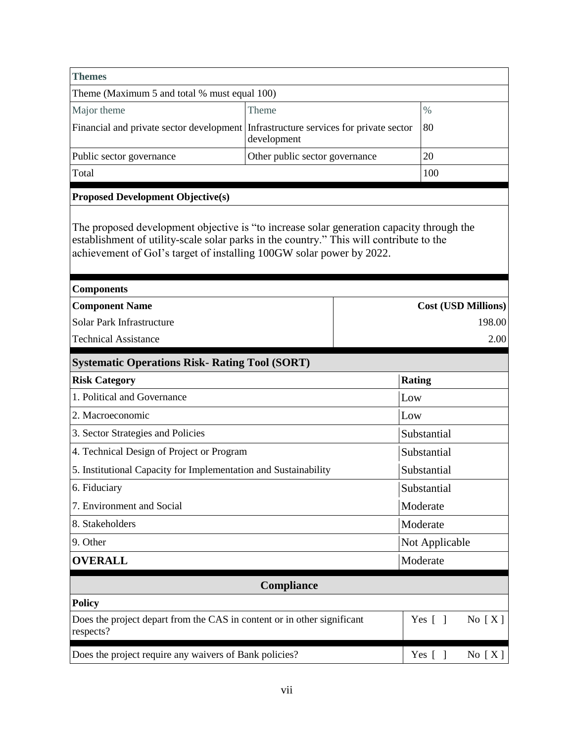| <b>Themes</b>                                                                                                                                                                                                                                               |                                |                            |  |
|-------------------------------------------------------------------------------------------------------------------------------------------------------------------------------------------------------------------------------------------------------------|--------------------------------|----------------------------|--|
| Theme (Maximum 5 and total % must equal 100)                                                                                                                                                                                                                |                                |                            |  |
| Major theme                                                                                                                                                                                                                                                 | Theme                          | $\%$                       |  |
| Financial and private sector development Infrastructure services for private sector                                                                                                                                                                         | development                    | 80                         |  |
| Public sector governance                                                                                                                                                                                                                                    | Other public sector governance | 20                         |  |
| Total                                                                                                                                                                                                                                                       |                                | 100                        |  |
| <b>Proposed Development Objective(s)</b>                                                                                                                                                                                                                    |                                |                            |  |
| The proposed development objective is "to increase solar generation capacity through the<br>establishment of utility-scale solar parks in the country." This will contribute to the<br>achievement of GoI's target of installing 100GW solar power by 2022. |                                |                            |  |
| <b>Components</b>                                                                                                                                                                                                                                           |                                |                            |  |
| <b>Component Name</b>                                                                                                                                                                                                                                       |                                | <b>Cost (USD Millions)</b> |  |
| Solar Park Infrastructure                                                                                                                                                                                                                                   |                                | 198.00                     |  |
| <b>Technical Assistance</b>                                                                                                                                                                                                                                 |                                | 2.00                       |  |
| <b>Systematic Operations Risk- Rating Tool (SORT)</b>                                                                                                                                                                                                       |                                |                            |  |
| <b>Risk Category</b>                                                                                                                                                                                                                                        |                                | <b>Rating</b>              |  |
| 1. Political and Governance                                                                                                                                                                                                                                 |                                | Low                        |  |
| 2. Macroeconomic                                                                                                                                                                                                                                            |                                | Low                        |  |
| 3. Sector Strategies and Policies                                                                                                                                                                                                                           |                                | Substantial                |  |
| 4. Technical Design of Project or Program                                                                                                                                                                                                                   |                                | Substantial                |  |
| 5. Institutional Capacity for Implementation and Sustainability                                                                                                                                                                                             |                                | Substantial                |  |
| 6. Fiduciary                                                                                                                                                                                                                                                |                                | Substantial                |  |
| 7. Environment and Social                                                                                                                                                                                                                                   |                                | Moderate                   |  |
| 8. Stakeholders                                                                                                                                                                                                                                             | Moderate                       |                            |  |
| 9. Other                                                                                                                                                                                                                                                    |                                | Not Applicable             |  |
| <b>OVERALL</b>                                                                                                                                                                                                                                              |                                | Moderate                   |  |
|                                                                                                                                                                                                                                                             | Compliance                     |                            |  |
| <b>Policy</b>                                                                                                                                                                                                                                               |                                |                            |  |
| Does the project depart from the CAS in content or in other significant<br>respects?                                                                                                                                                                        |                                | No $[X]$<br>Yes $[ \ ]$    |  |
| Does the project require any waivers of Bank policies?                                                                                                                                                                                                      |                                | Yes [ ]<br>No $[X]$        |  |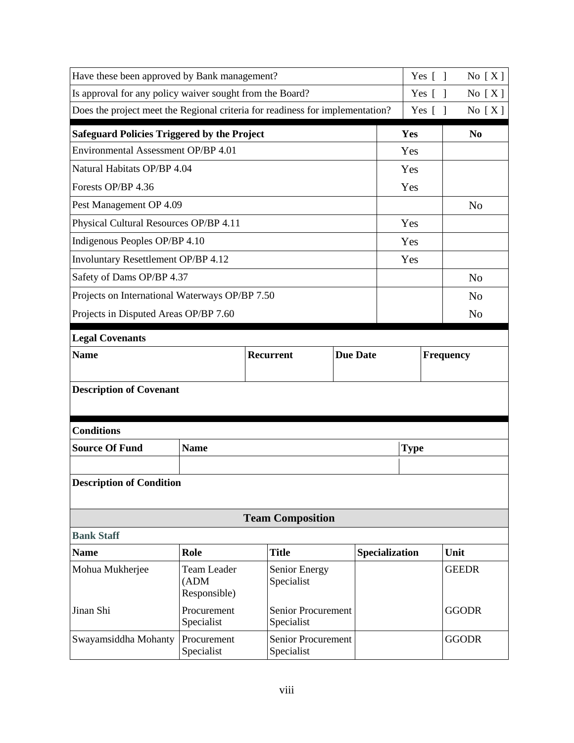| Have these been approved by Bank management?                                  |                                             | Yes $\lceil \; \rceil$                  | No $[X]$  |                |             |                |
|-------------------------------------------------------------------------------|---------------------------------------------|-----------------------------------------|-----------|----------------|-------------|----------------|
| Is approval for any policy waiver sought from the Board?                      |                                             | Yes $\lceil \; \rceil$                  | No $[X]$  |                |             |                |
| Does the project meet the Regional criteria for readiness for implementation? |                                             |                                         |           |                | Yes $[$ $]$ | No $[X]$       |
| <b>Safeguard Policies Triggered by the Project</b>                            |                                             |                                         |           | Yes            |             | N <sub>0</sub> |
| Environmental Assessment OP/BP 4.01                                           |                                             |                                         |           | Yes            |             |                |
| Natural Habitats OP/BP 4.04                                                   |                                             |                                         |           | Yes            |             |                |
| Forests OP/BP 4.36                                                            |                                             |                                         |           | Yes            |             |                |
| Pest Management OP 4.09                                                       |                                             |                                         |           |                |             | N <sub>0</sub> |
| Physical Cultural Resources OP/BP 4.11                                        |                                             |                                         |           | Yes            |             |                |
| Indigenous Peoples OP/BP 4.10                                                 |                                             |                                         |           | Yes            |             |                |
| Involuntary Resettlement OP/BP 4.12                                           |                                             |                                         |           | Yes            |             |                |
| Safety of Dams OP/BP 4.37                                                     |                                             |                                         |           |                |             | N <sub>o</sub> |
| Projects on International Waterways OP/BP 7.50                                |                                             |                                         |           |                |             | N <sub>o</sub> |
| Projects in Disputed Areas OP/BP 7.60                                         |                                             |                                         |           |                |             | N <sub>o</sub> |
| <b>Legal Covenants</b>                                                        |                                             |                                         |           |                |             |                |
| <b>Name</b>                                                                   | <b>Due Date</b>                             |                                         | Frequency |                |             |                |
|                                                                               |                                             |                                         |           |                |             |                |
| <b>Description of Covenant</b>                                                |                                             |                                         |           |                |             |                |
|                                                                               |                                             |                                         |           |                |             |                |
| <b>Conditions</b>                                                             |                                             |                                         |           |                |             |                |
| <b>Source Of Fund</b>                                                         | <b>Name</b>                                 |                                         |           | <b>Type</b>    |             |                |
|                                                                               |                                             |                                         |           |                |             |                |
| <b>Description of Condition</b>                                               |                                             |                                         |           |                |             |                |
|                                                                               |                                             |                                         |           |                |             |                |
|                                                                               |                                             | <b>Team Composition</b>                 |           |                |             |                |
| <b>Bank Staff</b>                                                             |                                             |                                         |           |                |             |                |
| <b>Name</b>                                                                   | Role                                        | <b>Title</b>                            |           | Specialization |             | Unit           |
| Mohua Mukherjee                                                               | <b>Team Leader</b><br>(ADM)<br>Responsible) | Senior Energy<br>Specialist             |           |                |             | <b>GEEDR</b>   |
| Jinan Shi                                                                     | Procurement<br>Specialist                   | <b>Senior Procurement</b><br>Specialist |           |                |             | <b>GGODR</b>   |
| Swayamsiddha Mohanty                                                          | Procurement<br>Specialist                   | <b>Senior Procurement</b><br>Specialist |           |                |             | <b>GGODR</b>   |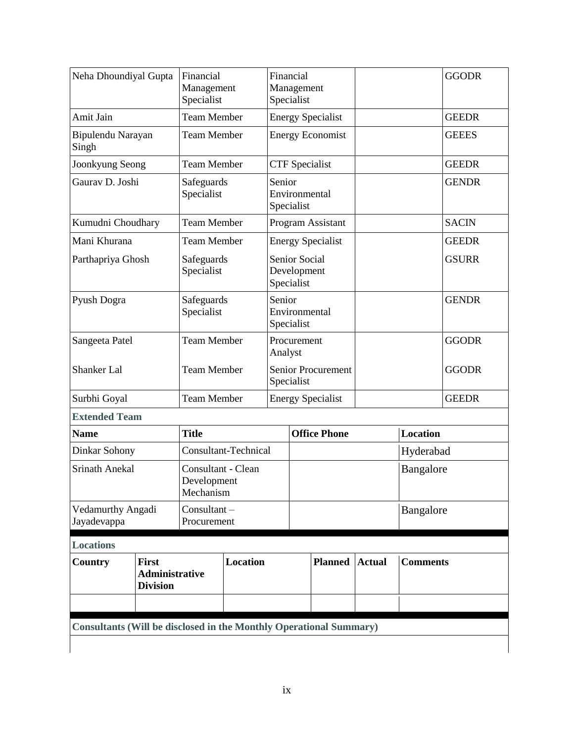| Country                                                                 | <b>First</b><br><b>Administrative</b><br><b>Division</b> |                                       | Location                    |                                            | <b>Planned</b>           | <b>Actual</b> | <b>Comments</b> |              |
|-------------------------------------------------------------------------|----------------------------------------------------------|---------------------------------------|-----------------------------|--------------------------------------------|--------------------------|---------------|-----------------|--------------|
| <b>Locations</b>                                                        |                                                          |                                       |                             |                                            |                          |               |                 |              |
| Vedamurthy Angadi<br>Consultant-<br>Jayadevappa<br>Procurement          |                                                          |                                       |                             |                                            | Bangalore                |               |                 |              |
| <b>Srinath Anekal</b><br>Consultant - Clean<br>Development<br>Mechanism |                                                          |                                       |                             |                                            | Bangalore                |               |                 |              |
| Dinkar Sohony                                                           |                                                          |                                       | <b>Consultant-Technical</b> |                                            |                          |               | Hyderabad       |              |
| <b>Name</b>                                                             |                                                          | <b>Title</b>                          |                             |                                            | <b>Office Phone</b>      |               | <b>Location</b> |              |
| <b>Extended Team</b>                                                    |                                                          |                                       |                             |                                            |                          |               |                 |              |
| Surbhi Goyal                                                            |                                                          | <b>Team Member</b>                    |                             | Specialist                                 | <b>Energy Specialist</b> |               |                 | <b>GEEDR</b> |
| <b>Shanker Lal</b>                                                      |                                                          | <b>Team Member</b>                    | <b>Senior Procurement</b>   |                                            |                          |               |                 | <b>GGODR</b> |
| Sangeeta Patel                                                          |                                                          | <b>Team Member</b>                    |                             | Procurement<br>Analyst                     |                          |               |                 | <b>GGODR</b> |
| Pyush Dogra                                                             |                                                          | Safeguards<br>Specialist              |                             | Senior<br>Environmental<br>Specialist      |                          |               |                 | <b>GENDR</b> |
| Parthapriya Ghosh                                                       |                                                          | Safeguards<br>Specialist              |                             | Senior Social<br>Development<br>Specialist |                          |               |                 | <b>GSURR</b> |
| Mani Khurana                                                            |                                                          | <b>Team Member</b>                    |                             |                                            | <b>Energy Specialist</b> |               |                 | <b>GEEDR</b> |
| Kumudni Choudhary                                                       |                                                          | <b>Team Member</b>                    |                             |                                            | <b>Program Assistant</b> |               |                 | <b>SACIN</b> |
| Gaurav D. Joshi                                                         |                                                          | Safeguards<br>Specialist              |                             | Senior<br>Environmental<br>Specialist      |                          |               |                 | <b>GENDR</b> |
| Joonkyung Seong                                                         |                                                          | <b>Team Member</b>                    |                             | <b>CTF</b> Specialist                      |                          |               |                 | <b>GEEDR</b> |
| Bipulendu Narayan<br>Singh                                              |                                                          | <b>Team Member</b>                    |                             |                                            | <b>Energy Economist</b>  |               |                 | <b>GEEES</b> |
| Amit Jain                                                               |                                                          | <b>Team Member</b>                    |                             |                                            | <b>Energy Specialist</b> |               |                 | <b>GEEDR</b> |
| Neha Dhoundiyal Gupta                                                   |                                                          | Financial<br>Management<br>Specialist |                             | Financial<br>Management<br>Specialist      |                          |               |                 | <b>GGODR</b> |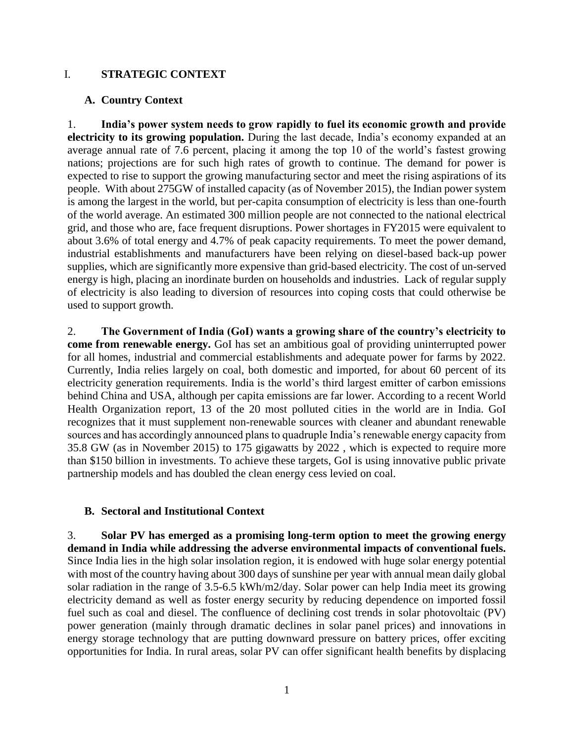### <span id="page-10-0"></span>I. **STRATEGIC CONTEXT**

### <span id="page-10-1"></span>**A. Country Context**

1. **India's power system needs to grow rapidly to fuel its economic growth and provide electricity to its growing population.** During the last decade, India's economy expanded at an average annual rate of 7.6 percent, placing it among the top 10 of the world's fastest growing nations; projections are for such high rates of growth to continue. The demand for power is expected to rise to support the growing manufacturing sector and meet the rising aspirations of its people. With about 275GW of installed capacity (as of November 2015), the Indian power system is among the largest in the world, but per-capita consumption of electricity is less than one-fourth of the world average. An estimated 300 million people are not connected to the national electrical grid, and those who are, face frequent disruptions. Power shortages in FY2015 were equivalent to about 3.6% of total energy and 4.7% of peak capacity requirements. To meet the power demand, industrial establishments and manufacturers have been relying on diesel-based back-up power supplies, which are significantly more expensive than grid-based electricity. The cost of un-served energy is high, placing an inordinate burden on households and industries. Lack of regular supply of electricity is also leading to diversion of resources into coping costs that could otherwise be used to support growth.

2. **The Government of India (GoI) wants a growing share of the country's electricity to come from renewable energy.** GoI has set an ambitious goal of providing uninterrupted power for all homes, industrial and commercial establishments and adequate power for farms by 2022. Currently, India relies largely on coal, both domestic and imported, for about 60 percent of its electricity generation requirements. India is the world's third largest emitter of carbon emissions behind China and USA, although per capita emissions are far lower. According to a recent World Health Organization report, 13 of the 20 most polluted cities in the world are in India. GoI recognizes that it must supplement non-renewable sources with cleaner and abundant renewable sources and has accordingly announced plans to quadruple India's renewable energy capacity from 35.8 GW (as in November 2015) to 175 gigawatts by 2022 , which is expected to require more than \$150 billion in investments. To achieve these targets, GoI is using innovative public private partnership models and has doubled the clean energy cess levied on coal.

### <span id="page-10-2"></span>**B. Sectoral and Institutional Context**

3. **Solar PV has emerged as a promising long-term option to meet the growing energy demand in India while addressing the adverse environmental impacts of conventional fuels.** Since India lies in the high solar insolation region, it is endowed with huge solar energy potential with most of the country having about 300 days of sunshine per year with annual mean daily global solar radiation in the range of 3.5-6.5 kWh/m2/day. Solar power can help India meet its growing electricity demand as well as foster energy security by reducing dependence on imported fossil fuel such as coal and diesel. The confluence of declining cost trends in solar photovoltaic (PV) power generation (mainly through dramatic declines in solar panel prices) and innovations in energy storage technology that are putting downward pressure on battery prices, offer exciting opportunities for India. In rural areas, solar PV can offer significant health benefits by displacing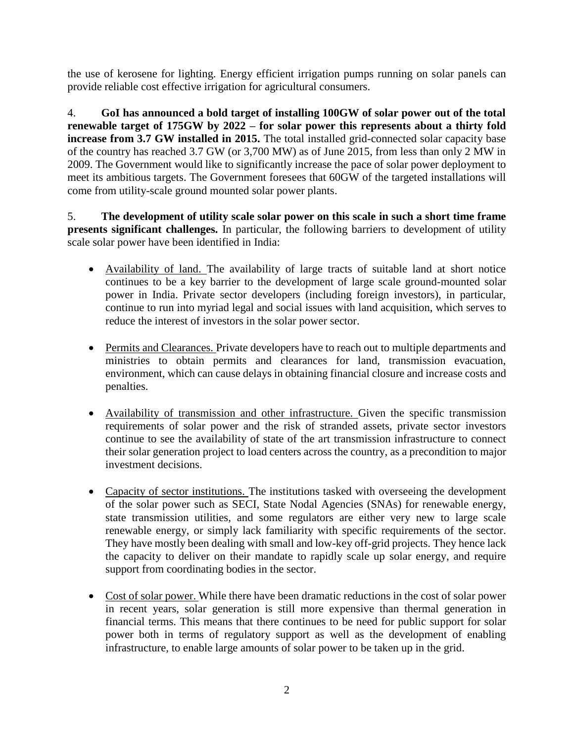the use of kerosene for lighting. Energy efficient irrigation pumps running on solar panels can provide reliable cost effective irrigation for agricultural consumers.

4. **GoI has announced a bold target of installing 100GW of solar power out of the total renewable target of 175GW by 2022 – for solar power this represents about a thirty fold increase from 3.7 GW installed in 2015.** The total installed grid-connected solar capacity base of the country has reached 3.7 GW (or 3,700 MW) as of June 2015, from less than only 2 MW in 2009. The Government would like to significantly increase the pace of solar power deployment to meet its ambitious targets. The Government foresees that 60GW of the targeted installations will come from utility-scale ground mounted solar power plants.

5. **The development of utility scale solar power on this scale in such a short time frame presents significant challenges.** In particular, the following barriers to development of utility scale solar power have been identified in India:

- Availability of land. The availability of large tracts of suitable land at short notice continues to be a key barrier to the development of large scale ground-mounted solar power in India. Private sector developers (including foreign investors), in particular, continue to run into myriad legal and social issues with land acquisition, which serves to reduce the interest of investors in the solar power sector.
- Permits and Clearances. Private developers have to reach out to multiple departments and ministries to obtain permits and clearances for land, transmission evacuation, environment, which can cause delays in obtaining financial closure and increase costs and penalties.
- Availability of transmission and other infrastructure. Given the specific transmission requirements of solar power and the risk of stranded assets, private sector investors continue to see the availability of state of the art transmission infrastructure to connect their solar generation project to load centers across the country, as a precondition to major investment decisions.
- Capacity of sector institutions. The institutions tasked with overseeing the development of the solar power such as SECI, State Nodal Agencies (SNAs) for renewable energy, state transmission utilities, and some regulators are either very new to large scale renewable energy, or simply lack familiarity with specific requirements of the sector. They have mostly been dealing with small and low-key off-grid projects. They hence lack the capacity to deliver on their mandate to rapidly scale up solar energy, and require support from coordinating bodies in the sector.
- Cost of solar power. While there have been dramatic reductions in the cost of solar power in recent years, solar generation is still more expensive than thermal generation in financial terms. This means that there continues to be need for public support for solar power both in terms of regulatory support as well as the development of enabling infrastructure, to enable large amounts of solar power to be taken up in the grid.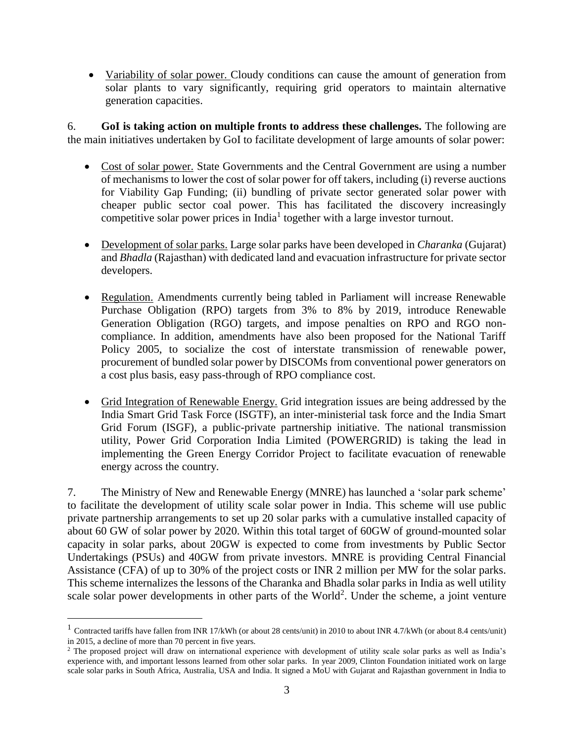Variability of solar power. Cloudy conditions can cause the amount of generation from solar plants to vary significantly, requiring grid operators to maintain alternative generation capacities.

6. **GoI is taking action on multiple fronts to address these challenges.** The following are the main initiatives undertaken by GoI to facilitate development of large amounts of solar power:

- Cost of solar power. State Governments and the Central Government are using a number of mechanisms to lower the cost of solar power for off takers, including (i) reverse auctions for Viability Gap Funding; (ii) bundling of private sector generated solar power with cheaper public sector coal power. This has facilitated the discovery increasingly competitive solar power prices in India<sup>1</sup> together with a large investor turnout.
- Development of solar parks. Large solar parks have been developed in *Charanka* (Gujarat) and *Bhadla* (Rajasthan) with dedicated land and evacuation infrastructure for private sector developers.
- Regulation. Amendments currently being tabled in Parliament will increase Renewable Purchase Obligation (RPO) targets from 3% to 8% by 2019, introduce Renewable Generation Obligation (RGO) targets, and impose penalties on RPO and RGO noncompliance. In addition, amendments have also been proposed for the National Tariff Policy 2005, to socialize the cost of interstate transmission of renewable power, procurement of bundled solar power by DISCOMs from conventional power generators on a cost plus basis, easy pass-through of RPO compliance cost.
- Grid Integration of Renewable Energy. Grid integration issues are being addressed by the India Smart Grid Task Force (ISGTF), an inter-ministerial task force and the India Smart Grid Forum (ISGF), a public-private partnership initiative. The national transmission utility, Power Grid Corporation India Limited (POWERGRID) is taking the lead in implementing the Green Energy Corridor Project to facilitate evacuation of renewable energy across the country.

7. The Ministry of New and Renewable Energy (MNRE) has launched a 'solar park scheme' to facilitate the development of utility scale solar power in India. This scheme will use public private partnership arrangements to set up 20 solar parks with a cumulative installed capacity of about 60 GW of solar power by 2020. Within this total target of 60GW of ground-mounted solar capacity in solar parks, about 20GW is expected to come from investments by Public Sector Undertakings (PSUs) and 40GW from private investors. MNRE is providing Central Financial Assistance (CFA) of up to 30% of the project costs or INR 2 million per MW for the solar parks. This scheme internalizes the lessons of the Charanka and Bhadla solar parks in India as well utility scale solar power developments in other parts of the World<sup>2</sup>. Under the scheme, a joint venture

<sup>&</sup>lt;sup>1</sup> Contracted tariffs have fallen from INR 17/kWh (or about 28 cents/unit) in 2010 to about INR 4.7/kWh (or about 8.4 cents/unit) in 2015, a decline of more than 70 percent in five years.

<sup>&</sup>lt;sup>2</sup> The proposed project will draw on international experience with development of utility scale solar parks as well as India's experience with, and important lessons learned from other solar parks. In year 2009, Clinton Foundation initiated work on large scale solar parks in South Africa, Australia, USA and India. It signed a MoU with Gujarat and Rajasthan government in India to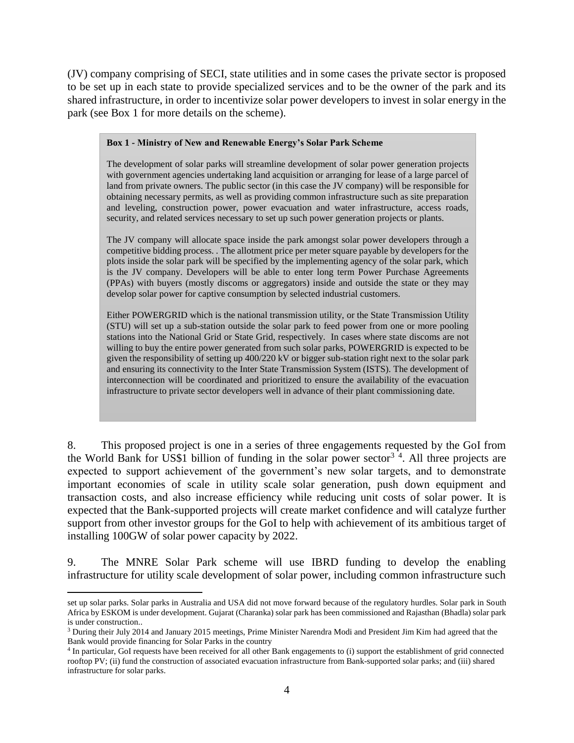(JV) company comprising of SECI, state utilities and in some cases the private sector is proposed to be set up in each state to provide specialized services and to be the owner of the park and its shared infrastructure, in order to incentivize solar power developers to invest in solar energy in the park (see Box 1 for more details on the scheme).

#### **Box 1 - Ministry of New and Renewable Energy's Solar Park Scheme**

The development of solar parks will streamline development of solar power generation projects with government agencies undertaking land acquisition or arranging for lease of a large parcel of land from private owners. The public sector (in this case the JV company) will be responsible for obtaining necessary permits, as well as providing common infrastructure such as site preparation and leveling, construction power, power evacuation and water infrastructure, access roads, security, and related services necessary to set up such power generation projects or plants.

The JV company will allocate space inside the park amongst solar power developers through a competitive bidding process. . The allotment price per meter square payable by developers for the plots inside the solar park will be specified by the implementing agency of the solar park, which is the JV company. Developers will be able to enter long term Power Purchase Agreements (PPAs) with buyers (mostly discoms or aggregators) inside and outside the state or they may develop solar power for captive consumption by selected industrial customers.

Either POWERGRID which is the national transmission utility, or the State Transmission Utility (STU) will set up a sub-station outside the solar park to feed power from one or more pooling stations into the National Grid or State Grid, respectively. In cases where state discoms are not willing to buy the entire power generated from such solar parks, POWERGRID is expected to be given the responsibility of setting up 400/220 kV or bigger sub-station right next to the solar park and ensuring its connectivity to the Inter State Transmission System (ISTS). The development of interconnection will be coordinated and prioritized to ensure the availability of the evacuation infrastructure to private sector developers well in advance of their plant commissioning date.

8. This proposed project is one in a series of three engagements requested by the GoI from the World Bank for US\$1 billion of funding in the solar power sector<sup>34</sup>. All three projects are expected to support achievement of the government's new solar targets, and to demonstrate important economies of scale in utility scale solar generation, push down equipment and transaction costs, and also increase efficiency while reducing unit costs of solar power. It is expected that the Bank-supported projects will create market confidence and will catalyze further support from other investor groups for the GoI to help with achievement of its ambitious target of installing 100GW of solar power capacity by 2022.

9. The MNRE Solar Park scheme will use IBRD funding to develop the enabling infrastructure for utility scale development of solar power, including common infrastructure such

set up solar parks. Solar parks in Australia and USA did not move forward because of the regulatory hurdles. Solar park in South Africa by ESKOM is under development. Gujarat (Charanka) solar park has been commissioned and Rajasthan (Bhadla) solar park is under construction..

<sup>3</sup> During their July 2014 and January 2015 meetings, Prime Minister Narendra Modi and President Jim Kim had agreed that the Bank would provide financing for Solar Parks in the country

<sup>4</sup> In particular, GoI requests have been received for all other Bank engagements to (i) support the establishment of grid connected rooftop PV; (ii) fund the construction of associated evacuation infrastructure from Bank-supported solar parks; and (iii) shared infrastructure for solar parks.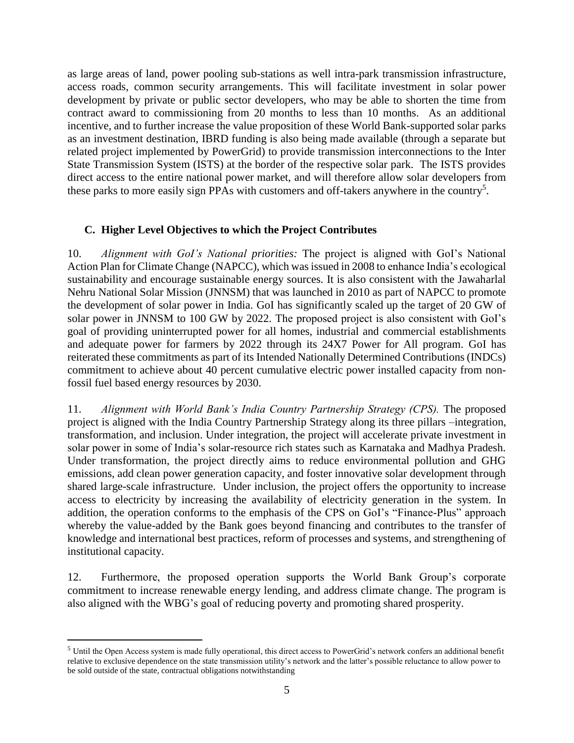as large areas of land, power pooling sub-stations as well intra-park transmission infrastructure, access roads, common security arrangements. This will facilitate investment in solar power development by private or public sector developers, who may be able to shorten the time from contract award to commissioning from 20 months to less than 10 months. As an additional incentive, and to further increase the value proposition of these World Bank-supported solar parks as an investment destination, IBRD funding is also being made available (through a separate but related project implemented by PowerGrid) to provide transmission interconnections to the Inter State Transmission System (ISTS) at the border of the respective solar park. The ISTS provides direct access to the entire national power market, and will therefore allow solar developers from these parks to more easily sign PPAs with customers and off-takers anywhere in the country<sup>5</sup>.

### <span id="page-14-0"></span>**C. Higher Level Objectives to which the Project Contributes**

10. *Alignment with GoI's National priorities:* The project is aligned with GoI's National Action Plan for Climate Change (NAPCC), which was issued in 2008 to enhance India's ecological sustainability and encourage sustainable energy sources. It is also consistent with the Jawaharlal Nehru National Solar Mission (JNNSM) that was launched in 2010 as part of NAPCC to promote the development of solar power in India. GoI has significantly scaled up the target of 20 GW of solar power in JNNSM to 100 GW by 2022. The proposed project is also consistent with GoI's goal of providing uninterrupted power for all homes, industrial and commercial establishments and adequate power for farmers by 2022 through its 24X7 Power for All program. GoI has reiterated these commitments as part of its Intended Nationally Determined Contributions (INDCs) commitment to achieve about 40 percent cumulative electric power installed capacity from nonfossil fuel based energy resources by 2030.

11. *Alignment with World Bank's India Country Partnership Strategy (CPS).* The proposed project is aligned with the India Country Partnership Strategy along its three pillars –integration, transformation, and inclusion. Under integration, the project will accelerate private investment in solar power in some of India's solar-resource rich states such as Karnataka and Madhya Pradesh. Under transformation, the project directly aims to reduce environmental pollution and GHG emissions, add clean power generation capacity, and foster innovative solar development through shared large-scale infrastructure. Under inclusion, the project offers the opportunity to increase access to electricity by increasing the availability of electricity generation in the system. In addition, the operation conforms to the emphasis of the CPS on GoI's "Finance-Plus" approach whereby the value-added by the Bank goes beyond financing and contributes to the transfer of knowledge and international best practices, reform of processes and systems, and strengthening of institutional capacity.

12. Furthermore, the proposed operation supports the World Bank Group's corporate commitment to increase renewable energy lending, and address climate change. The program is also aligned with the WBG's goal of reducing poverty and promoting shared prosperity.

<sup>5</sup> Until the Open Access system is made fully operational, this direct access to PowerGrid's network confers an additional benefit relative to exclusive dependence on the state transmission utility's network and the latter's possible reluctance to allow power to be sold outside of the state, contractual obligations notwithstanding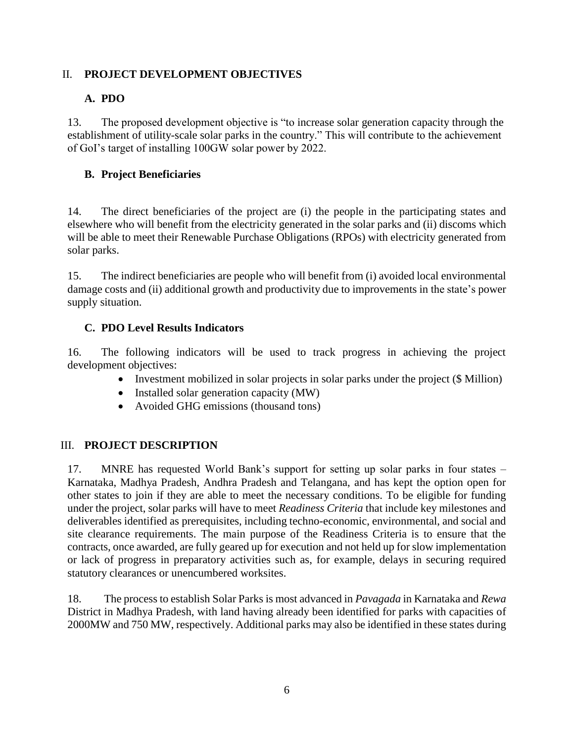# <span id="page-15-0"></span>II. **PROJECT DEVELOPMENT OBJECTIVES**

# <span id="page-15-1"></span>**A. PDO**

13. The proposed development objective is "to increase solar generation capacity through the establishment of utility-scale solar parks in the country." This will contribute to the achievement of GoI's target of installing 100GW solar power by 2022.

# <span id="page-15-2"></span>**B. Project Beneficiaries**

14. The direct beneficiaries of the project are (i) the people in the participating states and elsewhere who will benefit from the electricity generated in the solar parks and (ii) discoms which will be able to meet their Renewable Purchase Obligations (RPOs) with electricity generated from solar parks.

15. The indirect beneficiaries are people who will benefit from (i) avoided local environmental damage costs and (ii) additional growth and productivity due to improvements in the state's power supply situation.

# <span id="page-15-3"></span>**C. PDO Level Results Indicators**

16. The following indicators will be used to track progress in achieving the project development objectives:

- Investment mobilized in solar projects in solar parks under the project (\$ Million)
- $\bullet$  Installed solar generation capacity (MW)
- Avoided GHG emissions (thousand tons)

### <span id="page-15-4"></span>III. **PROJECT DESCRIPTION**

17. MNRE has requested World Bank's support for setting up solar parks in four states – Karnataka, Madhya Pradesh, Andhra Pradesh and Telangana, and has kept the option open for other states to join if they are able to meet the necessary conditions. To be eligible for funding under the project, solar parks will have to meet *Readiness Criteria* that include key milestones and deliverables identified as prerequisites, including techno-economic, environmental, and social and site clearance requirements. The main purpose of the Readiness Criteria is to ensure that the contracts, once awarded, are fully geared up for execution and not held up for slow implementation or lack of progress in preparatory activities such as, for example, delays in securing required statutory clearances or unencumbered worksites.

18. The process to establish Solar Parks is most advanced in *Pavagada* in Karnataka and *Rewa* District in Madhya Pradesh, with land having already been identified for parks with capacities of 2000MW and 750 MW, respectively. Additional parks may also be identified in these states during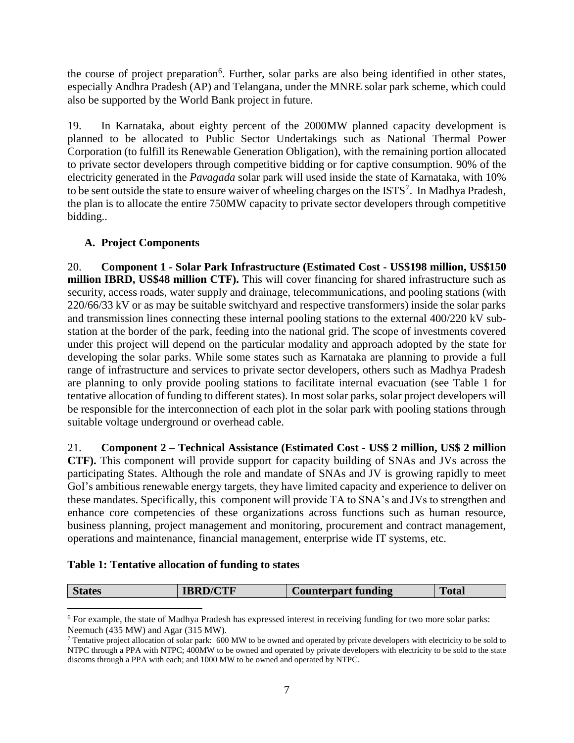the course of project preparation<sup>6</sup>. Further, solar parks are also being identified in other states, especially Andhra Pradesh (AP) and Telangana, under the MNRE solar park scheme, which could also be supported by the World Bank project in future.

19. In Karnataka, about eighty percent of the 2000MW planned capacity development is planned to be allocated to Public Sector Undertakings such as National Thermal Power Corporation (to fulfill its Renewable Generation Obligation), with the remaining portion allocated to private sector developers through competitive bidding or for captive consumption. 90% of the electricity generated in the *Pavagada* solar park will used inside the state of Karnataka, with 10% to be sent outside the state to ensure waiver of wheeling charges on the  $ISTS<sup>7</sup>$ . In Madhya Pradesh, the plan is to allocate the entire 750MW capacity to private sector developers through competitive bidding..

# <span id="page-16-0"></span>**A. Project Components**

20. **Component 1 - Solar Park Infrastructure (Estimated Cost - US\$198 million, US\$150 million IBRD, US\$48 million CTF).** This will cover financing for shared infrastructure such as security, access roads, water supply and drainage, telecommunications, and pooling stations (with 220/66/33 kV or as may be suitable switchyard and respective transformers) inside the solar parks and transmission lines connecting these internal pooling stations to the external 400/220 kV substation at the border of the park, feeding into the national grid. The scope of investments covered under this project will depend on the particular modality and approach adopted by the state for developing the solar parks. While some states such as Karnataka are planning to provide a full range of infrastructure and services to private sector developers, others such as Madhya Pradesh are planning to only provide pooling stations to facilitate internal evacuation (see Table 1 for tentative allocation of funding to different states). In most solar parks, solar project developers will be responsible for the interconnection of each plot in the solar park with pooling stations through suitable voltage underground or overhead cable.

21. **Component 2 – Technical Assistance (Estimated Cost - US\$ 2 million, US\$ 2 million CTF).** This component will provide support for capacity building of SNAs and JVs across the participating States. Although the role and mandate of SNAs and JV is growing rapidly to meet GoI's ambitious renewable energy targets, they have limited capacity and experience to deliver on these mandates. Specifically, this component will provide TA to SNA's and JVs to strengthen and enhance core competencies of these organizations across functions such as human resource, business planning, project management and monitoring, procurement and contract management, operations and maintenance, financial management, enterprise wide IT systems, etc.

### **Table 1: Tentative allocation of funding to states**

|  | states | 'CTF | $\sim$ $\sim$<br>terpart funding | $-0.40$<br>1 оси |
|--|--------|------|----------------------------------|------------------|
|--|--------|------|----------------------------------|------------------|

<sup>&</sup>lt;sup>6</sup> For example, the state of Madhya Pradesh has expressed interest in receiving funding for two more solar parks: Neemuch (435 MW) and Agar (315 MW).

<sup>&</sup>lt;sup>7</sup> Tentative project allocation of solar park: 600 MW to be owned and operated by private developers with electricity to be sold to NTPC through a PPA with NTPC; 400MW to be owned and operated by private developers with electricity to be sold to the state discoms through a PPA with each; and 1000 MW to be owned and operated by NTPC.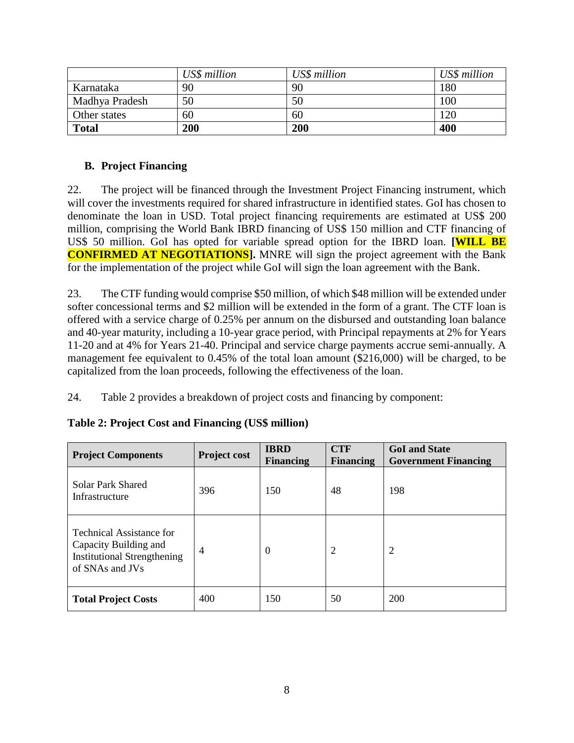|                | US\$ million | US\$ million | US\$ million |
|----------------|--------------|--------------|--------------|
| Karnataka      | 90           | 90           | 180          |
| Madhya Pradesh | 50           | 50           | 100          |
| Other states   | 60           | 60           | 120          |
| <b>Total</b>   | 200          | 200          | 400          |

## <span id="page-17-0"></span>**B. Project Financing**

22. The project will be financed through the Investment Project Financing instrument, which will cover the investments required for shared infrastructure in identified states. GoI has chosen to denominate the loan in USD. Total project financing requirements are estimated at US\$ 200 million, comprising the World Bank IBRD financing of US\$ 150 million and CTF financing of US\$ 50 million. GoI has opted for variable spread option for the IBRD loan. **[WILL BE CONFIRMED AT NEGOTIATIONS**]. MNRE will sign the project agreement with the Bank for the implementation of the project while GoI will sign the loan agreement with the Bank.

23. The CTF funding would comprise \$50 million, of which \$48 million will be extended under softer concessional terms and \$2 million will be extended in the form of a grant. The CTF loan is offered with a service charge of 0.25% per annum on the disbursed and outstanding loan balance and 40-year maturity, including a 10-year grace period, with Principal repayments at 2% for Years 11-20 and at 4% for Years 21-40. Principal and service charge payments accrue semi-annually. A management fee equivalent to 0.45% of the total loan amount (\$216,000) will be charged, to be capitalized from the loan proceeds, following the effectiveness of the loan.

24. Table 2 provides a breakdown of project costs and financing by component:

| <b>Project Components</b>                                                                                  | <b>Project cost</b> | <b>IBRD</b><br><b>Financing</b> | <b>CTF</b><br><b>Financing</b> | <b>GoI</b> and State<br><b>Government Financing</b> |
|------------------------------------------------------------------------------------------------------------|---------------------|---------------------------------|--------------------------------|-----------------------------------------------------|
| Solar Park Shared<br>Infrastructure                                                                        | 396                 | 150                             | 48                             | 198                                                 |
| Technical Assistance for<br>Capacity Building and<br><b>Institutional Strengthening</b><br>of SNAs and JVs | $\overline{4}$      | $\overline{0}$                  | 2                              | $\overline{2}$                                      |
| <b>Total Project Costs</b>                                                                                 | 400                 | 150                             | 50                             | <b>200</b>                                          |

# **Table 2: Project Cost and Financing (US\$ million)**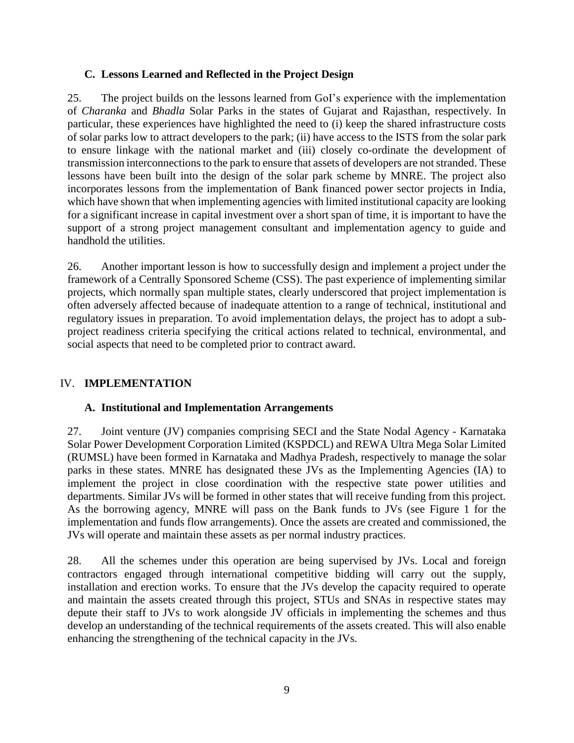### <span id="page-18-0"></span>**C. Lessons Learned and Reflected in the Project Design**

25. The project builds on the lessons learned from GoI's experience with the implementation of *Charanka* and *Bhadla* Solar Parks in the states of Gujarat and Rajasthan, respectively. In particular, these experiences have highlighted the need to (i) keep the shared infrastructure costs of solar parks low to attract developers to the park; (ii) have access to the ISTS from the solar park to ensure linkage with the national market and (iii) closely co-ordinate the development of transmission interconnections to the park to ensure that assets of developers are not stranded. These lessons have been built into the design of the solar park scheme by MNRE. The project also incorporates lessons from the implementation of Bank financed power sector projects in India, which have shown that when implementing agencies with limited institutional capacity are looking for a significant increase in capital investment over a short span of time, it is important to have the support of a strong project management consultant and implementation agency to guide and handhold the utilities.

26. Another important lesson is how to successfully design and implement a project under the framework of a Centrally Sponsored Scheme (CSS). The past experience of implementing similar projects, which normally span multiple states, clearly underscored that project implementation is often adversely affected because of inadequate attention to a range of technical, institutional and regulatory issues in preparation. To avoid implementation delays, the project has to adopt a subproject readiness criteria specifying the critical actions related to technical, environmental, and social aspects that need to be completed prior to contract award.

### <span id="page-18-1"></span>IV. **IMPLEMENTATION**

### <span id="page-18-2"></span>**A. Institutional and Implementation Arrangements**

27. Joint venture (JV) companies comprising SECI and the State Nodal Agency - Karnataka Solar Power Development Corporation Limited (KSPDCL) and REWA Ultra Mega Solar Limited (RUMSL) have been formed in Karnataka and Madhya Pradesh, respectively to manage the solar parks in these states. MNRE has designated these JVs as the Implementing Agencies (IA) to implement the project in close coordination with the respective state power utilities and departments. Similar JVs will be formed in other states that will receive funding from this project. As the borrowing agency, MNRE will pass on the Bank funds to JVs (see Figure 1 for the implementation and funds flow arrangements). Once the assets are created and commissioned, the JVs will operate and maintain these assets as per normal industry practices.

28. All the schemes under this operation are being supervised by JVs. Local and foreign contractors engaged through international competitive bidding will carry out the supply, installation and erection works. To ensure that the JVs develop the capacity required to operate and maintain the assets created through this project, STUs and SNAs in respective states may depute their staff to JVs to work alongside JV officials in implementing the schemes and thus develop an understanding of the technical requirements of the assets created. This will also enable enhancing the strengthening of the technical capacity in the JVs.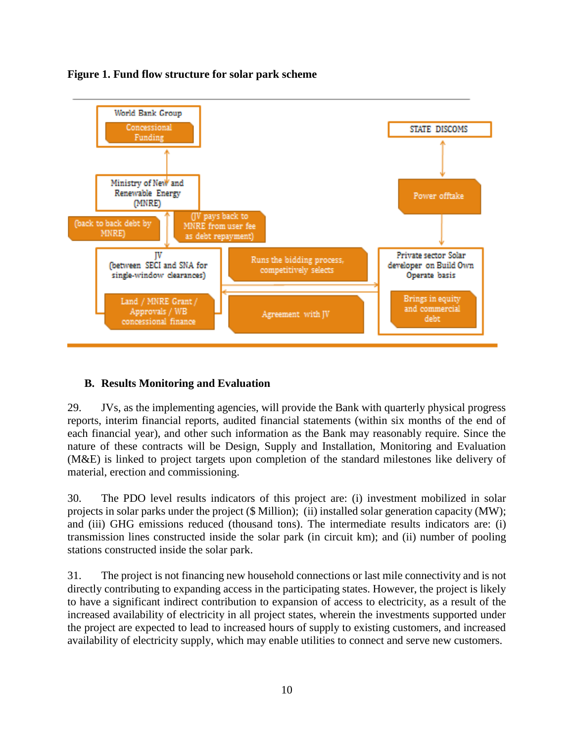

### **Figure 1. Fund flow structure for solar park scheme**

### <span id="page-19-0"></span>**B. Results Monitoring and Evaluation**

29. JVs, as the implementing agencies, will provide the Bank with quarterly physical progress reports, interim financial reports, audited financial statements (within six months of the end of each financial year), and other such information as the Bank may reasonably require. Since the nature of these contracts will be Design, Supply and Installation, Monitoring and Evaluation (M&E) is linked to project targets upon completion of the standard milestones like delivery of material, erection and commissioning.

30. The PDO level results indicators of this project are: (i) investment mobilized in solar projects in solar parks under the project (\$ Million); (ii) installed solar generation capacity (MW); and (iii) GHG emissions reduced (thousand tons). The intermediate results indicators are: (i) transmission lines constructed inside the solar park (in circuit km); and (ii) number of pooling stations constructed inside the solar park.

31. The project is not financing new household connections or last mile connectivity and is not directly contributing to expanding access in the participating states. However, the project is likely to have a significant indirect contribution to expansion of access to electricity, as a result of the increased availability of electricity in all project states, wherein the investments supported under the project are expected to lead to increased hours of supply to existing customers, and increased availability of electricity supply, which may enable utilities to connect and serve new customers.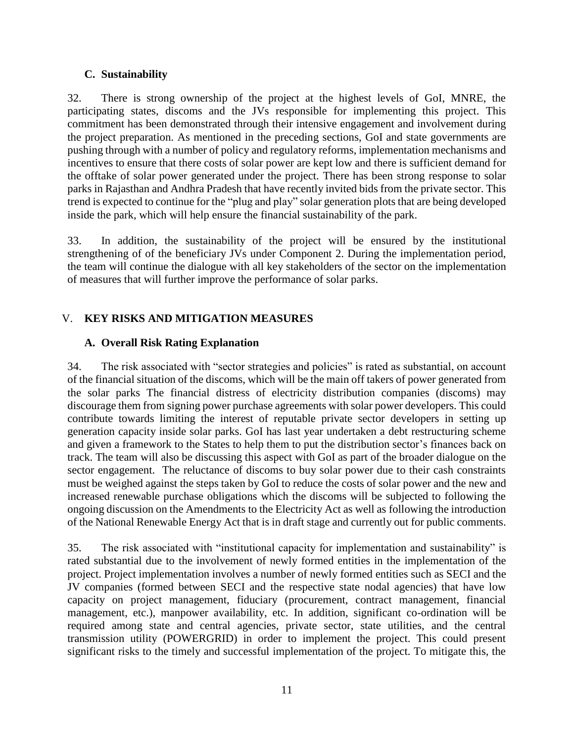### <span id="page-20-0"></span>**C. Sustainability**

32. There is strong ownership of the project at the highest levels of GoI, MNRE, the participating states, discoms and the JVs responsible for implementing this project. This commitment has been demonstrated through their intensive engagement and involvement during the project preparation. As mentioned in the preceding sections, GoI and state governments are pushing through with a number of policy and regulatory reforms, implementation mechanisms and incentives to ensure that there costs of solar power are kept low and there is sufficient demand for the offtake of solar power generated under the project. There has been strong response to solar parks in Rajasthan and Andhra Pradesh that have recently invited bids from the private sector. This trend is expected to continue for the "plug and play" solar generation plots that are being developed inside the park, which will help ensure the financial sustainability of the park.

33. In addition, the sustainability of the project will be ensured by the institutional strengthening of of the beneficiary JVs under Component 2. During the implementation period, the team will continue the dialogue with all key stakeholders of the sector on the implementation of measures that will further improve the performance of solar parks.

# <span id="page-20-1"></span>V. **KEY RISKS AND MITIGATION MEASURES**

### <span id="page-20-2"></span>**A. Overall Risk Rating Explanation**

34. The risk associated with "sector strategies and policies" is rated as substantial, on account of the financial situation of the discoms, which will be the main off takers of power generated from the solar parks The financial distress of electricity distribution companies (discoms) may discourage them from signing power purchase agreements with solar power developers. This could contribute towards limiting the interest of reputable private sector developers in setting up generation capacity inside solar parks. GoI has last year undertaken a debt restructuring scheme and given a framework to the States to help them to put the distribution sector's finances back on track. The team will also be discussing this aspect with GoI as part of the broader dialogue on the sector engagement. The reluctance of discoms to buy solar power due to their cash constraints must be weighed against the steps taken by GoI to reduce the costs of solar power and the new and increased renewable purchase obligations which the discoms will be subjected to following the ongoing discussion on the Amendments to the Electricity Act as well as following the introduction of the National Renewable Energy Act that is in draft stage and currently out for public comments.

35. The risk associated with "institutional capacity for implementation and sustainability" is rated substantial due to the involvement of newly formed entities in the implementation of the project. Project implementation involves a number of newly formed entities such as SECI and the JV companies (formed between SECI and the respective state nodal agencies) that have low capacity on project management, fiduciary (procurement, contract management, financial management, etc.), manpower availability, etc. In addition, significant co-ordination will be required among state and central agencies, private sector, state utilities, and the central transmission utility (POWERGRID) in order to implement the project. This could present significant risks to the timely and successful implementation of the project. To mitigate this, the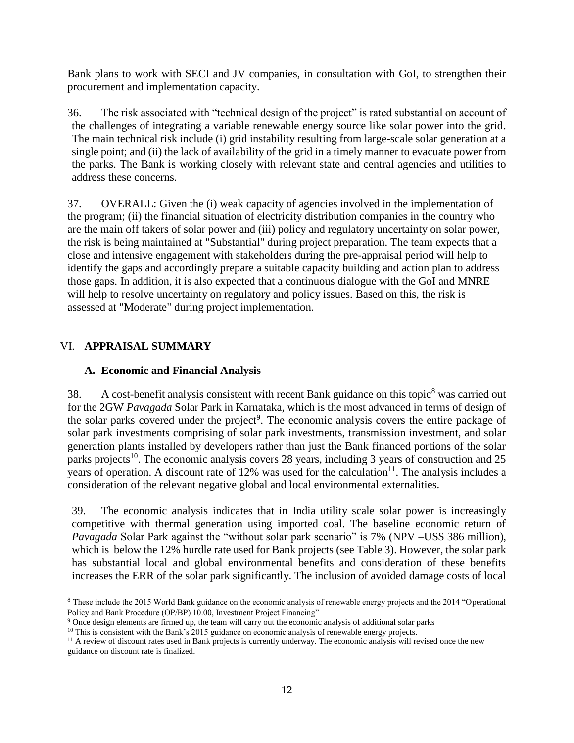Bank plans to work with SECI and JV companies, in consultation with GoI, to strengthen their procurement and implementation capacity.

36. The risk associated with "technical design of the project" is rated substantial on account of the challenges of integrating a variable renewable energy source like solar power into the grid. The main technical risk include (i) grid instability resulting from large-scale solar generation at a single point; and (ii) the lack of availability of the grid in a timely manner to evacuate power from the parks. The Bank is working closely with relevant state and central agencies and utilities to address these concerns.

37. OVERALL: Given the (i) weak capacity of agencies involved in the implementation of the program; (ii) the financial situation of electricity distribution companies in the country who are the main off takers of solar power and (iii) policy and regulatory uncertainty on solar power, the risk is being maintained at "Substantial" during project preparation. The team expects that a close and intensive engagement with stakeholders during the pre-appraisal period will help to identify the gaps and accordingly prepare a suitable capacity building and action plan to address those gaps. In addition, it is also expected that a continuous dialogue with the GoI and MNRE will help to resolve uncertainty on regulatory and policy issues. Based on this, the risk is assessed at "Moderate" during project implementation.

# <span id="page-21-0"></span>VI. **APPRAISAL SUMMARY**

 $\overline{a}$ 

## <span id="page-21-1"></span>**A. Economic and Financial Analysis**

38. A cost-benefit analysis consistent with recent Bank guidance on this topic<sup>8</sup> was carried out for the 2GW *Pavagada* Solar Park in Karnataka, which is the most advanced in terms of design of the solar parks covered under the project<sup>9</sup>. The economic analysis covers the entire package of solar park investments comprising of solar park investments, transmission investment, and solar generation plants installed by developers rather than just the Bank financed portions of the solar parks projects<sup>10</sup>. The economic analysis covers 28 years, including 3 years of construction and 25 years of operation. A discount rate of 12% was used for the calculation $11$ . The analysis includes a consideration of the relevant negative global and local environmental externalities.

39. The economic analysis indicates that in India utility scale solar power is increasingly competitive with thermal generation using imported coal. The baseline economic return of *Pavagada* Solar Park against the "without solar park scenario" is 7% (NPV –US\$ 386 million), which is below the 12% hurdle rate used for Bank projects (see Table 3). However, the solar park has substantial local and global environmental benefits and consideration of these benefits increases the ERR of the solar park significantly. The inclusion of avoided damage costs of local

<sup>8</sup> These include the 2015 World Bank guidance on the economic analysis of renewable energy projects and the 2014 "Operational Policy and Bank Procedure (OP/BP) 10.00, Investment Project Financing"

<sup>9</sup> Once design elements are firmed up, the team will carry out the economic analysis of additional solar parks

<sup>&</sup>lt;sup>10</sup> This is consistent with the Bank's 2015 guidance on economic analysis of renewable energy projects.

 $<sup>11</sup>$  A review of discount rates used in Bank projects is currently underway. The economic analysis will revised once the new</sup> guidance on discount rate is finalized.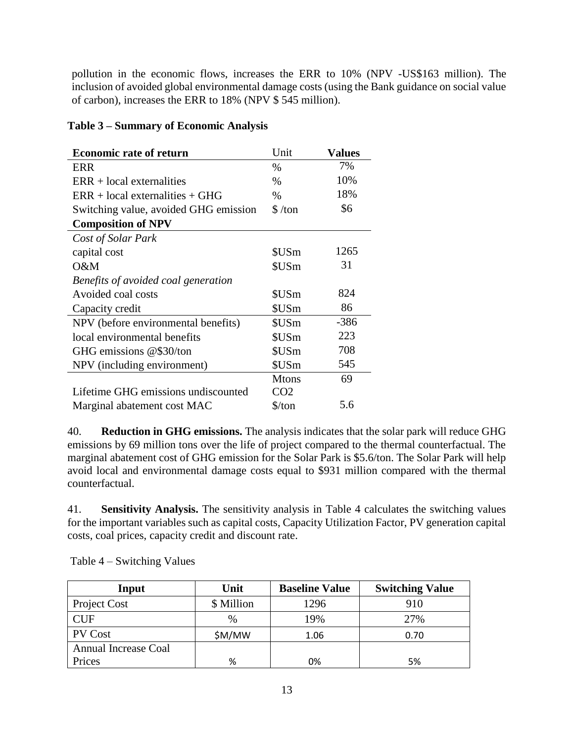pollution in the economic flows, increases the ERR to 10% (NPV -US\$163 million). The inclusion of avoided global environmental damage costs (using the Bank guidance on social value of carbon), increases the ERR to 18% (NPV \$ 545 million).

### **Table 3 – Summary of Economic Analysis**

| <b>Economic rate of return</b>        | Unit                 | <b>Values</b> |
|---------------------------------------|----------------------|---------------|
| ERR                                   | $\%$                 | 7%            |
| $ERR + local externalities$           | $\%$                 | 10%           |
| $ERR + local externalities + GHG$     | $\%$                 | 18%           |
| Switching value, avoided GHG emission | \$/ton               | \$6           |
| <b>Composition of NPV</b>             |                      |               |
| Cost of Solar Park                    |                      |               |
| capital cost                          | \$USm                | 1265          |
| O&M                                   | \$USm                | 31            |
| Benefits of avoided coal generation   |                      |               |
| Avoided coal costs                    | \$USm                | 824           |
| Capacity credit                       | \$USm                | 86            |
| NPV (before environmental benefits)   | \$USm                | $-386$        |
| local environmental benefits          | \$USm                | 223           |
| GHG emissions @\$30/ton               | \$USm                | 708           |
| NPV (including environment)           | \$USm                | 545           |
|                                       | <b>Mtons</b>         | 69            |
| Lifetime GHG emissions undiscounted   | CO <sub>2</sub>      |               |
| Marginal abatement cost MAC           | $\frac{\sqrt{2}}{2}$ | 5.6           |

40. **Reduction in GHG emissions.** The analysis indicates that the solar park will reduce GHG emissions by 69 million tons over the life of project compared to the thermal counterfactual. The marginal abatement cost of GHG emission for the Solar Park is \$5.6/ton. The Solar Park will help avoid local and environmental damage costs equal to \$931 million compared with the thermal counterfactual.

41. **Sensitivity Analysis.** The sensitivity analysis in Table 4 calculates the switching values for the important variables such as capital costs, Capacity Utilization Factor, PV generation capital costs, coal prices, capacity credit and discount rate.

| Input                       | Unit          | <b>Baseline Value</b> | <b>Switching Value</b> |
|-----------------------------|---------------|-----------------------|------------------------|
| <b>Project Cost</b>         | \$ Million    | 1296                  | 910                    |
| <b>CUF</b>                  | $\frac{0}{0}$ | 19%                   | 27%                    |
| <b>PV</b> Cost              | \$M/MW        | 1.06                  | 0.70                   |
| <b>Annual Increase Coal</b> |               |                       |                        |
| Prices                      | %             | 0%                    | 5%                     |

Table 4 – Switching Values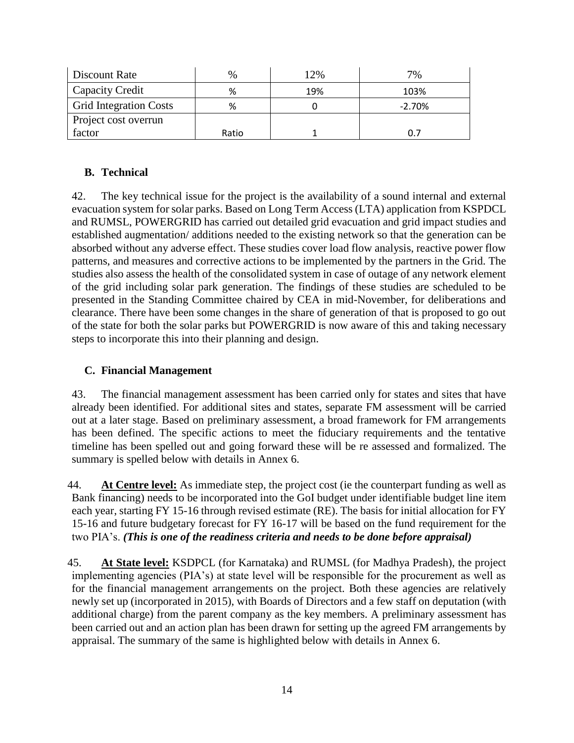| Discount Rate                 | $\%$  | !2% | 7%             |
|-------------------------------|-------|-----|----------------|
| Capacity Credit               | %     | 19% | 103%           |
| <b>Grid Integration Costs</b> | %     |     | $-2.70%$       |
| Project cost overrun          |       |     |                |
| factor                        | Ratio |     | $\mathbf{D}$ . |

# <span id="page-23-0"></span>**B. Technical**

42. The key technical issue for the project is the availability of a sound internal and external evacuation system for solar parks. Based on Long Term Access (LTA) application from KSPDCL and RUMSL, POWERGRID has carried out detailed grid evacuation and grid impact studies and established augmentation/ additions needed to the existing network so that the generation can be absorbed without any adverse effect. These studies cover load flow analysis, reactive power flow patterns, and measures and corrective actions to be implemented by the partners in the Grid. The studies also assess the health of the consolidated system in case of outage of any network element of the grid including solar park generation. The findings of these studies are scheduled to be presented in the Standing Committee chaired by CEA in mid-November, for deliberations and clearance. There have been some changes in the share of generation of that is proposed to go out of the state for both the solar parks but POWERGRID is now aware of this and taking necessary steps to incorporate this into their planning and design.

## <span id="page-23-1"></span>**C. Financial Management**

43. The financial management assessment has been carried only for states and sites that have already been identified. For additional sites and states, separate FM assessment will be carried out at a later stage. Based on preliminary assessment, a broad framework for FM arrangements has been defined. The specific actions to meet the fiduciary requirements and the tentative timeline has been spelled out and going forward these will be re assessed and formalized. The summary is spelled below with details in Annex 6.

44. **At Centre level:** As immediate step, the project cost (ie the counterpart funding as well as Bank financing) needs to be incorporated into the GoI budget under identifiable budget line item each year, starting FY 15-16 through revised estimate (RE). The basis for initial allocation for FY 15-16 and future budgetary forecast for FY 16-17 will be based on the fund requirement for the two PIA's. *(This is one of the readiness criteria and needs to be done before appraisal)*

45. **At State level:** KSDPCL (for Karnataka) and RUMSL (for Madhya Pradesh), the project implementing agencies (PIA's) at state level will be responsible for the procurement as well as for the financial management arrangements on the project. Both these agencies are relatively newly set up (incorporated in 2015), with Boards of Directors and a few staff on deputation (with additional charge) from the parent company as the key members. A preliminary assessment has been carried out and an action plan has been drawn for setting up the agreed FM arrangements by appraisal. The summary of the same is highlighted below with details in Annex 6.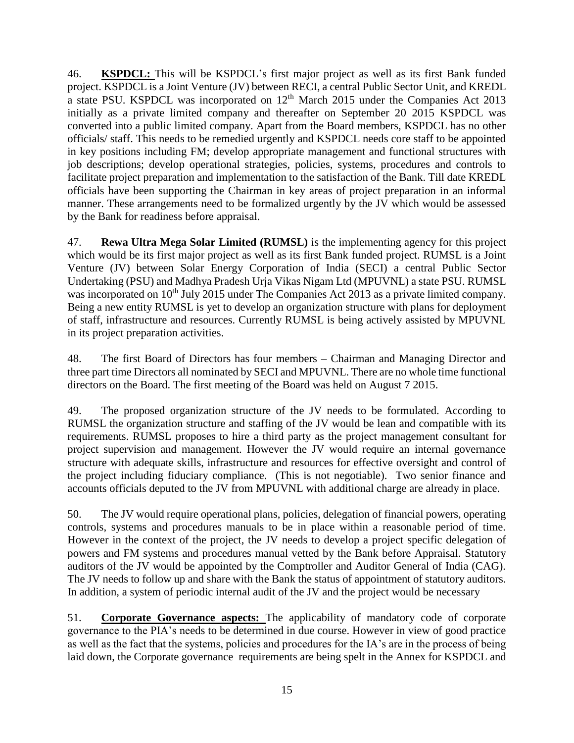46. **KSPDCL:** This will be KSPDCL's first major project as well as its first Bank funded project. KSPDCL is a Joint Venture (JV) between RECI, a central Public Sector Unit, and KREDL a state PSU. KSPDCL was incorporated on  $12<sup>th</sup>$  March 2015 under the Companies Act 2013 initially as a private limited company and thereafter on September 20 2015 KSPDCL was converted into a public limited company. Apart from the Board members, KSPDCL has no other officials/ staff. This needs to be remedied urgently and KSPDCL needs core staff to be appointed in key positions including FM; develop appropriate management and functional structures with job descriptions; develop operational strategies, policies, systems, procedures and controls to facilitate project preparation and implementation to the satisfaction of the Bank. Till date KREDL officials have been supporting the Chairman in key areas of project preparation in an informal manner. These arrangements need to be formalized urgently by the JV which would be assessed by the Bank for readiness before appraisal.

47. **Rewa Ultra Mega Solar Limited (RUMSL)** is the implementing agency for this project which would be its first major project as well as its first Bank funded project. RUMSL is a Joint Venture (JV) between Solar Energy Corporation of India (SECI) a central Public Sector Undertaking (PSU) and Madhya Pradesh Urja Vikas Nigam Ltd (MPUVNL) a state PSU. RUMSL was incorporated on 10<sup>th</sup> July 2015 under The Companies Act 2013 as a private limited company. Being a new entity RUMSL is yet to develop an organization structure with plans for deployment of staff, infrastructure and resources. Currently RUMSL is being actively assisted by MPUVNL in its project preparation activities.

48. The first Board of Directors has four members – Chairman and Managing Director and three part time Directors all nominated by SECI and MPUVNL. There are no whole time functional directors on the Board. The first meeting of the Board was held on August 7 2015.

49. The proposed organization structure of the JV needs to be formulated. According to RUMSL the organization structure and staffing of the JV would be lean and compatible with its requirements. RUMSL proposes to hire a third party as the project management consultant for project supervision and management. However the JV would require an internal governance structure with adequate skills, infrastructure and resources for effective oversight and control of the project including fiduciary compliance. (This is not negotiable). Two senior finance and accounts officials deputed to the JV from MPUVNL with additional charge are already in place.

50. The JV would require operational plans, policies, delegation of financial powers, operating controls, systems and procedures manuals to be in place within a reasonable period of time. However in the context of the project, the JV needs to develop a project specific delegation of powers and FM systems and procedures manual vetted by the Bank before Appraisal. Statutory auditors of the JV would be appointed by the Comptroller and Auditor General of India (CAG). The JV needs to follow up and share with the Bank the status of appointment of statutory auditors. In addition, a system of periodic internal audit of the JV and the project would be necessary

51. **Corporate Governance aspects:** The applicability of mandatory code of corporate governance to the PIA's needs to be determined in due course. However in view of good practice as well as the fact that the systems, policies and procedures for the IA's are in the process of being laid down, the Corporate governance requirements are being spelt in the Annex for KSPDCL and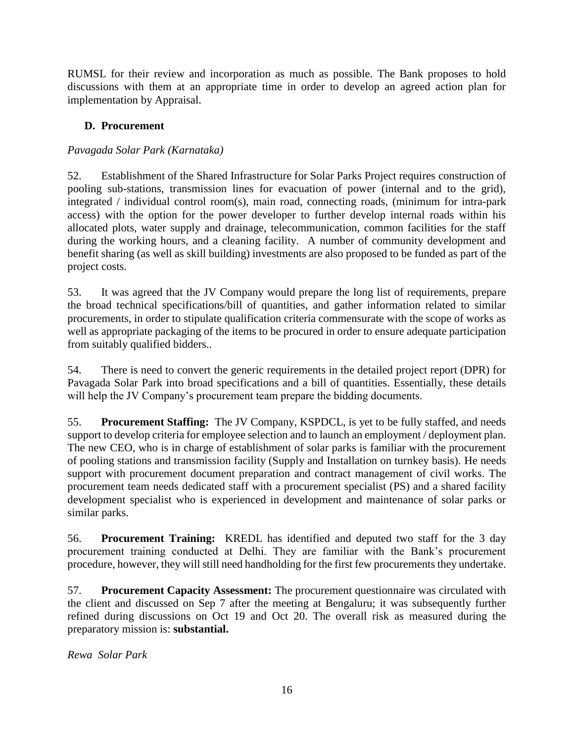RUMSL for their review and incorporation as much as possible. The Bank proposes to hold discussions with them at an appropriate time in order to develop an agreed action plan for implementation by Appraisal.

# <span id="page-25-0"></span>**D. Procurement**

# *Pavagada Solar Park (Karnataka)*

52. Establishment of the Shared Infrastructure for Solar Parks Project requires construction of pooling sub-stations, transmission lines for evacuation of power (internal and to the grid), integrated / individual control room(s), main road, connecting roads, (minimum for intra-park access) with the option for the power developer to further develop internal roads within his allocated plots, water supply and drainage, telecommunication, common facilities for the staff during the working hours, and a cleaning facility. A number of community development and benefit sharing (as well as skill building) investments are also proposed to be funded as part of the project costs.

53. It was agreed that the JV Company would prepare the long list of requirements, prepare the broad technical specifications/bill of quantities, and gather information related to similar procurements, in order to stipulate qualification criteria commensurate with the scope of works as well as appropriate packaging of the items to be procured in order to ensure adequate participation from suitably qualified bidders..

54. There is need to convert the generic requirements in the detailed project report (DPR) for Pavagada Solar Park into broad specifications and a bill of quantities. Essentially, these details will help the JV Company's procurement team prepare the bidding documents.

55. **Procurement Staffing:** The JV Company, KSPDCL, is yet to be fully staffed, and needs support to develop criteria for employee selection and to launch an employment / deployment plan. The new CEO, who is in charge of establishment of solar parks is familiar with the procurement of pooling stations and transmission facility (Supply and Installation on turnkey basis). He needs support with procurement document preparation and contract management of civil works. The procurement team needs dedicated staff with a procurement specialist (PS) and a shared facility development specialist who is experienced in development and maintenance of solar parks or similar parks.

56. **Procurement Training:** KREDL has identified and deputed two staff for the 3 day procurement training conducted at Delhi. They are familiar with the Bank's procurement procedure, however, they will still need handholding for the first few procurements they undertake.

57. **Procurement Capacity Assessment:** The procurement questionnaire was circulated with the client and discussed on Sep 7 after the meeting at Bengaluru; it was subsequently further refined during discussions on Oct 19 and Oct 20. The overall risk as measured during the preparatory mission is: **substantial.**

*Rewa Solar Park*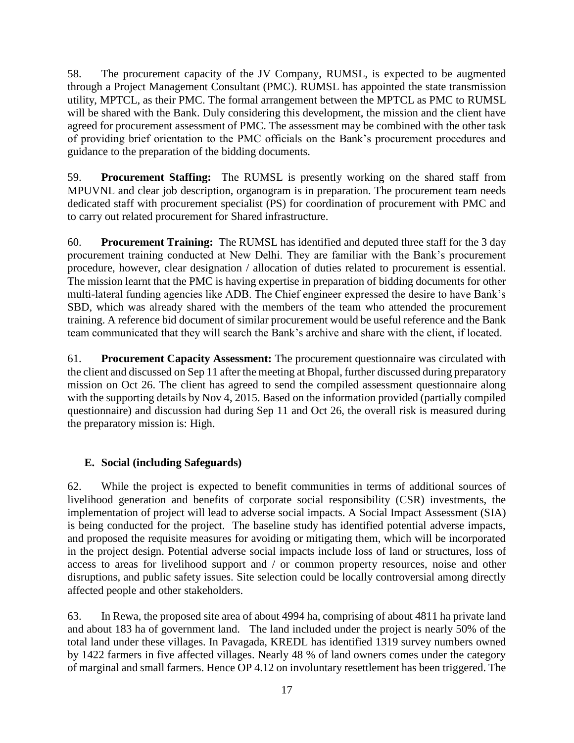58. The procurement capacity of the JV Company, RUMSL, is expected to be augmented through a Project Management Consultant (PMC). RUMSL has appointed the state transmission utility, MPTCL, as their PMC. The formal arrangement between the MPTCL as PMC to RUMSL will be shared with the Bank. Duly considering this development, the mission and the client have agreed for procurement assessment of PMC. The assessment may be combined with the other task of providing brief orientation to the PMC officials on the Bank's procurement procedures and guidance to the preparation of the bidding documents.

59. **Procurement Staffing:** The RUMSL is presently working on the shared staff from MPUVNL and clear job description, organogram is in preparation. The procurement team needs dedicated staff with procurement specialist (PS) for coordination of procurement with PMC and to carry out related procurement for Shared infrastructure.

60. **Procurement Training:** The RUMSL has identified and deputed three staff for the 3 day procurement training conducted at New Delhi. They are familiar with the Bank's procurement procedure, however, clear designation / allocation of duties related to procurement is essential. The mission learnt that the PMC is having expertise in preparation of bidding documents for other multi-lateral funding agencies like ADB. The Chief engineer expressed the desire to have Bank's SBD, which was already shared with the members of the team who attended the procurement training. A reference bid document of similar procurement would be useful reference and the Bank team communicated that they will search the Bank's archive and share with the client, if located.

61. **Procurement Capacity Assessment:** The procurement questionnaire was circulated with the client and discussed on Sep 11 after the meeting at Bhopal, further discussed during preparatory mission on Oct 26. The client has agreed to send the compiled assessment questionnaire along with the supporting details by Nov 4, 2015. Based on the information provided (partially compiled questionnaire) and discussion had during Sep 11 and Oct 26, the overall risk is measured during the preparatory mission is: High.

# <span id="page-26-0"></span>**E. Social (including Safeguards)**

62. While the project is expected to benefit communities in terms of additional sources of livelihood generation and benefits of corporate social responsibility (CSR) investments, the implementation of project will lead to adverse social impacts. A Social Impact Assessment (SIA) is being conducted for the project. The baseline study has identified potential adverse impacts, and proposed the requisite measures for avoiding or mitigating them, which will be incorporated in the project design. Potential adverse social impacts include loss of land or structures, loss of access to areas for livelihood support and / or common property resources, noise and other disruptions, and public safety issues. Site selection could be locally controversial among directly affected people and other stakeholders.

63. In Rewa, the proposed site area of about 4994 ha, comprising of about 4811 ha private land and about 183 ha of government land. The land included under the project is nearly 50% of the total land under these villages. In Pavagada, KREDL has identified 1319 survey numbers owned by 1422 farmers in five affected villages. Nearly 48 % of land owners comes under the category of marginal and small farmers. Hence OP 4.12 on involuntary resettlement has been triggered. The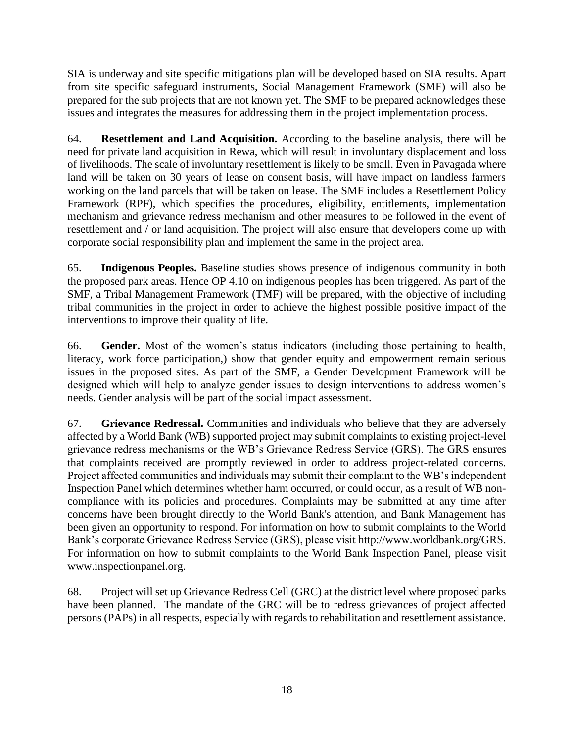SIA is underway and site specific mitigations plan will be developed based on SIA results. Apart from site specific safeguard instruments, Social Management Framework (SMF) will also be prepared for the sub projects that are not known yet. The SMF to be prepared acknowledges these issues and integrates the measures for addressing them in the project implementation process.

64. **Resettlement and Land Acquisition.** According to the baseline analysis, there will be need for private land acquisition in Rewa, which will result in involuntary displacement and loss of livelihoods. The scale of involuntary resettlement is likely to be small. Even in Pavagada where land will be taken on 30 years of lease on consent basis, will have impact on landless farmers working on the land parcels that will be taken on lease. The SMF includes a Resettlement Policy Framework (RPF), which specifies the procedures, eligibility, entitlements, implementation mechanism and grievance redress mechanism and other measures to be followed in the event of resettlement and / or land acquisition. The project will also ensure that developers come up with corporate social responsibility plan and implement the same in the project area.

65. **Indigenous Peoples.** Baseline studies shows presence of indigenous community in both the proposed park areas. Hence OP 4.10 on indigenous peoples has been triggered. As part of the SMF, a Tribal Management Framework (TMF) will be prepared, with the objective of including tribal communities in the project in order to achieve the highest possible positive impact of the interventions to improve their quality of life.

66. **Gender.** Most of the women's status indicators (including those pertaining to health, literacy, work force participation,) show that gender equity and empowerment remain serious issues in the proposed sites. As part of the SMF, a Gender Development Framework will be designed which will help to analyze gender issues to design interventions to address women's needs. Gender analysis will be part of the social impact assessment.

67. **Grievance Redressal.** Communities and individuals who believe that they are adversely affected by a World Bank (WB) supported project may submit complaints to existing project-level grievance redress mechanisms or the WB's Grievance Redress Service (GRS). The GRS ensures that complaints received are promptly reviewed in order to address project-related concerns. Project affected communities and individuals may submit their complaint to the WB's independent Inspection Panel which determines whether harm occurred, or could occur, as a result of WB noncompliance with its policies and procedures. Complaints may be submitted at any time after concerns have been brought directly to the World Bank's attention, and Bank Management has been given an opportunity to respond. For information on how to submit complaints to the World Bank's corporate Grievance Redress Service (GRS), please visit [http://www.worldbank.org/GRS.](http://www.worldbank.org/GRS) For information on how to submit complaints to the World Bank Inspection Panel, please visit [www.inspectionpanel.org.](http://www.inspectionpanel.org/)

68. Project will set up Grievance Redress Cell (GRC) at the district level where proposed parks have been planned. The mandate of the GRC will be to redress grievances of project affected persons (PAPs) in all respects, especially with regards to rehabilitation and resettlement assistance.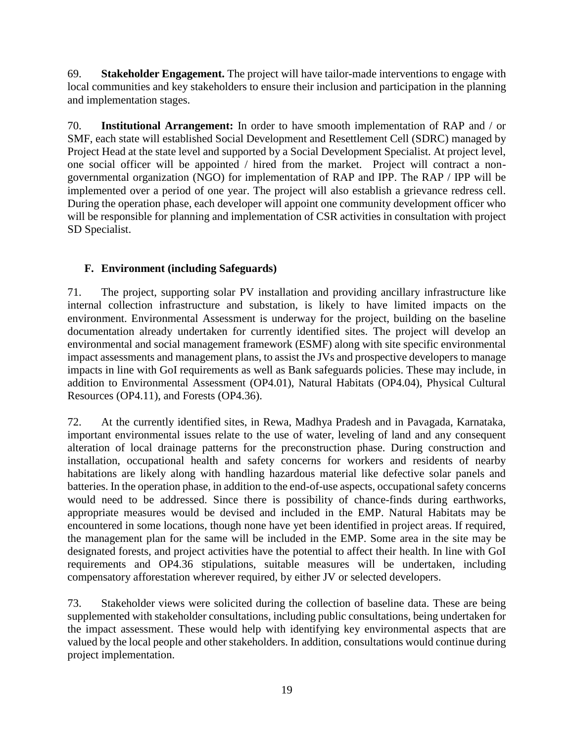69. **Stakeholder Engagement.** The project will have tailor-made interventions to engage with local communities and key stakeholders to ensure their inclusion and participation in the planning and implementation stages.

70. **Institutional Arrangement:** In order to have smooth implementation of RAP and / or SMF, each state will established Social Development and Resettlement Cell (SDRC) managed by Project Head at the state level and supported by a Social Development Specialist. At project level, one social officer will be appointed / hired from the market. Project will contract a nongovernmental organization (NGO) for implementation of RAP and IPP. The RAP / IPP will be implemented over a period of one year. The project will also establish a grievance redress cell. During the operation phase, each developer will appoint one community development officer who will be responsible for planning and implementation of CSR activities in consultation with project SD Specialist.

# <span id="page-28-0"></span>**F. Environment (including Safeguards)**

71. The project, supporting solar PV installation and providing ancillary infrastructure like internal collection infrastructure and substation, is likely to have limited impacts on the environment. Environmental Assessment is underway for the project, building on the baseline documentation already undertaken for currently identified sites. The project will develop an environmental and social management framework (ESMF) along with site specific environmental impact assessments and management plans, to assist the JVs and prospective developers to manage impacts in line with GoI requirements as well as Bank safeguards policies. These may include, in addition to Environmental Assessment (OP4.01), Natural Habitats (OP4.04), Physical Cultural Resources (OP4.11), and Forests (OP4.36).

72. At the currently identified sites, in Rewa, Madhya Pradesh and in Pavagada, Karnataka, important environmental issues relate to the use of water, leveling of land and any consequent alteration of local drainage patterns for the preconstruction phase. During construction and installation, occupational health and safety concerns for workers and residents of nearby habitations are likely along with handling hazardous material like defective solar panels and batteries. In the operation phase, in addition to the end-of-use aspects, occupational safety concerns would need to be addressed. Since there is possibility of chance-finds during earthworks, appropriate measures would be devised and included in the EMP. Natural Habitats may be encountered in some locations, though none have yet been identified in project areas. If required, the management plan for the same will be included in the EMP. Some area in the site may be designated forests, and project activities have the potential to affect their health. In line with GoI requirements and OP4.36 stipulations, suitable measures will be undertaken, including compensatory afforestation wherever required, by either JV or selected developers.

73. Stakeholder views were solicited during the collection of baseline data. These are being supplemented with stakeholder consultations, including public consultations, being undertaken for the impact assessment. These would help with identifying key environmental aspects that are valued by the local people and other stakeholders. In addition, consultations would continue during project implementation.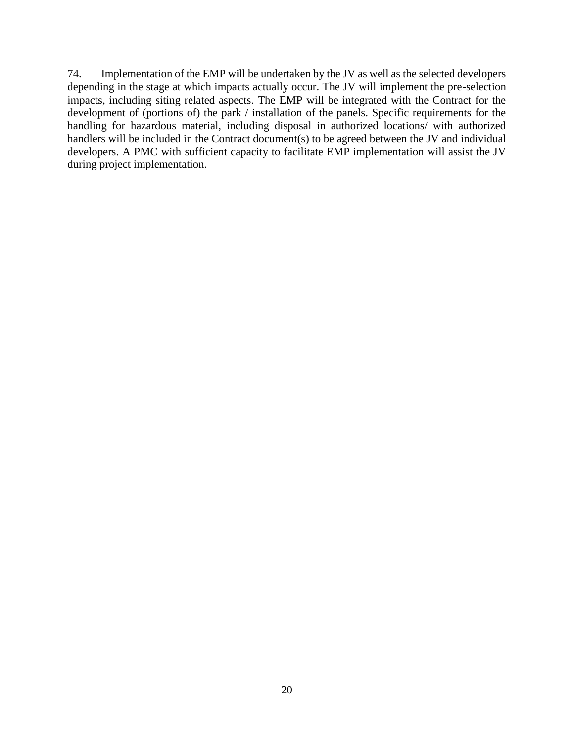74. Implementation of the EMP will be undertaken by the JV as well as the selected developers depending in the stage at which impacts actually occur. The JV will implement the pre-selection impacts, including siting related aspects. The EMP will be integrated with the Contract for the development of (portions of) the park / installation of the panels. Specific requirements for the handling for hazardous material, including disposal in authorized locations/ with authorized handlers will be included in the Contract document(s) to be agreed between the JV and individual developers. A PMC with sufficient capacity to facilitate EMP implementation will assist the JV during project implementation.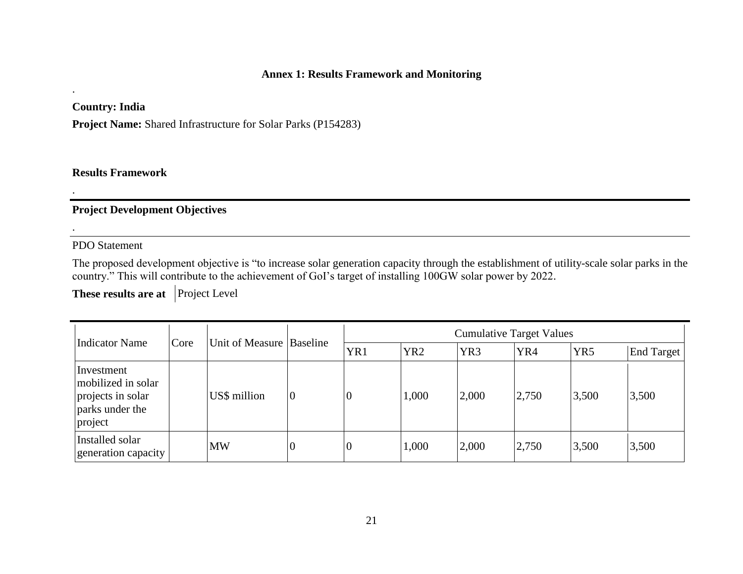### **Annex 1: Results Framework and Monitoring**

**Country: India**

.

.

.

**Project Name:** Shared Infrastructure for Solar Parks (P154283)

**Results Framework**

# **Project Development Objectives**

<span id="page-30-0"></span>PDO Statement

The proposed development objective is "to increase solar generation capacity through the establishment of utility-scale solar parks in the country." This will contribute to the achievement of GoI's target of installing 100GW solar power by 2022.

**These results are at** Project Level

| Indicator Name                                                                      | Core | Unit of Measure Baseline |                  | <b>Cumulative Target Values</b> |                 |                 |       |                 |                   |
|-------------------------------------------------------------------------------------|------|--------------------------|------------------|---------------------------------|-----------------|-----------------|-------|-----------------|-------------------|
|                                                                                     |      |                          |                  | YR1                             | YR <sub>2</sub> | YR <sub>3</sub> | YR4   | YR <sub>5</sub> | <b>End Target</b> |
| Investment<br>mobilized in solar<br>projects in solar<br>parks under the<br>project |      | US\$ million             | $\boldsymbol{0}$ | $\overline{0}$                  | 1,000           | 2,000           | 2,750 | 3,500           | 3,500             |
| Installed solar<br>generation capacity                                              |      | <b>MW</b>                | $\overline{0}$   | $\overline{0}$                  | 1,000           | 2,000           | 2,750 | 3,500           | 3,500             |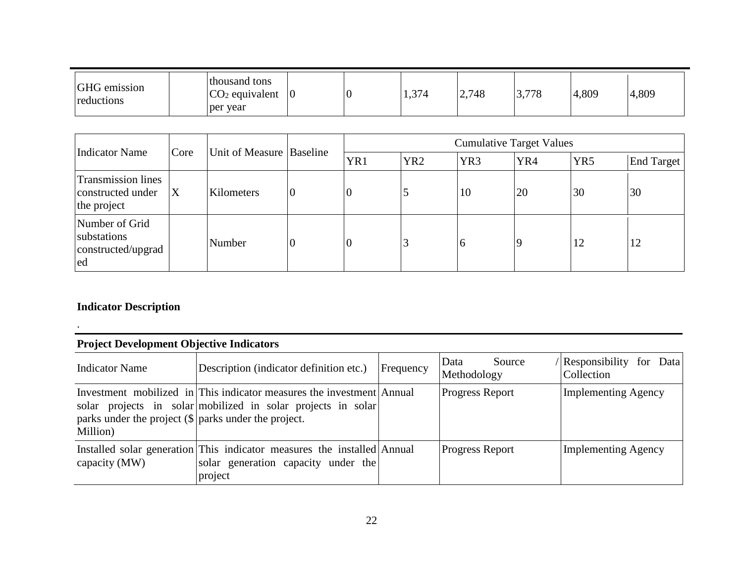| GHG emission<br>reductions | thousand tons<br>$CO2$ equivalent<br>per year | 10 |  | 1,374 | 2,748 | 770<br>70<br>$\cup$ , $\prime$ | 4,809 | 4,809 |  |
|----------------------------|-----------------------------------------------|----|--|-------|-------|--------------------------------|-------|-------|--|
|----------------------------|-----------------------------------------------|----|--|-------|-------|--------------------------------|-------|-------|--|

|                                                               |                           | Unit of Measure Baseline |          | <b>Cumulative Target Values</b> |                 |                 |     |                 |            |
|---------------------------------------------------------------|---------------------------|--------------------------|----------|---------------------------------|-----------------|-----------------|-----|-----------------|------------|
| <b>Indicator Name</b>                                         | Core                      |                          |          | YR1                             | YR <sub>2</sub> | YR <sub>3</sub> | YR4 | YR <sub>5</sub> | End Target |
| <b>Transmission lines</b><br>constructed under<br>the project | $\boldsymbol{\mathrm{X}}$ | Kilometers               | 0        | v                               |                 | 10              | 20  | 30              | 30         |
| Number of Grid<br>substations<br>constructed/upgrad<br>ed     |                           | Number                   | <b>O</b> | 0                               |                 | 6               | l Q | 12              |            |

# **Indicator Description**

.

| <b>Project Development Objective Indicators</b>                      |                                                                                                                                       |           |                               |                                          |  |  |  |  |
|----------------------------------------------------------------------|---------------------------------------------------------------------------------------------------------------------------------------|-----------|-------------------------------|------------------------------------------|--|--|--|--|
| <b>Indicator Name</b>                                                | Description (indicator definition etc.)                                                                                               | Frequency | Data<br>Source<br>Methodology | Responsibility<br>for Data<br>Collection |  |  |  |  |
| parks under the project $(\$\)$ parks under the project.<br>Million) | Investment mobilized in This indicator measures the investment Annual<br>solar projects in solar mobilized in solar projects in solar |           | <b>Progress Report</b>        | <b>Implementing Agency</b>               |  |  |  |  |
| capacity (MW)                                                        | Installed solar generation This indicator measures the installed Annual<br>solar generation capacity under the<br>project             |           | <b>Progress Report</b>        | <b>Implementing Agency</b>               |  |  |  |  |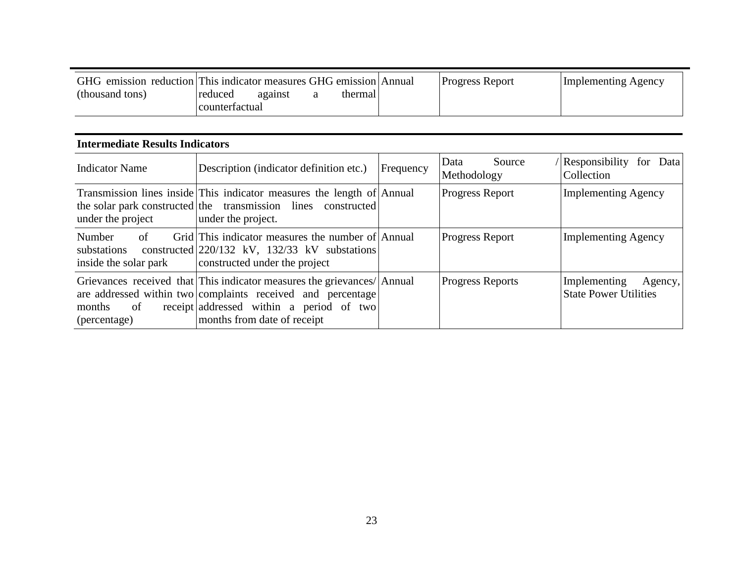| GHG emission reduction This indicator measures GHG emission Annual |                |         |          | <b>Progress Report</b> | Implementing Agency |
|--------------------------------------------------------------------|----------------|---------|----------|------------------------|---------------------|
| (thousand tons)                                                    | reduced        | against | thermal. |                        |                     |
|                                                                    | counterfactual |         |          |                        |                     |

### **Intermediate Results Indicators**

| Description (indicator definition etc.)<br><b>Indicator Name</b> |                                                                                                                                                                                                                   | Frequency | Source<br>Data<br>Methodology | (Responsibility for Data)<br>Collection                 |
|------------------------------------------------------------------|-------------------------------------------------------------------------------------------------------------------------------------------------------------------------------------------------------------------|-----------|-------------------------------|---------------------------------------------------------|
| under the project                                                | Transmission lines inside This indicator measures the length of Annual<br>the solar park constructed the transmission lines constructed<br>under the project.                                                     |           | Progress Report               | <b>Implementing Agency</b>                              |
| of<br>Number<br>substations<br>inside the solar park             | Grid This indicator measures the number of Annual<br>constructed $\left  \frac{220}{132} \right $ kV, $\left  \frac{132}{33} \right $ kV substations<br>constructed under the project                             |           | <b>Progress Report</b>        | <b>Implementing Agency</b>                              |
| months<br>of<br>(percentage)                                     | Grievances received that This indicator measures the grievances/ Annual<br>are addressed within two complaints received and percentage<br>receipt addressed within a period of two<br>months from date of receipt |           | <b>Progress Reports</b>       | Implementing<br>Agency,<br><b>State Power Utilities</b> |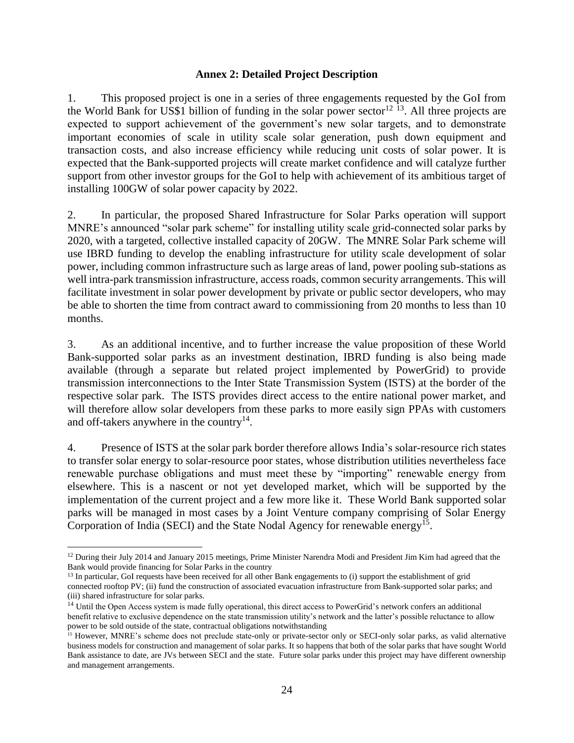#### **Annex 2: Detailed Project Description**

<span id="page-33-0"></span>1. This proposed project is one in a series of three engagements requested by the GoI from the World Bank for US\$1 billion of funding in the solar power sector<sup>12 13</sup>. All three projects are expected to support achievement of the government's new solar targets, and to demonstrate important economies of scale in utility scale solar generation, push down equipment and transaction costs, and also increase efficiency while reducing unit costs of solar power. It is expected that the Bank-supported projects will create market confidence and will catalyze further support from other investor groups for the GoI to help with achievement of its ambitious target of installing 100GW of solar power capacity by 2022.

2. In particular, the proposed Shared Infrastructure for Solar Parks operation will support MNRE's announced "solar park scheme" for installing utility scale grid-connected solar parks by 2020, with a targeted, collective installed capacity of 20GW. The MNRE Solar Park scheme will use IBRD funding to develop the enabling infrastructure for utility scale development of solar power, including common infrastructure such as large areas of land, power pooling sub-stations as well intra-park transmission infrastructure, access roads, common security arrangements. This will facilitate investment in solar power development by private or public sector developers, who may be able to shorten the time from contract award to commissioning from 20 months to less than 10 months.

3. As an additional incentive, and to further increase the value proposition of these World Bank-supported solar parks as an investment destination, IBRD funding is also being made available (through a separate but related project implemented by PowerGrid) to provide transmission interconnections to the Inter State Transmission System (ISTS) at the border of the respective solar park. The ISTS provides direct access to the entire national power market, and will therefore allow solar developers from these parks to more easily sign PPAs with customers and off-takers anywhere in the country<sup>14</sup>.

4. Presence of ISTS at the solar park border therefore allows India's solar-resource rich states to transfer solar energy to solar-resource poor states, whose distribution utilities nevertheless face renewable purchase obligations and must meet these by "importing" renewable energy from elsewhere. This is a nascent or not yet developed market, which will be supported by the implementation of the current project and a few more like it. These World Bank supported solar parks will be managed in most cases by a Joint Venture company comprising of Solar Energy Corporation of India (SECI) and the State Nodal Agency for renewable energy<sup>15</sup>.

 $12$  During their July 2014 and January 2015 meetings, Prime Minister Narendra Modi and President Jim Kim had agreed that the Bank would provide financing for Solar Parks in the country

<sup>&</sup>lt;sup>13</sup> In particular, GoI requests have been received for all other Bank engagements to (i) support the establishment of grid connected rooftop PV; (ii) fund the construction of associated evacuation infrastructure from Bank-supported solar parks; and (iii) shared infrastructure for solar parks.

<sup>&</sup>lt;sup>14</sup> Until the Open Access system is made fully operational, this direct access to PowerGrid's network confers an additional benefit relative to exclusive dependence on the state transmission utility's network and the latter's possible reluctance to allow power to be sold outside of the state, contractual obligations notwithstanding

<sup>&</sup>lt;sup>15</sup> However, MNRE's scheme does not preclude state-only or private-sector only or SECI-only solar parks, as valid alternative business models for construction and management of solar parks. It so happens that both of the solar parks that have sought World Bank assistance to date, are JVs between SECI and the state. Future solar parks under this project may have different ownership and management arrangements.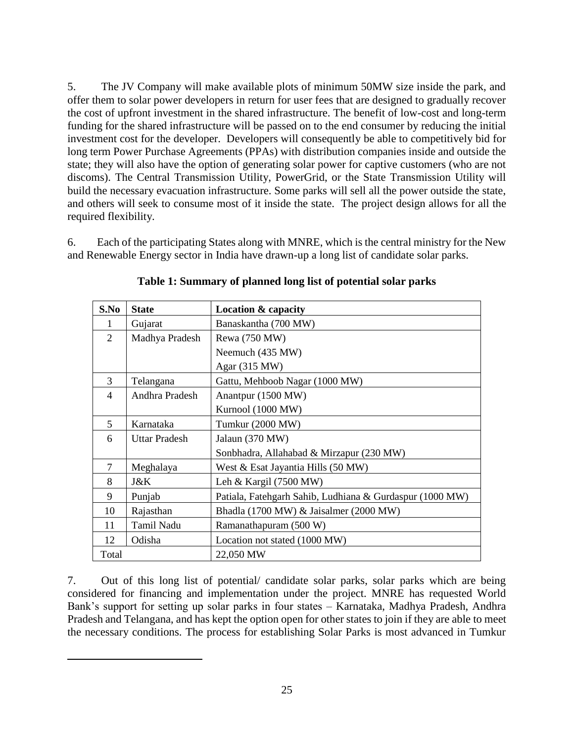5. The JV Company will make available plots of minimum 50MW size inside the park, and offer them to solar power developers in return for user fees that are designed to gradually recover the cost of upfront investment in the shared infrastructure. The benefit of low-cost and long-term funding for the shared infrastructure will be passed on to the end consumer by reducing the initial investment cost for the developer. Developers will consequently be able to competitively bid for long term Power Purchase Agreements (PPAs) with distribution companies inside and outside the state; they will also have the option of generating solar power for captive customers (who are not discoms). The Central Transmission Utility, PowerGrid, or the State Transmission Utility will build the necessary evacuation infrastructure. Some parks will sell all the power outside the state, and others will seek to consume most of it inside the state. The project design allows for all the required flexibility.

6. Each of the participating States along with MNRE, which is the central ministry for the New and Renewable Energy sector in India have drawn-up a long list of candidate solar parks.

| S.No           | <b>State</b>         | Location & capacity                                      |
|----------------|----------------------|----------------------------------------------------------|
|                | Gujarat              | Banaskantha (700 MW)                                     |
| 2              | Madhya Pradesh       | Rewa (750 MW)                                            |
|                |                      | Neemuch (435 MW)                                         |
|                |                      | Agar (315 MW)                                            |
| 3              | Telangana            | Gattu, Mehboob Nagar (1000 MW)                           |
| $\overline{4}$ | Andhra Pradesh       | Anantpur (1500 MW)                                       |
|                |                      | Kurnool (1000 MW)                                        |
| 5              | Karnataka            | Tumkur (2000 MW)                                         |
| 6              | <b>Uttar Pradesh</b> | Jalaun (370 MW)                                          |
|                |                      | Sonbhadra, Allahabad & Mirzapur (230 MW)                 |
| $\tau$         | Meghalaya            | West & Esat Jayantia Hills (50 MW)                       |
| 8              | J&K                  | Leh & Kargil $(7500 \text{ MW})$                         |
| 9              | Punjab               | Patiala, Fatehgarh Sahib, Ludhiana & Gurdaspur (1000 MW) |
| 10             | Rajasthan            | Bhadla (1700 MW) & Jaisalmer (2000 MW)                   |
| 11             | Tamil Nadu           | Ramanathapuram (500 W)                                   |
| 12             | Odisha               | Location not stated (1000 MW)                            |
| Total          |                      | 22,050 MW                                                |

**Table 1: Summary of planned long list of potential solar parks**

7. Out of this long list of potential/ candidate solar parks, solar parks which are being considered for financing and implementation under the project. MNRE has requested World Bank's support for setting up solar parks in four states – Karnataka, Madhya Pradesh, Andhra Pradesh and Telangana, and has kept the option open for other states to join if they are able to meet the necessary conditions. The process for establishing Solar Parks is most advanced in Tumkur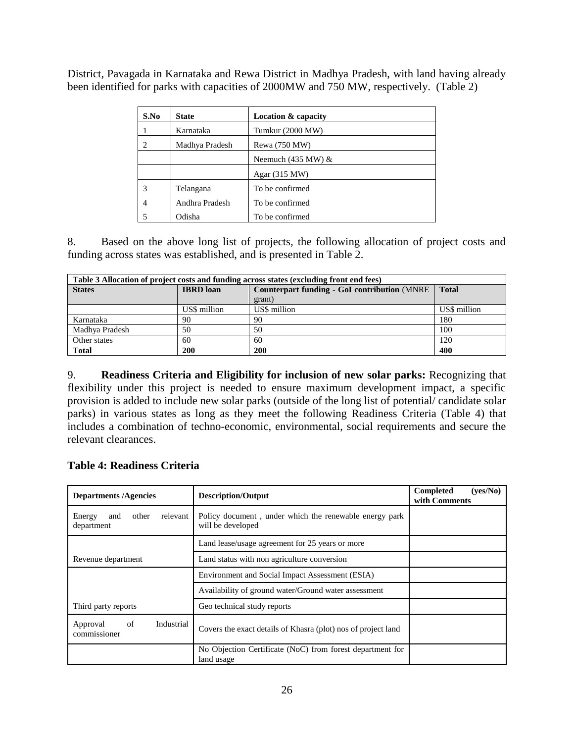District, Pavagada in Karnataka and Rewa District in Madhya Pradesh, with land having already been identified for parks with capacities of 2000MW and 750 MW, respectively. (Table 2)

| S.No | <b>State</b>   | <b>Location &amp; capacity</b> |
|------|----------------|--------------------------------|
|      | Karnataka      | Tumkur (2000 MW)               |
| 2    | Madhya Pradesh | Rewa (750 MW)                  |
|      |                | Neemuch $(435 \text{ MW})$ &   |
|      |                | Agar $(315 MW)$                |
| 3    | Telangana      | To be confirmed                |
| 4    | Andhra Pradesh | To be confirmed                |
|      | Odisha         | To be confirmed                |

8. Based on the above long list of projects, the following allocation of project costs and funding across states was established, and is presented in Table 2.

| Table 3 Allocation of project costs and funding across states (excluding front end fees) |                  |                                                                      |              |  |
|------------------------------------------------------------------------------------------|------------------|----------------------------------------------------------------------|--------------|--|
| <b>States</b>                                                                            | <b>IBRD</b> loan | <b>Counterpart funding - GoI contribution (MNRE)</b><br><b>Total</b> |              |  |
|                                                                                          |                  | grant)                                                               |              |  |
|                                                                                          | US\$ million     | US\$ million                                                         | US\$ million |  |
| Karnataka                                                                                | 90               | 90                                                                   | 180          |  |
| Madhya Pradesh                                                                           | 50               | 50                                                                   | 100          |  |
| Other states                                                                             | 60               | 60                                                                   | 120          |  |
| <b>Total</b>                                                                             | 200              | 200                                                                  | 400          |  |

9. **Readiness Criteria and Eligibility for inclusion of new solar parks:** Recognizing that flexibility under this project is needed to ensure maximum development impact, a specific provision is added to include new solar parks (outside of the long list of potential/ candidate solar parks) in various states as long as they meet the following Readiness Criteria (Table 4) that includes a combination of techno-economic, environmental, social requirements and secure the relevant clearances.

### **Table 4: Readiness Criteria**

| <b>Departments/Agencies</b>                      | <b>Description/Output</b>                                                   | <b>Completed</b><br>(ves/No)<br>with Comments |
|--------------------------------------------------|-----------------------------------------------------------------------------|-----------------------------------------------|
| relevant<br>Energy<br>other<br>and<br>department | Policy document, under which the renewable energy park<br>will be developed |                                               |
|                                                  | Land lease/usage agreement for 25 years or more                             |                                               |
| Revenue department                               | Land status with non agriculture conversion                                 |                                               |
|                                                  | Environment and Social Impact Assessment (ESIA)                             |                                               |
|                                                  | Availability of ground water/Ground water assessment                        |                                               |
| Third party reports                              | Geo technical study reports                                                 |                                               |
| of<br>Industrial<br>Approval<br>commissioner     | Covers the exact details of Khasra (plot) nos of project land               |                                               |
|                                                  | No Objection Certificate (NoC) from forest department for<br>land usage     |                                               |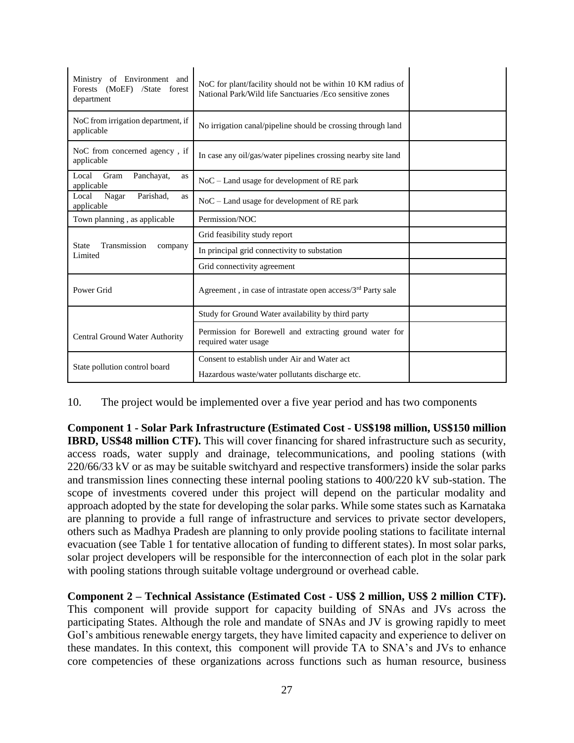| of Environment and<br>Ministry<br>Forests (MoEF) /State<br>forest<br>department | NoC for plant/facility should not be within 10 KM radius of<br>National Park/Wild life Sanctuaries / Eco sensitive zones |  |
|---------------------------------------------------------------------------------|--------------------------------------------------------------------------------------------------------------------------|--|
| NoC from irrigation department, if<br>applicable                                | No irrigation canal/pipeline should be crossing through land                                                             |  |
| NoC from concerned agency, if<br>applicable                                     | In case any oil/gas/water pipelines crossing nearby site land                                                            |  |
| Local<br>Gram<br>Panchayat,<br>as<br>applicable                                 | $NoC$ – Land usage for development of RE park                                                                            |  |
| Parishad,<br>Local<br>Nagar<br>as<br>applicable                                 | $NoC$ – Land usage for development of RE park                                                                            |  |
| Town planning, as applicable                                                    | Permission/NOC                                                                                                           |  |
|                                                                                 | Grid feasibility study report                                                                                            |  |
| Transmission<br><b>State</b><br>company<br>Limited                              | In principal grid connectivity to substation                                                                             |  |
|                                                                                 | Grid connectivity agreement                                                                                              |  |
| Power Grid                                                                      | Agreement, in case of intrastate open access/ $3rd$ Party sale                                                           |  |
|                                                                                 | Study for Ground Water availability by third party                                                                       |  |
| Central Ground Water Authority                                                  | Permission for Borewell and extracting ground water for<br>required water usage                                          |  |
| State pollution control board                                                   | Consent to establish under Air and Water act<br>Hazardous waste/water pollutants discharge etc.                          |  |

10. The project would be implemented over a five year period and has two components

**Component 1 - Solar Park Infrastructure (Estimated Cost - US\$198 million, US\$150 million IBRD, US\$48 million CTF).** This will cover financing for shared infrastructure such as security, access roads, water supply and drainage, telecommunications, and pooling stations (with 220/66/33 kV or as may be suitable switchyard and respective transformers) inside the solar parks and transmission lines connecting these internal pooling stations to 400/220 kV sub-station. The scope of investments covered under this project will depend on the particular modality and approach adopted by the state for developing the solar parks. While some states such as Karnataka are planning to provide a full range of infrastructure and services to private sector developers, others such as Madhya Pradesh are planning to only provide pooling stations to facilitate internal evacuation (see Table 1 for tentative allocation of funding to different states). In most solar parks, solar project developers will be responsible for the interconnection of each plot in the solar park with pooling stations through suitable voltage underground or overhead cable.

**Component 2 – Technical Assistance (Estimated Cost - US\$ 2 million, US\$ 2 million CTF).**  This component will provide support for capacity building of SNAs and JVs across the participating States. Although the role and mandate of SNAs and JV is growing rapidly to meet GoI's ambitious renewable energy targets, they have limited capacity and experience to deliver on these mandates. In this context, this component will provide TA to SNA's and JVs to enhance core competencies of these organizations across functions such as human resource, business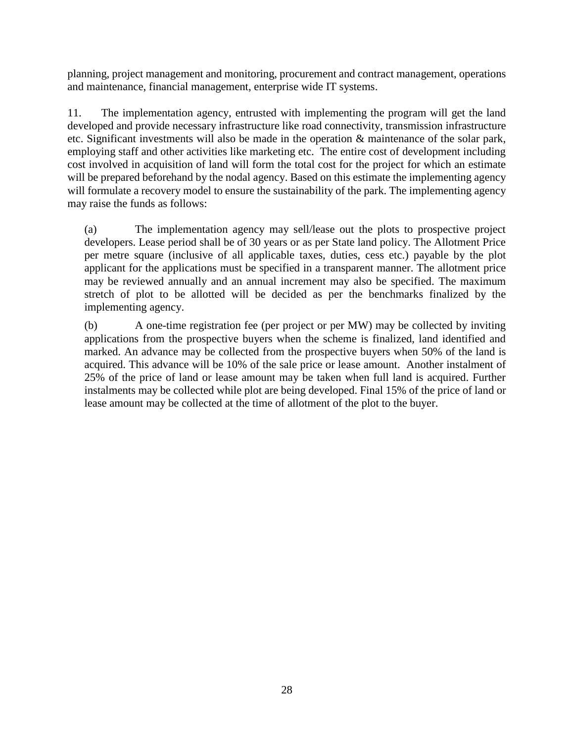planning, project management and monitoring, procurement and contract management, operations and maintenance, financial management, enterprise wide IT systems.

11. The implementation agency, entrusted with implementing the program will get the land developed and provide necessary infrastructure like road connectivity, transmission infrastructure etc. Significant investments will also be made in the operation & maintenance of the solar park, employing staff and other activities like marketing etc. The entire cost of development including cost involved in acquisition of land will form the total cost for the project for which an estimate will be prepared beforehand by the nodal agency. Based on this estimate the implementing agency will formulate a recovery model to ensure the sustainability of the park. The implementing agency may raise the funds as follows:

(a) The implementation agency may sell/lease out the plots to prospective project developers. Lease period shall be of 30 years or as per State land policy. The Allotment Price per metre square (inclusive of all applicable taxes, duties, cess etc.) payable by the plot applicant for the applications must be specified in a transparent manner. The allotment price may be reviewed annually and an annual increment may also be specified. The maximum stretch of plot to be allotted will be decided as per the benchmarks finalized by the implementing agency.

(b) A one-time registration fee (per project or per MW) may be collected by inviting applications from the prospective buyers when the scheme is finalized, land identified and marked. An advance may be collected from the prospective buyers when 50% of the land is acquired. This advance will be 10% of the sale price or lease amount. Another instalment of 25% of the price of land or lease amount may be taken when full land is acquired. Further instalments may be collected while plot are being developed. Final 15% of the price of land or lease amount may be collected at the time of allotment of the plot to the buyer.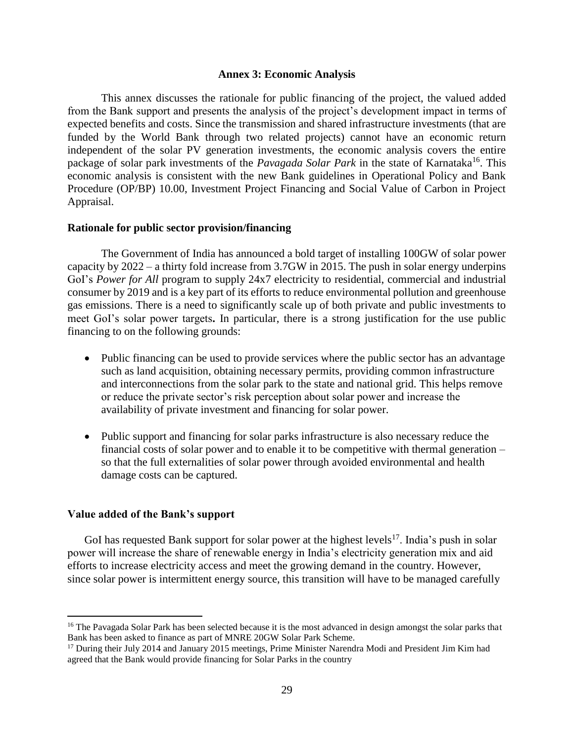#### **Annex 3: Economic Analysis**

<span id="page-38-0"></span>This annex discusses the rationale for public financing of the project, the valued added from the Bank support and presents the analysis of the project's development impact in terms of expected benefits and costs. Since the transmission and shared infrastructure investments (that are funded by the World Bank through two related projects) cannot have an economic return independent of the solar PV generation investments, the economic analysis covers the entire package of solar park investments of the *Pavagada Solar Park* in the state of Karnataka<sup>16</sup>. This economic analysis is consistent with the new Bank guidelines in Operational Policy and Bank Procedure (OP/BP) 10.00, Investment Project Financing and Social Value of Carbon in Project Appraisal.

#### **Rationale for public sector provision/financing**

The Government of India has announced a bold target of installing 100GW of solar power capacity by 2022 – a thirty fold increase from 3.7GW in 2015. The push in solar energy underpins GoI's *Power for All* program to supply 24x7 electricity to residential, commercial and industrial consumer by 2019 and is a key part of its efforts to reduce environmental pollution and greenhouse gas emissions. There is a need to significantly scale up of both private and public investments to meet GoI's solar power targets**.** In particular, there is a strong justification for the use public financing to on the following grounds:

- Public financing can be used to provide services where the public sector has an advantage such as land acquisition, obtaining necessary permits, providing common infrastructure and interconnections from the solar park to the state and national grid. This helps remove or reduce the private sector's risk perception about solar power and increase the availability of private investment and financing for solar power.
- Public support and financing for solar parks infrastructure is also necessary reduce the financial costs of solar power and to enable it to be competitive with thermal generation – so that the full externalities of solar power through avoided environmental and health damage costs can be captured.

#### **Value added of the Bank's support**

 $\overline{a}$ 

GoI has requested Bank support for solar power at the highest levels<sup>17</sup>. India's push in solar power will increase the share of renewable energy in India's electricity generation mix and aid efforts to increase electricity access and meet the growing demand in the country. However, since solar power is intermittent energy source, this transition will have to be managed carefully

<sup>&</sup>lt;sup>16</sup> The Pavagada Solar Park has been selected because it is the most advanced in design amongst the solar parks that Bank has been asked to finance as part of MNRE 20GW Solar Park Scheme.

<sup>&</sup>lt;sup>17</sup> During their July 2014 and January 2015 meetings, Prime Minister Narendra Modi and President Jim Kim had agreed that the Bank would provide financing for Solar Parks in the country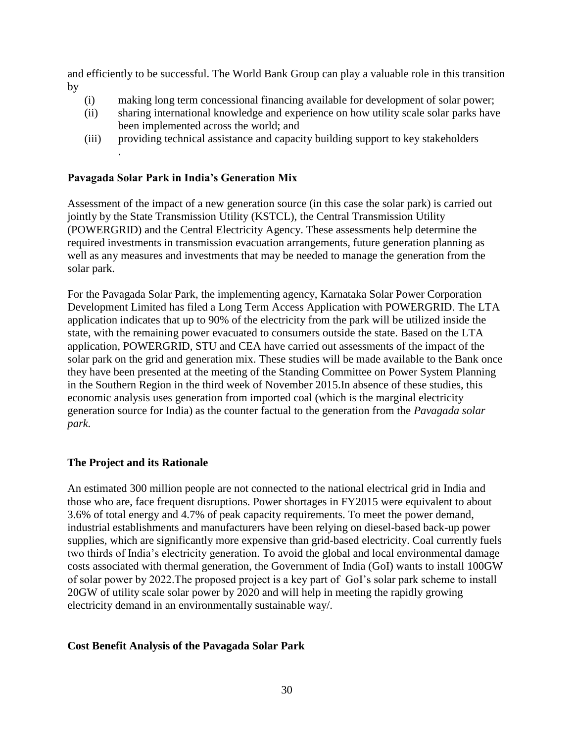and efficiently to be successful. The World Bank Group can play a valuable role in this transition by

- (i) making long term concessional financing available for development of solar power;
- (ii) sharing international knowledge and experience on how utility scale solar parks have been implemented across the world; and
- (iii) providing technical assistance and capacity building support to key stakeholders .

### **Pavagada Solar Park in India's Generation Mix**

Assessment of the impact of a new generation source (in this case the solar park) is carried out jointly by the State Transmission Utility (KSTCL), the Central Transmission Utility (POWERGRID) and the Central Electricity Agency. These assessments help determine the required investments in transmission evacuation arrangements, future generation planning as well as any measures and investments that may be needed to manage the generation from the solar park.

For the Pavagada Solar Park, the implementing agency, Karnataka Solar Power Corporation Development Limited has filed a Long Term Access Application with POWERGRID. The LTA application indicates that up to 90% of the electricity from the park will be utilized inside the state, with the remaining power evacuated to consumers outside the state. Based on the LTA application, POWERGRID, STU and CEA have carried out assessments of the impact of the solar park on the grid and generation mix. These studies will be made available to the Bank once they have been presented at the meeting of the Standing Committee on Power System Planning in the Southern Region in the third week of November 2015.In absence of these studies, this economic analysis uses generation from imported coal (which is the marginal electricity generation source for India) as the counter factual to the generation from the *Pavagada solar park.* 

### **The Project and its Rationale**

An estimated 300 million people are not connected to the national electrical grid in India and those who are, face frequent disruptions. Power shortages in FY2015 were equivalent to about 3.6% of total energy and 4.7% of peak capacity requirements. To meet the power demand, industrial establishments and manufacturers have been relying on diesel-based back-up power supplies, which are significantly more expensive than grid-based electricity. Coal currently fuels two thirds of India's electricity generation. To avoid the global and local environmental damage costs associated with thermal generation, the Government of India (GoI) wants to install 100GW of solar power by 2022.The proposed project is a key part of GoI's solar park scheme to install 20GW of utility scale solar power by 2020 and will help in meeting the rapidly growing electricity demand in an environmentally sustainable way/.

### **Cost Benefit Analysis of the Pavagada Solar Park**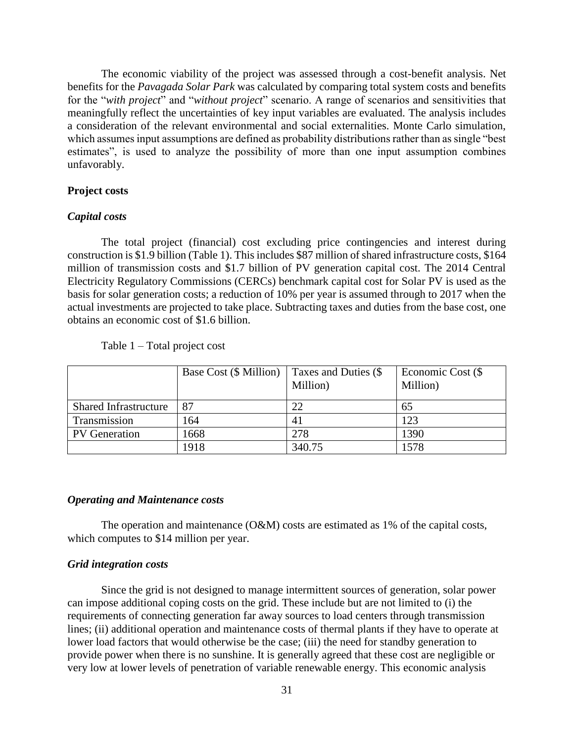The economic viability of the project was assessed through a cost-benefit analysis. Net benefits for the *Pavagada Solar Park* was calculated by comparing total system costs and benefits for the "*with project*" and "*without project*" scenario. A range of scenarios and sensitivities that meaningfully reflect the uncertainties of key input variables are evaluated. The analysis includes a consideration of the relevant environmental and social externalities. Monte Carlo simulation, which assumes input assumptions are defined as probability distributions rather than as single "best estimates", is used to analyze the possibility of more than one input assumption combines unfavorably.

#### **Project costs**

#### *Capital costs*

The total project (financial) cost excluding price contingencies and interest during construction is \$1.9 billion (Table 1). This includes \$87 million of shared infrastructure costs, \$164 million of transmission costs and \$1.7 billion of PV generation capital cost. The 2014 Central Electricity Regulatory Commissions (CERCs) benchmark capital cost for Solar PV is used as the basis for solar generation costs; a reduction of 10% per year is assumed through to 2017 when the actual investments are projected to take place. Subtracting taxes and duties from the base cost, one obtains an economic cost of \$1.6 billion.

|                              | Base Cost (\$ Million) | Taxes and Duties (\$<br>Million) | Economic Cost (\$<br>Million) |
|------------------------------|------------------------|----------------------------------|-------------------------------|
| <b>Shared Infrastructure</b> | 87                     | 22                               | 65                            |
| Transmission                 | 164                    | 41                               | 123                           |
| <b>PV</b> Generation         | 1668                   | 278                              | 1390                          |
|                              | 1918                   | 340.75                           | 1578                          |

Table 1 – Total project cost

#### *Operating and Maintenance costs*

The operation and maintenance (O&M) costs are estimated as 1% of the capital costs, which computes to \$14 million per year.

#### *Grid integration costs*

Since the grid is not designed to manage intermittent sources of generation, solar power can impose additional coping costs on the grid. These include but are not limited to (i) the requirements of connecting generation far away sources to load centers through transmission lines; (ii) additional operation and maintenance costs of thermal plants if they have to operate at lower load factors that would otherwise be the case; (iii) the need for standby generation to provide power when there is no sunshine. It is generally agreed that these cost are negligible or very low at lower levels of penetration of variable renewable energy. This economic analysis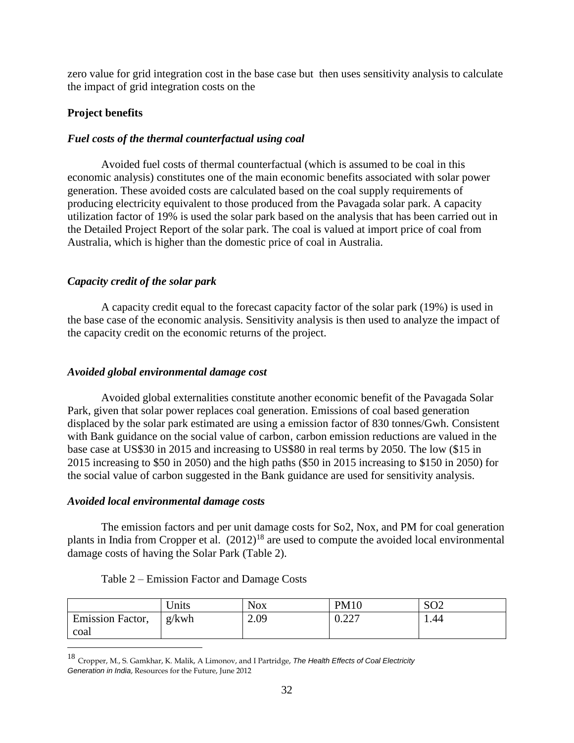zero value for grid integration cost in the base case but then uses sensitivity analysis to calculate the impact of grid integration costs on the

### **Project benefits**

### *Fuel costs of the thermal counterfactual using coal*

Avoided fuel costs of thermal counterfactual (which is assumed to be coal in this economic analysis) constitutes one of the main economic benefits associated with solar power generation. These avoided costs are calculated based on the coal supply requirements of producing electricity equivalent to those produced from the Pavagada solar park. A capacity utilization factor of 19% is used the solar park based on the analysis that has been carried out in the Detailed Project Report of the solar park. The coal is valued at import price of coal from Australia, which is higher than the domestic price of coal in Australia.

### *Capacity credit of the solar park*

A capacity credit equal to the forecast capacity factor of the solar park (19%) is used in the base case of the economic analysis. Sensitivity analysis is then used to analyze the impact of the capacity credit on the economic returns of the project.

### *Avoided global environmental damage cost*

Avoided global externalities constitute another economic benefit of the Pavagada Solar Park, given that solar power replaces coal generation. Emissions of coal based generation displaced by the solar park estimated are using a emission factor of 830 tonnes/Gwh. Consistent with Bank guidance on the social value of carbon, carbon emission reductions are valued in the base case at US\$30 in 2015 and increasing to US\$80 in real terms by 2050. The low (\$15 in 2015 increasing to \$50 in 2050) and the high paths (\$50 in 2015 increasing to \$150 in 2050) for the social value of carbon suggested in the Bank guidance are used for sensitivity analysis.

### *Avoided local environmental damage costs*

 $\overline{a}$ 

The emission factors and per unit damage costs for So2, Nox, and PM for coal generation plants in India from Cropper et al.  $(2012)^{18}$  are used to compute the avoided local environmental damage costs of having the Solar Park (Table 2).

|                  | Units | <b>Nox</b> | <b>PM10</b>                             | SO <sub>2</sub> |
|------------------|-------|------------|-----------------------------------------|-----------------|
| Emission Factor, | g/kwh | 2.09       | $\alpha$ and<br>$U \cdot \angle \angle$ | . 44            |
| coal             |       |            |                                         |                 |

### Table 2 – Emission Factor and Damage Costs

<sup>18</sup> Cropper, M., S. Gamkhar, K. Malik, A Limonov, and I Partridge, *The Health Effects of Coal Electricity Generation in India*, Resources for the Future, June 2012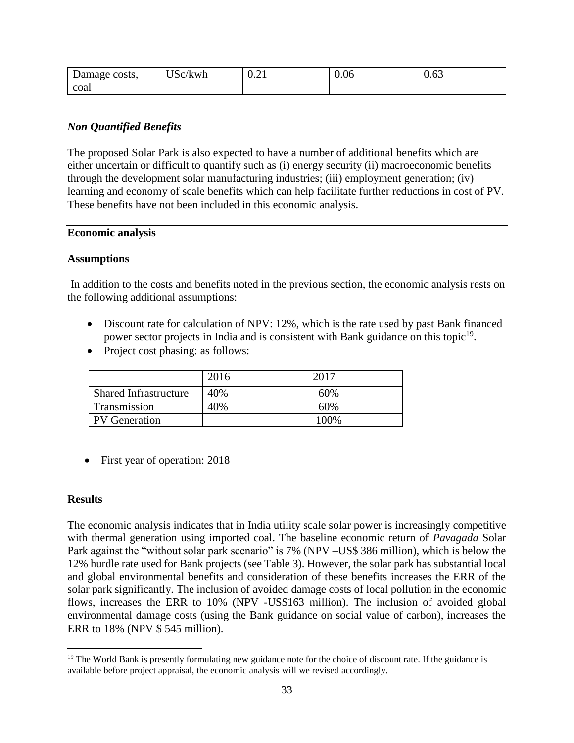| Damage costs, | T T.N<br>'kwh<br>SC/ | $\sim$<br>∪.∠⊥ | 0.06 | یر سر<br>v.vJ |
|---------------|----------------------|----------------|------|---------------|
| coa           |                      |                |      |               |

### *Non Quantified Benefits*

The proposed Solar Park is also expected to have a number of additional benefits which are either uncertain or difficult to quantify such as (i) energy security (ii) macroeconomic benefits through the development solar manufacturing industries; (iii) employment generation; (iv) learning and economy of scale benefits which can help facilitate further reductions in cost of PV. These benefits have not been included in this economic analysis.

#### **Economic analysis**

#### **Assumptions**

In addition to the costs and benefits noted in the previous section, the economic analysis rests on the following additional assumptions:

- Discount rate for calculation of NPV: 12%, which is the rate used by past Bank financed power sector projects in India and is consistent with Bank guidance on this topic<sup>19</sup>.
- Project cost phasing: as follows:

|                              | 2016 | 2017  |
|------------------------------|------|-------|
| <b>Shared Infrastructure</b> | 40%  | 60%   |
| Transmission                 | 40%  | 60%   |
| <b>PV</b> Generation         |      | 100\% |

• First year of operation: 2018

### **Results**

 $\overline{a}$ 

The economic analysis indicates that in India utility scale solar power is increasingly competitive with thermal generation using imported coal. The baseline economic return of *Pavagada* Solar Park against the "without solar park scenario" is 7% (NPV –US\$ 386 million), which is below the 12% hurdle rate used for Bank projects (see Table 3). However, the solar park has substantial local and global environmental benefits and consideration of these benefits increases the ERR of the solar park significantly. The inclusion of avoided damage costs of local pollution in the economic flows, increases the ERR to 10% (NPV -US\$163 million). The inclusion of avoided global environmental damage costs (using the Bank guidance on social value of carbon), increases the ERR to 18% (NPV \$ 545 million).

<sup>&</sup>lt;sup>19</sup> The World Bank is presently formulating new guidance note for the choice of discount rate. If the guidance is available before project appraisal, the economic analysis will we revised accordingly.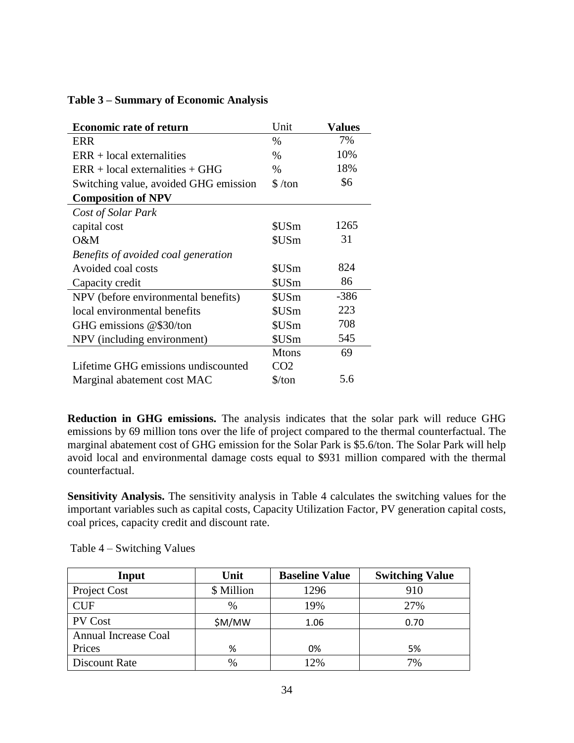| <b>Economic rate of return</b>        | Unit                          | <b>Values</b> |
|---------------------------------------|-------------------------------|---------------|
| ERR                                   | $\%$                          | 7%            |
| $ERR + local externalities$           | $\%$                          | 10%           |
| $ERR + local externalities + GHG$     | $\%$                          | 18%           |
| Switching value, avoided GHG emission | $\frac{\text{S}}{\text{ton}}$ | \$6           |
| <b>Composition of NPV</b>             |                               |               |
| Cost of Solar Park                    |                               |               |
| capital cost                          | \$USm                         | 1265          |
| O&M                                   | \$USm                         | 31            |
| Benefits of avoided coal generation   |                               |               |
| Avoided coal costs                    | \$USm                         | 824           |
| Capacity credit                       | \$USm                         | 86            |
| NPV (before environmental benefits)   | \$USm                         | $-386$        |
| local environmental benefits          | \$USm                         | 223           |
| GHG emissions @\$30/ton               | \$USm                         | 708           |
| NPV (including environment)           | \$USm                         | 545           |
|                                       | <b>Mtons</b>                  | 69            |
| Lifetime GHG emissions undiscounted   | CO <sub>2</sub>               |               |
| Marginal abatement cost MAC           | $\frac{\sqrt{2}}{2}$          | 5.6           |

### **Table 3 – Summary of Economic Analysis**

**Reduction in GHG emissions.** The analysis indicates that the solar park will reduce GHG emissions by 69 million tons over the life of project compared to the thermal counterfactual. The marginal abatement cost of GHG emission for the Solar Park is \$5.6/ton. The Solar Park will help avoid local and environmental damage costs equal to \$931 million compared with the thermal counterfactual.

**Sensitivity Analysis.** The sensitivity analysis in Table 4 calculates the switching values for the important variables such as capital costs, Capacity Utilization Factor, PV generation capital costs, coal prices, capacity credit and discount rate.

| Input                       | Unit          | <b>Baseline Value</b> | <b>Switching Value</b> |
|-----------------------------|---------------|-----------------------|------------------------|
| Project Cost                | \$ Million    | 1296                  | 910                    |
| <b>CUF</b>                  | $\frac{0}{0}$ | 19%                   | 27%                    |
| <b>PV</b> Cost              | \$M/MW        | 1.06                  | 0.70                   |
| <b>Annual Increase Coal</b> |               |                       |                        |
| Prices                      | %             | 0%                    | 5%                     |
| Discount Rate               | %             | 12%                   | 7%                     |

Table 4 – Switching Values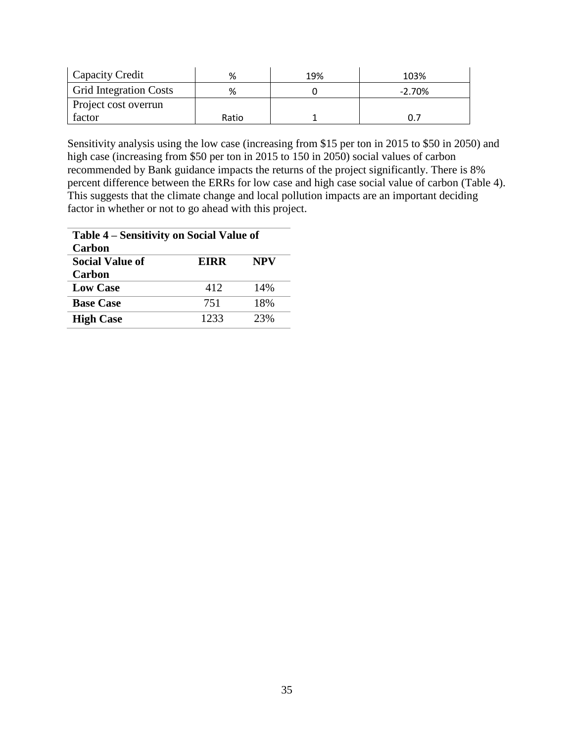| Capacity Credit               | %     | 19% | 103%     |
|-------------------------------|-------|-----|----------|
| <b>Grid Integration Costs</b> | %     |     | $-2.70%$ |
| Project cost overrun          |       |     |          |
| factor                        | Ratio |     |          |

Sensitivity analysis using the low case (increasing from \$15 per ton in 2015 to \$50 in 2050) and high case (increasing from \$50 per ton in 2015 to 150 in 2050) social values of carbon recommended by Bank guidance impacts the returns of the project significantly. There is 8% percent difference between the ERRs for low case and high case social value of carbon (Table 4). This suggests that the climate change and local pollution impacts are an important deciding factor in whether or not to go ahead with this project.

| Table 4 – Sensitivity on Social Value of |             |            |  |
|------------------------------------------|-------------|------------|--|
| Carbon                                   |             |            |  |
| <b>Social Value of</b>                   | <b>EIRR</b> | <b>NPV</b> |  |
| Carbon                                   |             |            |  |
| <b>Low Case</b>                          | 412         | 14%        |  |
| <b>Base Case</b>                         | 751         | 18%        |  |
| <b>High Case</b>                         | 1233        | 23%        |  |
|                                          |             |            |  |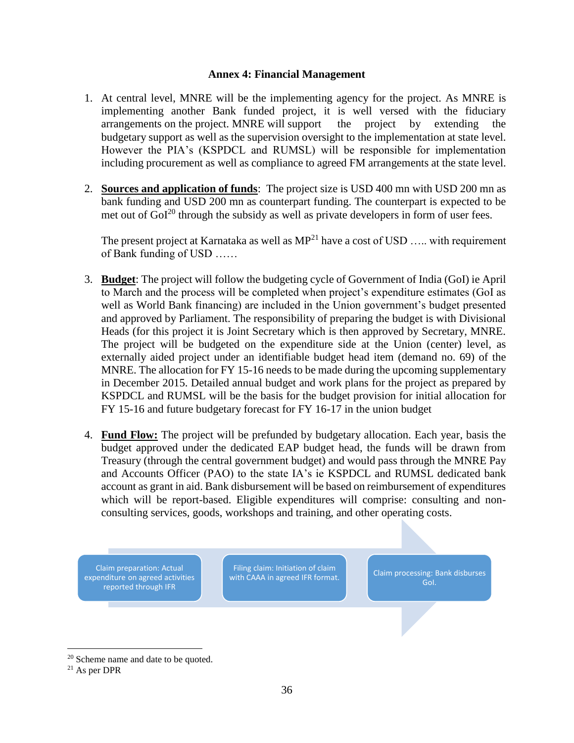#### **Annex 4: Financial Management**

- <span id="page-45-0"></span>1. At central level, MNRE will be the implementing agency for the project. As MNRE is implementing another Bank funded project, it is well versed with the fiduciary arrangements on the project. MNRE will support the project by extending the budgetary support as well as the supervision oversight to the implementation at state level. However the PIA's (KSPDCL and RUMSL) will be responsible for implementation including procurement as well as compliance to agreed FM arrangements at the state level.
- 2. **Sources and application of funds**: The project size is USD 400 mn with USD 200 mn as bank funding and USD 200 mn as counterpart funding. The counterpart is expected to be met out of  $GoI^{20}$  through the subsidy as well as private developers in form of user fees.

The present project at Karnataka as well as  $MP<sup>21</sup>$  have a cost of USD ... with requirement of Bank funding of USD ……

- 3. **Budget**: The project will follow the budgeting cycle of Government of India (GoI) ie April to March and the process will be completed when project's expenditure estimates (GoI as well as World Bank financing) are included in the Union government's budget presented and approved by Parliament. The responsibility of preparing the budget is with Divisional Heads (for this project it is Joint Secretary which is then approved by Secretary, MNRE. The project will be budgeted on the expenditure side at the Union (center) level, as externally aided project under an identifiable budget head item (demand no. 69) of the MNRE. The allocation for FY 15-16 needs to be made during the upcoming supplementary in December 2015. Detailed annual budget and work plans for the project as prepared by KSPDCL and RUMSL will be the basis for the budget provision for initial allocation for FY 15-16 and future budgetary forecast for FY 16-17 in the union budget
- 4. **Fund Flow:** The project will be prefunded by budgetary allocation. Each year, basis the budget approved under the dedicated EAP budget head, the funds will be drawn from Treasury (through the central government budget) and would pass through the MNRE Pay and Accounts Officer (PAO) to the state IA's ie KSPDCL and RUMSL dedicated bank account as grant in aid. Bank disbursement will be based on reimbursement of expenditures which will be report-based. Eligible expenditures will comprise: consulting and nonconsulting services, goods, workshops and training, and other operating costs.

Claim preparation: Actual expenditure on agreed activities reported through IFR

Filing claim: Initiation of claim Fring claim: initiation of claim<br>with CAAA in agreed IFR format. Claim processing: Bank disburses

GoI.

<sup>&</sup>lt;sup>20</sup> Scheme name and date to be quoted.

<sup>21</sup> As per DPR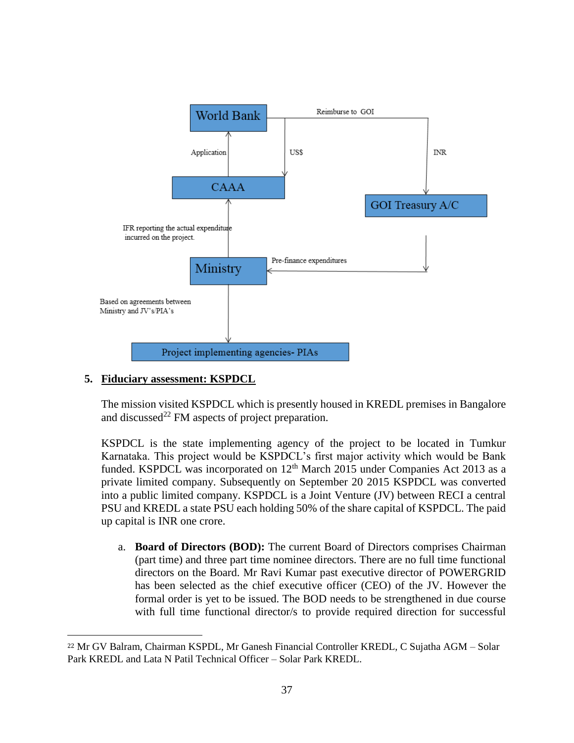

### **5. Fiduciary assessment: KSPDCL**

 $\overline{a}$ 

The mission visited KSPDCL which is presently housed in KREDL premises in Bangalore and discussed<sup>22</sup> FM aspects of project preparation.

KSPDCL is the state implementing agency of the project to be located in Tumkur Karnataka. This project would be KSPDCL's first major activity which would be Bank funded. KSPDCL was incorporated on  $12<sup>th</sup>$  March 2015 under Companies Act 2013 as a private limited company. Subsequently on September 20 2015 KSPDCL was converted into a public limited company. KSPDCL is a Joint Venture (JV) between RECI a central PSU and KREDL a state PSU each holding 50% of the share capital of KSPDCL. The paid up capital is INR one crore.

a. **Board of Directors (BOD):** The current Board of Directors comprises Chairman (part time) and three part time nominee directors. There are no full time functional directors on the Board. Mr Ravi Kumar past executive director of POWERGRID has been selected as the chief executive officer (CEO) of the JV. However the formal order is yet to be issued. The BOD needs to be strengthened in due course with full time functional director/s to provide required direction for successful

<sup>22</sup> Mr GV Balram, Chairman KSPDL, Mr Ganesh Financial Controller KREDL, C Sujatha AGM – Solar Park KREDL and Lata N Patil Technical Officer – Solar Park KREDL.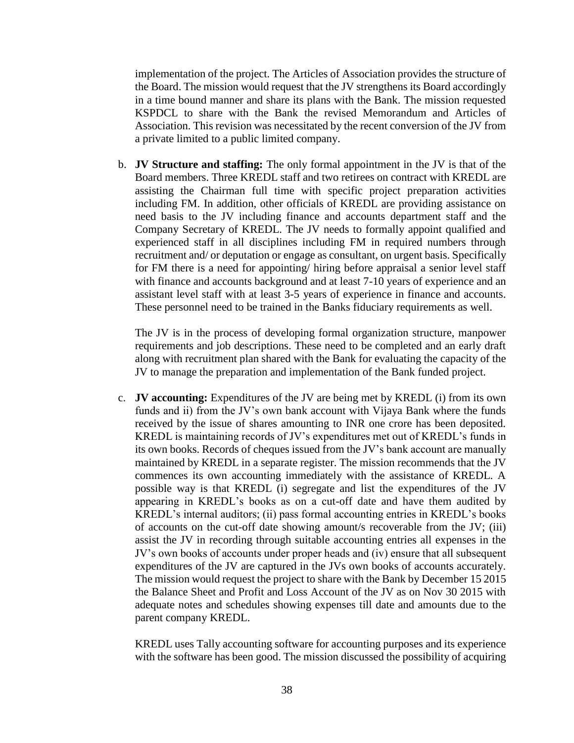implementation of the project. The Articles of Association provides the structure of the Board. The mission would request that the JV strengthens its Board accordingly in a time bound manner and share its plans with the Bank. The mission requested KSPDCL to share with the Bank the revised Memorandum and Articles of Association. This revision was necessitated by the recent conversion of the JV from a private limited to a public limited company.

b. **JV Structure and staffing:** The only formal appointment in the JV is that of the Board members. Three KREDL staff and two retirees on contract with KREDL are assisting the Chairman full time with specific project preparation activities including FM. In addition, other officials of KREDL are providing assistance on need basis to the JV including finance and accounts department staff and the Company Secretary of KREDL. The JV needs to formally appoint qualified and experienced staff in all disciplines including FM in required numbers through recruitment and/ or deputation or engage as consultant, on urgent basis. Specifically for FM there is a need for appointing/ hiring before appraisal a senior level staff with finance and accounts background and at least 7-10 years of experience and an assistant level staff with at least 3-5 years of experience in finance and accounts. These personnel need to be trained in the Banks fiduciary requirements as well.

The JV is in the process of developing formal organization structure, manpower requirements and job descriptions. These need to be completed and an early draft along with recruitment plan shared with the Bank for evaluating the capacity of the JV to manage the preparation and implementation of the Bank funded project.

c. **JV accounting:** Expenditures of the JV are being met by KREDL (i) from its own funds and ii) from the JV's own bank account with Vijaya Bank where the funds received by the issue of shares amounting to INR one crore has been deposited. KREDL is maintaining records of JV's expenditures met out of KREDL's funds in its own books. Records of cheques issued from the JV's bank account are manually maintained by KREDL in a separate register. The mission recommends that the JV commences its own accounting immediately with the assistance of KREDL. A possible way is that KREDL (i) segregate and list the expenditures of the JV appearing in KREDL's books as on a cut-off date and have them audited by KREDL's internal auditors; (ii) pass formal accounting entries in KREDL's books of accounts on the cut-off date showing amount/s recoverable from the JV; (iii) assist the JV in recording through suitable accounting entries all expenses in the JV's own books of accounts under proper heads and (iv) ensure that all subsequent expenditures of the JV are captured in the JVs own books of accounts accurately. The mission would request the project to share with the Bank by December 15 2015 the Balance Sheet and Profit and Loss Account of the JV as on Nov 30 2015 with adequate notes and schedules showing expenses till date and amounts due to the parent company KREDL.

KREDL uses Tally accounting software for accounting purposes and its experience with the software has been good. The mission discussed the possibility of acquiring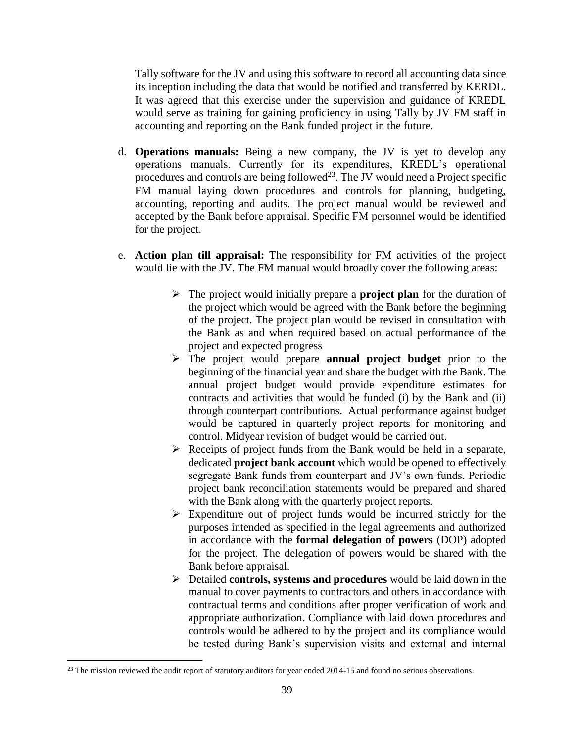Tally software for the JV and using this software to record all accounting data since its inception including the data that would be notified and transferred by KERDL. It was agreed that this exercise under the supervision and guidance of KREDL would serve as training for gaining proficiency in using Tally by JV FM staff in accounting and reporting on the Bank funded project in the future.

- d. **Operations manuals:** Being a new company, the JV is yet to develop any operations manuals. Currently for its expenditures, KREDL's operational procedures and controls are being followed<sup>23</sup>. The JV would need a Project specific FM manual laying down procedures and controls for planning, budgeting, accounting, reporting and audits. The project manual would be reviewed and accepted by the Bank before appraisal. Specific FM personnel would be identified for the project.
- e. **Action plan till appraisal:** The responsibility for FM activities of the project would lie with the JV. The FM manual would broadly cover the following areas:
	- The projec**t** would initially prepare a **project plan** for the duration of the project which would be agreed with the Bank before the beginning of the project. The project plan would be revised in consultation with the Bank as and when required based on actual performance of the project and expected progress
	- The project would prepare **annual project budget** prior to the beginning of the financial year and share the budget with the Bank. The annual project budget would provide expenditure estimates for contracts and activities that would be funded (i) by the Bank and (ii) through counterpart contributions. Actual performance against budget would be captured in quarterly project reports for monitoring and control. Midyear revision of budget would be carried out.
	- $\triangleright$  Receipts of project funds from the Bank would be held in a separate, dedicated **project bank account** which would be opened to effectively segregate Bank funds from counterpart and JV's own funds. Periodic project bank reconciliation statements would be prepared and shared with the Bank along with the quarterly project reports.
	- $\triangleright$  Expenditure out of project funds would be incurred strictly for the purposes intended as specified in the legal agreements and authorized in accordance with the **formal delegation of powers** (DOP) adopted for the project. The delegation of powers would be shared with the Bank before appraisal.
	- Detailed **controls, systems and procedures** would be laid down in the manual to cover payments to contractors and others in accordance with contractual terms and conditions after proper verification of work and appropriate authorization. Compliance with laid down procedures and controls would be adhered to by the project and its compliance would be tested during Bank's supervision visits and external and internal

 $23$  The mission reviewed the audit report of statutory auditors for year ended 2014-15 and found no serious observations.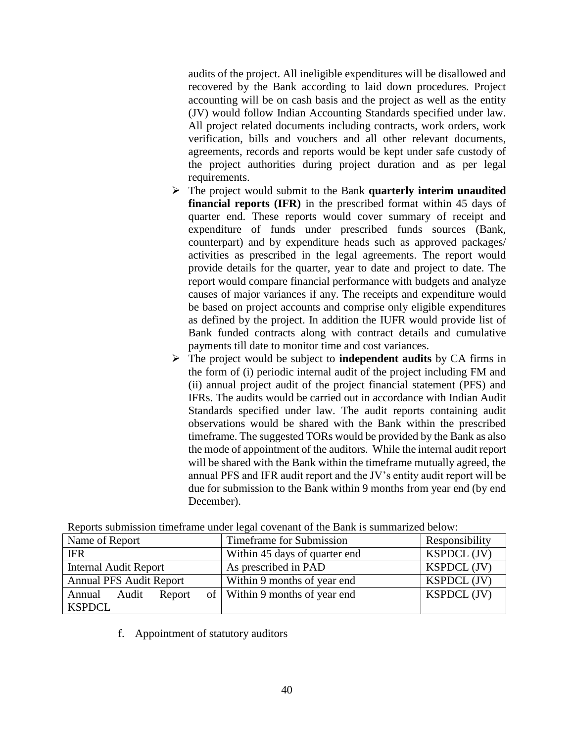audits of the project. All ineligible expenditures will be disallowed and recovered by the Bank according to laid down procedures. Project accounting will be on cash basis and the project as well as the entity (JV) would follow Indian Accounting Standards specified under law. All project related documents including contracts, work orders, work verification, bills and vouchers and all other relevant documents, agreements, records and reports would be kept under safe custody of the project authorities during project duration and as per legal requirements.

- The project would submit to the Bank **quarterly interim unaudited financial reports (IFR)** in the prescribed format within 45 days of quarter end. These reports would cover summary of receipt and expenditure of funds under prescribed funds sources (Bank, counterpart) and by expenditure heads such as approved packages/ activities as prescribed in the legal agreements. The report would provide details for the quarter, year to date and project to date. The report would compare financial performance with budgets and analyze causes of major variances if any. The receipts and expenditure would be based on project accounts and comprise only eligible expenditures as defined by the project. In addition the IUFR would provide list of Bank funded contracts along with contract details and cumulative payments till date to monitor time and cost variances.
- The project would be subject to **independent audits** by CA firms in the form of (i) periodic internal audit of the project including FM and (ii) annual project audit of the project financial statement (PFS) and IFRs. The audits would be carried out in accordance with Indian Audit Standards specified under law. The audit reports containing audit observations would be shared with the Bank within the prescribed timeframe. The suggested TORs would be provided by the Bank as also the mode of appointment of the auditors. While the internal audit report will be shared with the Bank within the timeframe mutually agreed, the annual PFS and IFR audit report and the JV's entity audit report will be due for submission to the Bank within 9 months from year end (by end December).

| $\ldots$ , and $\ldots$ are considered to the contract of $\alpha$ . The contract $\alpha$ is the contract of $\alpha$ and $\alpha$ and $\alpha$ |                                  |                    |  |  |
|--------------------------------------------------------------------------------------------------------------------------------------------------|----------------------------------|--------------------|--|--|
| Name of Report                                                                                                                                   | Timeframe for Submission         | Responsibility     |  |  |
| <b>IFR</b>                                                                                                                                       | Within 45 days of quarter end    | <b>KSPDCL</b> (JV) |  |  |
| <b>Internal Audit Report</b>                                                                                                                     | As prescribed in PAD             | <b>KSPDCL</b> (JV) |  |  |
| <b>Annual PFS Audit Report</b>                                                                                                                   | Within 9 months of year end      | <b>KSPDCL</b> (JV) |  |  |
| Annual<br>Audit<br>Report                                                                                                                        | of   Within 9 months of year end | <b>KSPDCL</b> (JV) |  |  |
| <b>KSPDCL</b>                                                                                                                                    |                                  |                    |  |  |

Reports submission timeframe under legal covenant of the Bank is summarized below:

f. Appointment of statutory auditors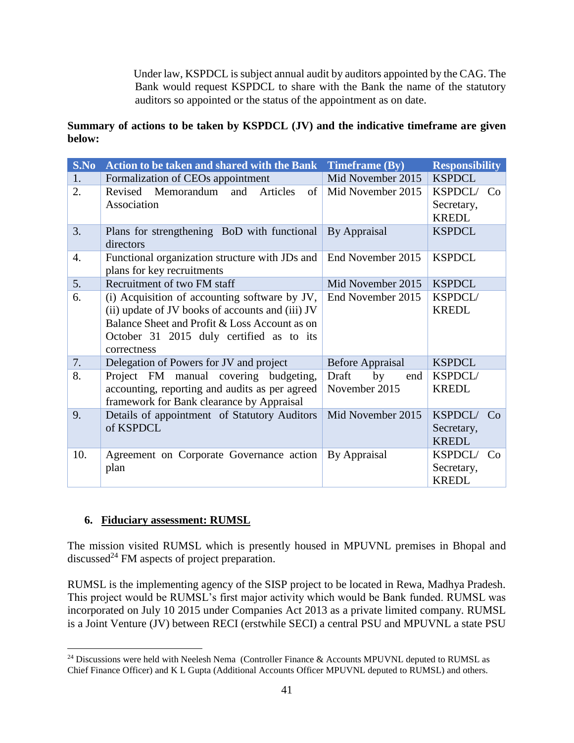Under law, KSPDCL is subject annual audit by auditors appointed by the CAG. The Bank would request KSPDCL to share with the Bank the name of the statutory auditors so appointed or the status of the appointment as on date.

# **Summary of actions to be taken by KSPDCL (JV) and the indicative timeframe are given below:**

| S.No | <b>Action to be taken and shared with the Bank Timeframe (By)</b>            |                         | <b>Responsibility</b> |
|------|------------------------------------------------------------------------------|-------------------------|-----------------------|
| 1.   | Formalization of CEOs appointment                                            | Mid November 2015       | <b>KSPDCL</b>         |
| 2.   | Revised Memorandum<br>and<br>Articles<br>of                                  | Mid November 2015       | KSPDCL/ Co            |
|      | Association                                                                  |                         | Secretary,            |
|      |                                                                              |                         | <b>KREDL</b>          |
| 3.   | Plans for strengthening BoD with functional                                  | By Appraisal            | <b>KSPDCL</b>         |
|      | directors                                                                    |                         |                       |
| 4.   | Functional organization structure with JDs and<br>plans for key recruitments | End November 2015       | <b>KSPDCL</b>         |
| 5.   | Recruitment of two FM staff                                                  | Mid November 2015       | <b>KSPDCL</b>         |
| 6.   | (i) Acquisition of accounting software by JV,                                | End November 2015       | KSPDCL/               |
|      | (ii) update of JV books of accounts and (iii) JV                             |                         | <b>KREDL</b>          |
|      | Balance Sheet and Profit & Loss Account as on                                |                         |                       |
|      | October 31 2015 duly certified as to its                                     |                         |                       |
|      | correctness                                                                  |                         |                       |
| 7.   | Delegation of Powers for JV and project                                      | <b>Before Appraisal</b> | <b>KSPDCL</b>         |
| 8.   | Project FM manual covering budgeting,                                        | Draft<br>by<br>end      | KSPDCL/               |
|      | accounting, reporting and audits as per agreed                               | November 2015           | <b>KREDL</b>          |
|      | framework for Bank clearance by Appraisal                                    |                         |                       |
| 9.   | Details of appointment of Statutory Auditors                                 | Mid November 2015       | KSPDCL/<br>Co         |
|      | of KSPDCL                                                                    |                         | Secretary,            |
|      |                                                                              |                         | <b>KREDL</b>          |
| 10.  | Agreement on Corporate Governance action                                     | By Appraisal            | KSPDCL/<br>Co         |
|      | plan                                                                         |                         | Secretary,            |
|      |                                                                              |                         | <b>KREDL</b>          |

### **6. Fiduciary assessment: RUMSL**

 $\overline{a}$ 

The mission visited RUMSL which is presently housed in MPUVNL premises in Bhopal and discussed<sup>24</sup> FM aspects of project preparation.

RUMSL is the implementing agency of the SISP project to be located in Rewa, Madhya Pradesh. This project would be RUMSL's first major activity which would be Bank funded. RUMSL was incorporated on July 10 2015 under Companies Act 2013 as a private limited company. RUMSL is a Joint Venture (JV) between RECI (erstwhile SECI) a central PSU and MPUVNL a state PSU

<sup>&</sup>lt;sup>24</sup> Discussions were held with Neelesh Nema (Controller Finance & Accounts MPUVNL deputed to RUMSL as Chief Finance Officer) and K L Gupta (Additional Accounts Officer MPUVNL deputed to RUMSL) and others.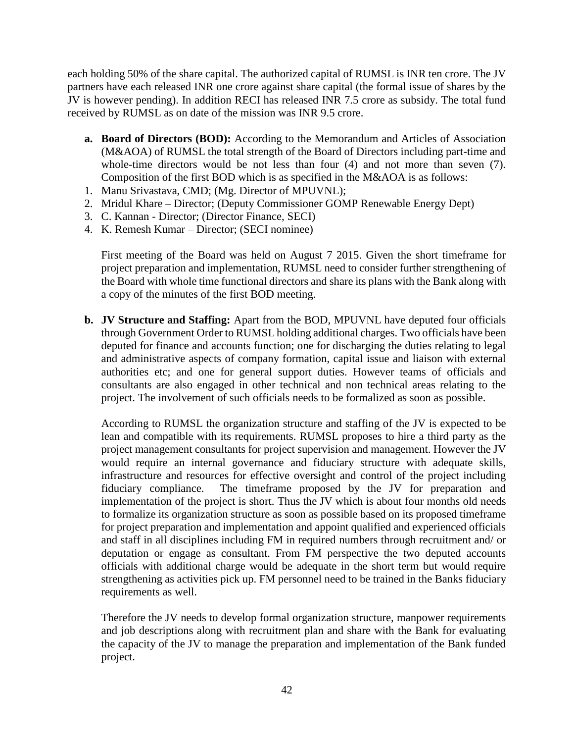each holding 50% of the share capital. The authorized capital of RUMSL is INR ten crore. The JV partners have each released INR one crore against share capital (the formal issue of shares by the JV is however pending). In addition RECI has released INR 7.5 crore as subsidy. The total fund received by RUMSL as on date of the mission was INR 9.5 crore.

- **a. Board of Directors (BOD):** According to the Memorandum and Articles of Association (M&AOA) of RUMSL the total strength of the Board of Directors including part-time and whole-time directors would be not less than four (4) and not more than seven (7). Composition of the first BOD which is as specified in the M&AOA is as follows:
- 1. Manu Srivastava, CMD; (Mg. Director of MPUVNL);
- 2. Mridul Khare Director; (Deputy Commissioner GOMP Renewable Energy Dept)
- 3. C. Kannan Director; (Director Finance, SECI)
- 4. K. Remesh Kumar Director; (SECI nominee)

First meeting of the Board was held on August 7 2015. Given the short timeframe for project preparation and implementation, RUMSL need to consider further strengthening of the Board with whole time functional directors and share its plans with the Bank along with a copy of the minutes of the first BOD meeting.

**b. JV Structure and Staffing:** Apart from the BOD, MPUVNL have deputed four officials through Government Order to RUMSL holding additional charges. Two officials have been deputed for finance and accounts function; one for discharging the duties relating to legal and administrative aspects of company formation, capital issue and liaison with external authorities etc; and one for general support duties. However teams of officials and consultants are also engaged in other technical and non technical areas relating to the project. The involvement of such officials needs to be formalized as soon as possible.

According to RUMSL the organization structure and staffing of the JV is expected to be lean and compatible with its requirements. RUMSL proposes to hire a third party as the project management consultants for project supervision and management. However the JV would require an internal governance and fiduciary structure with adequate skills, infrastructure and resources for effective oversight and control of the project including fiduciary compliance. The timeframe proposed by the JV for preparation and implementation of the project is short. Thus the JV which is about four months old needs to formalize its organization structure as soon as possible based on its proposed timeframe for project preparation and implementation and appoint qualified and experienced officials and staff in all disciplines including FM in required numbers through recruitment and/ or deputation or engage as consultant. From FM perspective the two deputed accounts officials with additional charge would be adequate in the short term but would require strengthening as activities pick up. FM personnel need to be trained in the Banks fiduciary requirements as well.

Therefore the JV needs to develop formal organization structure, manpower requirements and job descriptions along with recruitment plan and share with the Bank for evaluating the capacity of the JV to manage the preparation and implementation of the Bank funded project.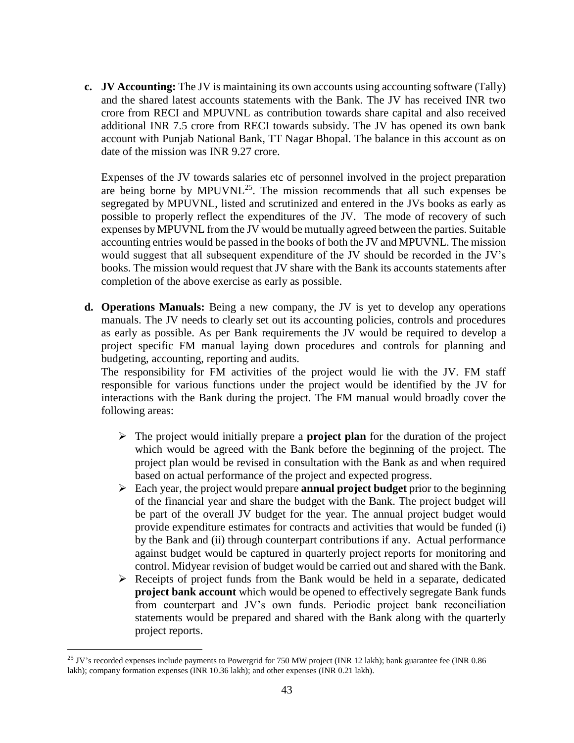**c. JV Accounting:** The JV is maintaining its own accounts using accounting software (Tally) and the shared latest accounts statements with the Bank. The JV has received INR two crore from RECI and MPUVNL as contribution towards share capital and also received additional INR 7.5 crore from RECI towards subsidy. The JV has opened its own bank account with Punjab National Bank, TT Nagar Bhopal. The balance in this account as on date of the mission was INR 9.27 crore.

Expenses of the JV towards salaries etc of personnel involved in the project preparation are being borne by  $MPUVNL^{25}$ . The mission recommends that all such expenses be segregated by MPUVNL, listed and scrutinized and entered in the JVs books as early as possible to properly reflect the expenditures of the JV. The mode of recovery of such expenses by MPUVNL from the JV would be mutually agreed between the parties. Suitable accounting entries would be passed in the books of both the JV and MPUVNL. The mission would suggest that all subsequent expenditure of the JV should be recorded in the JV's books. The mission would request that JV share with the Bank its accounts statements after completion of the above exercise as early as possible.

**d. Operations Manuals:** Being a new company, the JV is yet to develop any operations manuals. The JV needs to clearly set out its accounting policies, controls and procedures as early as possible. As per Bank requirements the JV would be required to develop a project specific FM manual laying down procedures and controls for planning and budgeting, accounting, reporting and audits.

The responsibility for FM activities of the project would lie with the JV. FM staff responsible for various functions under the project would be identified by the JV for interactions with the Bank during the project. The FM manual would broadly cover the following areas:

- $\triangleright$  The project would initially prepare a **project plan** for the duration of the project which would be agreed with the Bank before the beginning of the project. The project plan would be revised in consultation with the Bank as and when required based on actual performance of the project and expected progress.
- Each year, the project would prepare **annual project budget** prior to the beginning of the financial year and share the budget with the Bank. The project budget will be part of the overall JV budget for the year. The annual project budget would provide expenditure estimates for contracts and activities that would be funded (i) by the Bank and (ii) through counterpart contributions if any. Actual performance against budget would be captured in quarterly project reports for monitoring and control. Midyear revision of budget would be carried out and shared with the Bank.
- $\triangleright$  Receipts of project funds from the Bank would be held in a separate, dedicated **project bank account** which would be opened to effectively segregate Bank funds from counterpart and JV's own funds. Periodic project bank reconciliation statements would be prepared and shared with the Bank along with the quarterly project reports.

<sup>&</sup>lt;sup>25</sup> JV's recorded expenses include payments to Powergrid for 750 MW project (INR 12 lakh); bank guarantee fee (INR 0.86 lakh); company formation expenses (INR 10.36 lakh); and other expenses (INR 0.21 lakh).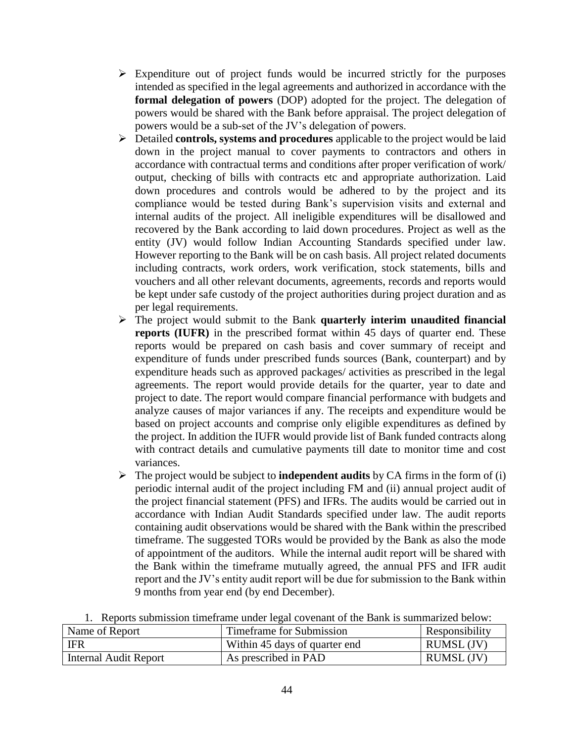- $\triangleright$  Expenditure out of project funds would be incurred strictly for the purposes intended as specified in the legal agreements and authorized in accordance with the **formal delegation of powers** (DOP) adopted for the project. The delegation of powers would be shared with the Bank before appraisal. The project delegation of powers would be a sub-set of the JV's delegation of powers.
- Detailed **controls, systems and procedures** applicable to the project would be laid down in the project manual to cover payments to contractors and others in accordance with contractual terms and conditions after proper verification of work/ output, checking of bills with contracts etc and appropriate authorization. Laid down procedures and controls would be adhered to by the project and its compliance would be tested during Bank's supervision visits and external and internal audits of the project. All ineligible expenditures will be disallowed and recovered by the Bank according to laid down procedures. Project as well as the entity (JV) would follow Indian Accounting Standards specified under law. However reporting to the Bank will be on cash basis. All project related documents including contracts, work orders, work verification, stock statements, bills and vouchers and all other relevant documents, agreements, records and reports would be kept under safe custody of the project authorities during project duration and as per legal requirements.
- The project would submit to the Bank **quarterly interim unaudited financial reports (IUFR)** in the prescribed format within 45 days of quarter end. These reports would be prepared on cash basis and cover summary of receipt and expenditure of funds under prescribed funds sources (Bank, counterpart) and by expenditure heads such as approved packages/ activities as prescribed in the legal agreements. The report would provide details for the quarter, year to date and project to date. The report would compare financial performance with budgets and analyze causes of major variances if any. The receipts and expenditure would be based on project accounts and comprise only eligible expenditures as defined by the project. In addition the IUFR would provide list of Bank funded contracts along with contract details and cumulative payments till date to monitor time and cost variances.
- $\triangleright$  The project would be subject to **independent audits** by CA firms in the form of (i) periodic internal audit of the project including FM and (ii) annual project audit of the project financial statement (PFS) and IFRs. The audits would be carried out in accordance with Indian Audit Standards specified under law. The audit reports containing audit observations would be shared with the Bank within the prescribed timeframe. The suggested TORs would be provided by the Bank as also the mode of appointment of the auditors. While the internal audit report will be shared with the Bank within the timeframe mutually agreed, the annual PFS and IFR audit report and the JV's entity audit report will be due for submission to the Bank within 9 months from year end (by end December).

| Reports submission time frame under legal covenant of the Bank is summarized below: |                          |                |  |
|-------------------------------------------------------------------------------------|--------------------------|----------------|--|
| Name of Report                                                                      | Timeframe for Submission | Responsibility |  |

| Name of Report        | Timetrame for Submission      | Responsibility    |
|-----------------------|-------------------------------|-------------------|
| <b>IFR</b>            | Within 45 days of quarter end | <b>RUMSL (JV)</b> |
| Internal Audit Report | As prescribed in PAD          | <b>RUMSL (JV)</b> |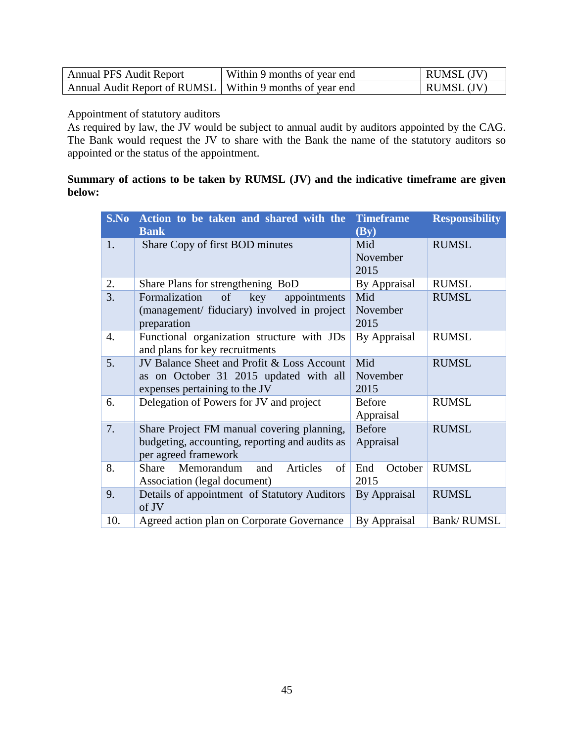| <b>Annual PFS Audit Report</b>                             | Within 9 months of year end | <b>RUMSL</b> (JV) |
|------------------------------------------------------------|-----------------------------|-------------------|
| Annual Audit Report of RUMSL   Within 9 months of year end |                             | <b>RUMSL</b> (JV) |

Appointment of statutory auditors

As required by law, the JV would be subject to annual audit by auditors appointed by the CAG. The Bank would request the JV to share with the Bank the name of the statutory auditors so appointed or the status of the appointment.

## **Summary of actions to be taken by RUMSL (JV) and the indicative timeframe are given below:**

|     | S.No Action to be taken and shared with the    | <b>Timeframe</b> | <b>Responsibility</b> |
|-----|------------------------------------------------|------------------|-----------------------|
|     | <b>Bank</b>                                    | (By)             |                       |
| 1.  | Share Copy of first BOD minutes                | Mid              | <b>RUMSL</b>          |
|     |                                                | November         |                       |
|     |                                                | 2015             |                       |
| 2.  | Share Plans for strengthening BoD              | By Appraisal     | <b>RUMSL</b>          |
| 3.  | of<br>Formalization<br>key<br>appointments     | Mid              | <b>RUMSL</b>          |
|     | (management/ fiduciary) involved in project    | November         |                       |
|     | preparation                                    | 2015             |                       |
| 4.  | Functional organization structure with JDs     | By Appraisal     | <b>RUMSL</b>          |
|     | and plans for key recruitments                 |                  |                       |
| 5.  | JV Balance Sheet and Profit & Loss Account     | Mid              | <b>RUMSL</b>          |
|     | as on October 31 2015 updated with all         | November         |                       |
|     | expenses pertaining to the JV                  | 2015             |                       |
| 6.  | Delegation of Powers for JV and project        | <b>Before</b>    | <b>RUMSL</b>          |
|     |                                                | Appraisal        |                       |
| 7.  | Share Project FM manual covering planning,     | <b>Before</b>    | <b>RUMSL</b>          |
|     | budgeting, accounting, reporting and audits as | Appraisal        |                       |
|     | per agreed framework                           |                  |                       |
| 8.  | Memorandum<br>of<br>Share<br>Articles<br>and   | End<br>October   | <b>RUMSL</b>          |
|     | Association (legal document)                   | 2015             |                       |
| 9.  | Details of appointment of Statutory Auditors   | By Appraisal     | <b>RUMSL</b>          |
|     | of JV                                          |                  |                       |
| 10. | Agreed action plan on Corporate Governance     | By Appraisal     | <b>Bank/RUMSL</b>     |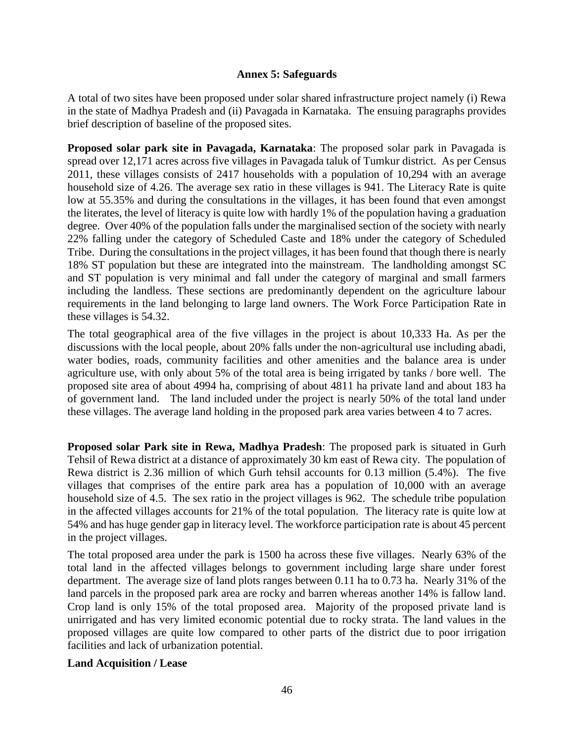#### **Annex 5: Safeguards**

<span id="page-55-0"></span>A total of two sites have been proposed under solar shared infrastructure project namely (i) Rewa in the state of Madhya Pradesh and (ii) Pavagada in Karnataka. The ensuing paragraphs provides brief description of baseline of the proposed sites.

**Proposed solar park site in Pavagada, Karnataka**: The proposed solar park in Pavagada is spread over 12,171 acres across five villages in Pavagada taluk of Tumkur district. As per Census 2011, these villages consists of 2417 households with a population of 10,294 with an average household size of 4.26. The average sex ratio in these villages is 941. The Literacy Rate is quite low at 55.35% and during the consultations in the villages, it has been found that even amongst the literates, the level of literacy is quite low with hardly 1% of the population having a graduation degree. Over 40% of the population falls under the marginalised section of the society with nearly 22% falling under the category of Scheduled Caste and 18% under the category of Scheduled Tribe. During the consultations in the project villages, it has been found that though there is nearly 18% ST population but these are integrated into the mainstream. The landholding amongst SC and ST population is very minimal and fall under the category of marginal and small farmers including the landless. These sections are predominantly dependent on the agriculture labour requirements in the land belonging to large land owners. The Work Force Participation Rate in these villages is 54.32.

The total geographical area of the five villages in the project is about 10,333 Ha. As per the discussions with the local people, about 20% falls under the non-agricultural use including abadi, water bodies, roads, community facilities and other amenities and the balance area is under agriculture use, with only about 5% of the total area is being irrigated by tanks / bore well. The proposed site area of about 4994 ha, comprising of about 4811 ha private land and about 183 ha of government land. The land included under the project is nearly 50% of the total land under these villages. The average land holding in the proposed park area varies between 4 to 7 acres.

**Proposed solar Park site in Rewa, Madhya Pradesh**: The proposed park is situated in Gurh Tehsil of Rewa district at a distance of approximately 30 km east of Rewa city. The population of Rewa district is 2.36 million of which Gurh tehsil accounts for 0.13 million (5.4%). The five villages that comprises of the entire park area has a population of 10,000 with an average household size of 4.5. The sex ratio in the project villages is 962. The schedule tribe population in the affected villages accounts for 21% of the total population. The literacy rate is quite low at 54% and has huge gender gap in literacy level. The workforce participation rate is about 45 percent in the project villages.

The total proposed area under the park is 1500 ha across these five villages. Nearly 63% of the total land in the affected villages belongs to government including large share under forest department. The average size of land plots ranges between 0.11 ha to 0.73 ha. Nearly 31% of the land parcels in the proposed park area are rocky and barren whereas another 14% is fallow land. Crop land is only 15% of the total proposed area. Majority of the proposed private land is unirrigated and has very limited economic potential due to rocky strata. The land values in the proposed villages are quite low compared to other parts of the district due to poor irrigation facilities and lack of urbanization potential.

### **Land Acquisition / Lease**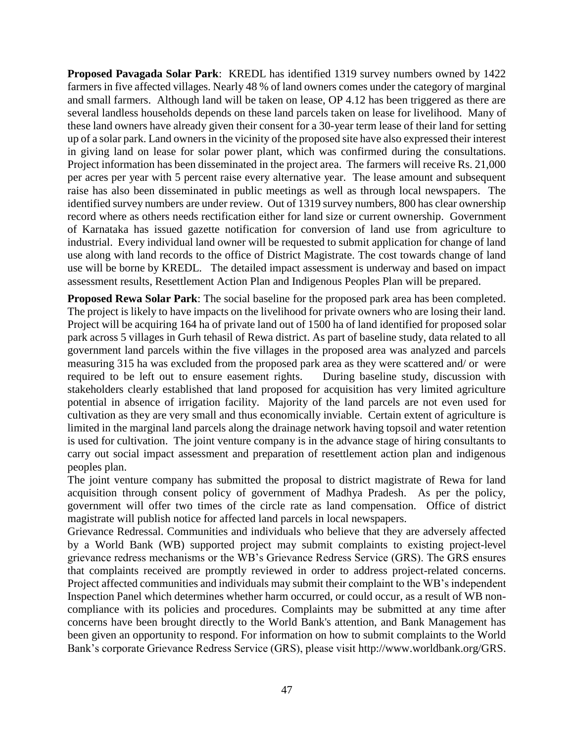**Proposed Pavagada Solar Park**: KREDL has identified 1319 survey numbers owned by 1422 farmers in five affected villages. Nearly 48 % of land owners comes under the category of marginal and small farmers. Although land will be taken on lease, OP 4.12 has been triggered as there are several landless households depends on these land parcels taken on lease for livelihood. Many of these land owners have already given their consent for a 30-year term lease of their land for setting up of a solar park. Land owners in the vicinity of the proposed site have also expressed their interest in giving land on lease for solar power plant, which was confirmed during the consultations. Project information has been disseminated in the project area. The farmers will receive Rs. 21,000 per acres per year with 5 percent raise every alternative year. The lease amount and subsequent raise has also been disseminated in public meetings as well as through local newspapers. The identified survey numbers are under review. Out of 1319 survey numbers, 800 has clear ownership record where as others needs rectification either for land size or current ownership. Government of Karnataka has issued gazette notification for conversion of land use from agriculture to industrial. Every individual land owner will be requested to submit application for change of land use along with land records to the office of District Magistrate. The cost towards change of land use will be borne by KREDL. The detailed impact assessment is underway and based on impact assessment results, Resettlement Action Plan and Indigenous Peoples Plan will be prepared.

**Proposed Rewa Solar Park**: The social baseline for the proposed park area has been completed. The project is likely to have impacts on the livelihood for private owners who are losing their land. Project will be acquiring 164 ha of private land out of 1500 ha of land identified for proposed solar park across 5 villages in Gurh tehasil of Rewa district. As part of baseline study, data related to all government land parcels within the five villages in the proposed area was analyzed and parcels measuring 315 ha was excluded from the proposed park area as they were scattered and/ or were required to be left out to ensure easement rights. During baseline study, discussion with stakeholders clearly established that land proposed for acquisition has very limited agriculture potential in absence of irrigation facility. Majority of the land parcels are not even used for cultivation as they are very small and thus economically inviable. Certain extent of agriculture is limited in the marginal land parcels along the drainage network having topsoil and water retention is used for cultivation. The joint venture company is in the advance stage of hiring consultants to carry out social impact assessment and preparation of resettlement action plan and indigenous peoples plan.

The joint venture company has submitted the proposal to district magistrate of Rewa for land acquisition through consent policy of government of Madhya Pradesh. As per the policy, government will offer two times of the circle rate as land compensation. Office of district magistrate will publish notice for affected land parcels in local newspapers.

Grievance Redressal. Communities and individuals who believe that they are adversely affected by a World Bank (WB) supported project may submit complaints to existing project-level grievance redress mechanisms or the WB's Grievance Redress Service (GRS). The GRS ensures that complaints received are promptly reviewed in order to address project-related concerns. Project affected communities and individuals may submit their complaint to the WB's independent Inspection Panel which determines whether harm occurred, or could occur, as a result of WB noncompliance with its policies and procedures. Complaints may be submitted at any time after concerns have been brought directly to the World Bank's attention, and Bank Management has been given an opportunity to respond. For information on how to submit complaints to the World Bank's corporate Grievance Redress Service (GRS), please visit [http://www.worldbank.org/GRS.](http://www.worldbank.org/GRS)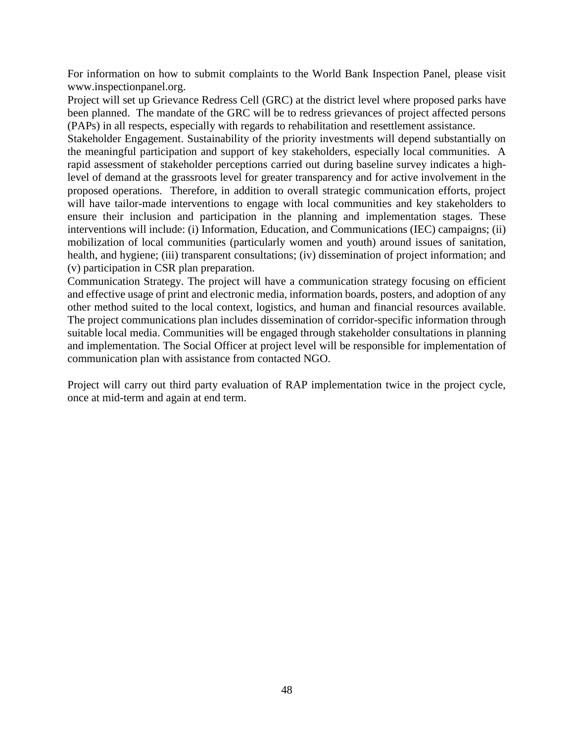For information on how to submit complaints to the World Bank Inspection Panel, please visit [www.inspectionpanel.org.](http://www.inspectionpanel.org/)

Project will set up Grievance Redress Cell (GRC) at the district level where proposed parks have been planned. The mandate of the GRC will be to redress grievances of project affected persons (PAPs) in all respects, especially with regards to rehabilitation and resettlement assistance.

Stakeholder Engagement. Sustainability of the priority investments will depend substantially on the meaningful participation and support of key stakeholders, especially local communities. A rapid assessment of stakeholder perceptions carried out during baseline survey indicates a highlevel of demand at the grassroots level for greater transparency and for active involvement in the proposed operations. Therefore, in addition to overall strategic communication efforts, project will have tailor-made interventions to engage with local communities and key stakeholders to ensure their inclusion and participation in the planning and implementation stages. These interventions will include: (i) Information, Education, and Communications (IEC) campaigns; (ii) mobilization of local communities (particularly women and youth) around issues of sanitation, health, and hygiene; (iii) transparent consultations; (iv) dissemination of project information; and (v) participation in CSR plan preparation.

Communication Strategy. The project will have a communication strategy focusing on efficient and effective usage of print and electronic media, information boards, posters, and adoption of any other method suited to the local context, logistics, and human and financial resources available. The project communications plan includes dissemination of corridor-specific information through suitable local media. Communities will be engaged through stakeholder consultations in planning and implementation. The Social Officer at project level will be responsible for implementation of communication plan with assistance from contacted NGO.

Project will carry out third party evaluation of RAP implementation twice in the project cycle, once at mid-term and again at end term.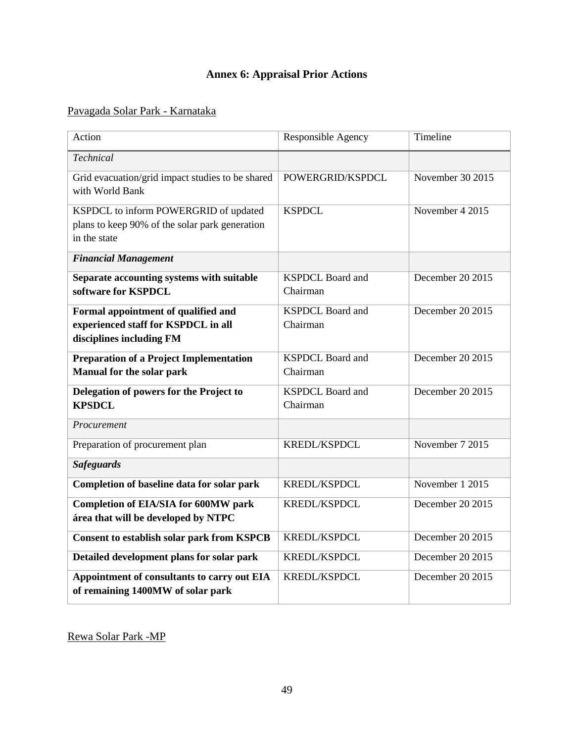# **Annex 6: Appraisal Prior Actions**

# <span id="page-58-0"></span>Pavagada Solar Park - Karnataka

| Action                                                                                                  | Responsible Agency                  | Timeline         |
|---------------------------------------------------------------------------------------------------------|-------------------------------------|------------------|
| <b>Technical</b>                                                                                        |                                     |                  |
| Grid evacuation/grid impact studies to be shared<br>with World Bank                                     | POWERGRID/KSPDCL                    | November 30 2015 |
| KSPDCL to inform POWERGRID of updated<br>plans to keep 90% of the solar park generation<br>in the state | <b>KSPDCL</b>                       | November 4 2015  |
| <b>Financial Management</b>                                                                             |                                     |                  |
| Separate accounting systems with suitable<br>software for KSPDCL                                        | <b>KSPDCL Board and</b><br>Chairman | December 20 2015 |
| Formal appointment of qualified and<br>experienced staff for KSPDCL in all<br>disciplines including FM  | <b>KSPDCL Board and</b><br>Chairman | December 20 2015 |
| <b>Preparation of a Project Implementation</b><br>Manual for the solar park                             | <b>KSPDCL Board and</b><br>Chairman | December 20 2015 |
| Delegation of powers for the Project to<br><b>KPSDCL</b>                                                | <b>KSPDCL Board and</b><br>Chairman | December 20 2015 |
| Procurement                                                                                             |                                     |                  |
| Preparation of procurement plan                                                                         | KREDL/KSPDCL                        | November 7 2015  |
| <b>Safeguards</b>                                                                                       |                                     |                  |
| Completion of baseline data for solar park                                                              | KREDL/KSPDCL                        | November 1 2015  |
| <b>Completion of EIA/SIA for 600MW park</b><br>área that will be developed by NTPC                      | KREDL/KSPDCL                        | December 20 2015 |
| <b>Consent to establish solar park from KSPCB</b>                                                       | KREDL/KSPDCL                        | December 20 2015 |
| Detailed development plans for solar park                                                               | KREDL/KSPDCL                        | December 20 2015 |
| Appointment of consultants to carry out EIA<br>of remaining 1400MW of solar park                        | KREDL/KSPDCL                        | December 20 2015 |

Rewa Solar Park -MP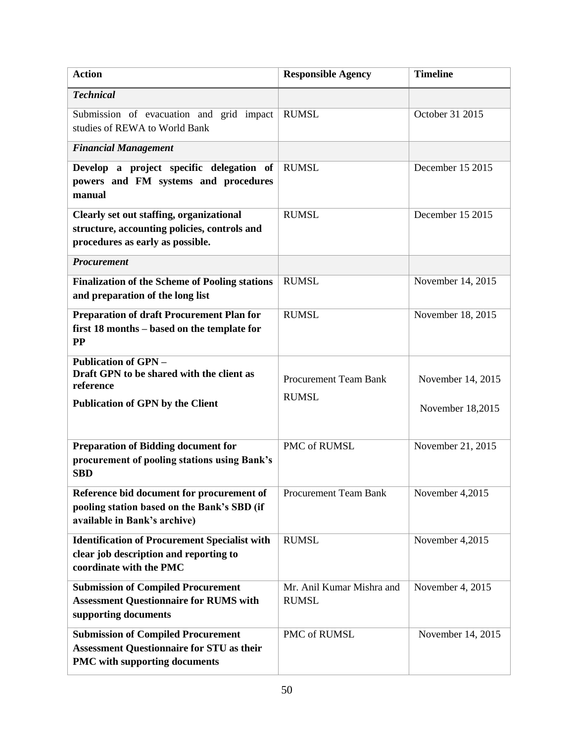| <b>Action</b>                                                                                                                         | <b>Responsible Agency</b>                    | <b>Timeline</b>                       |
|---------------------------------------------------------------------------------------------------------------------------------------|----------------------------------------------|---------------------------------------|
| <b>Technical</b>                                                                                                                      |                                              |                                       |
| Submission of evacuation and grid impact<br>studies of REWA to World Bank                                                             | <b>RUMSL</b>                                 | October 31 2015                       |
| <b>Financial Management</b>                                                                                                           |                                              |                                       |
| Develop a project specific delegation of<br>powers and FM systems and procedures<br>manual                                            | <b>RUMSL</b>                                 | December 15 2015                      |
| <b>Clearly set out staffing, organizational</b><br>structure, accounting policies, controls and<br>procedures as early as possible.   | <b>RUMSL</b>                                 | December 15 2015                      |
| <b>Procurement</b>                                                                                                                    |                                              |                                       |
| <b>Finalization of the Scheme of Pooling stations</b><br>and preparation of the long list                                             | <b>RUMSL</b>                                 | November 14, 2015                     |
| <b>Preparation of draft Procurement Plan for</b><br>first 18 months - based on the template for<br><b>PP</b>                          | <b>RUMSL</b>                                 | November 18, 2015                     |
| <b>Publication of GPN -</b><br>Draft GPN to be shared with the client as<br>reference<br><b>Publication of GPN by the Client</b>      | <b>Procurement Team Bank</b><br><b>RUMSL</b> | November 14, 2015<br>November 18,2015 |
| <b>Preparation of Bidding document for</b><br>procurement of pooling stations using Bank's<br><b>SBD</b>                              | PMC of RUMSL                                 | November 21, 2015                     |
| Reference bid document for procurement of<br>pooling station based on the Bank's SBD (if<br>available in Bank's archive)              | <b>Procurement Team Bank</b>                 | November 4,2015                       |
| <b>Identification of Procurement Specialist with</b><br>clear job description and reporting to<br>coordinate with the PMC             | <b>RUMSL</b>                                 | November 4,2015                       |
| <b>Submission of Compiled Procurement</b><br><b>Assessment Questionnaire for RUMS with</b><br>supporting documents                    | Mr. Anil Kumar Mishra and<br><b>RUMSL</b>    | November 4, 2015                      |
| <b>Submission of Compiled Procurement</b><br><b>Assessment Questionnaire for STU as their</b><br><b>PMC</b> with supporting documents | PMC of RUMSL                                 | November 14, 2015                     |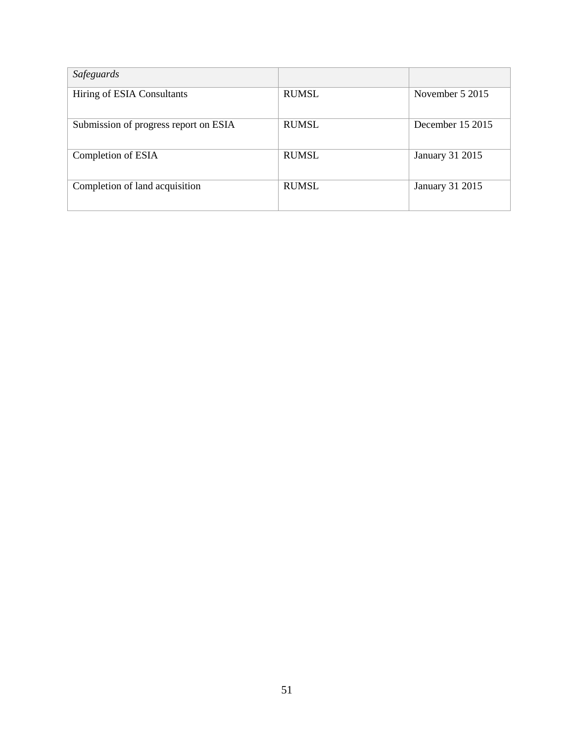| Safeguards                            |              |                        |
|---------------------------------------|--------------|------------------------|
| Hiring of ESIA Consultants            | <b>RUMSL</b> | November 5 2015        |
| Submission of progress report on ESIA | <b>RUMSL</b> | December 15 2015       |
| Completion of ESIA                    | <b>RUMSL</b> | <b>January 31 2015</b> |
| Completion of land acquisition        | <b>RUMSL</b> | <b>January 31 2015</b> |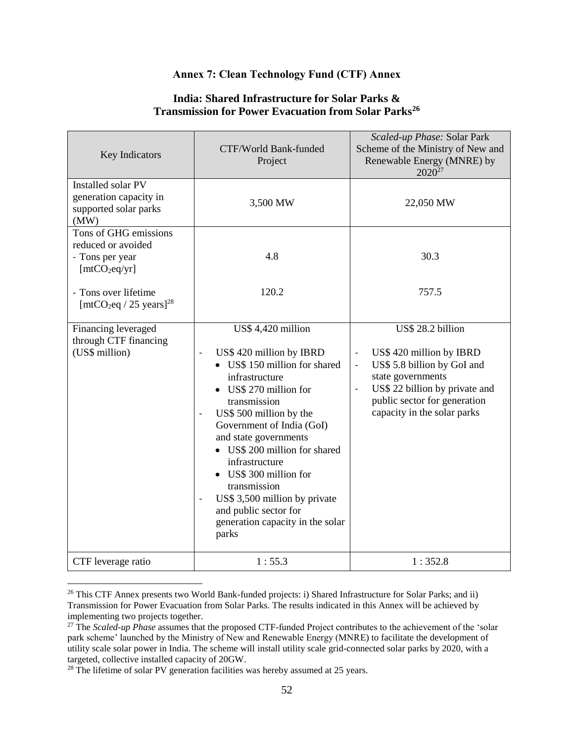### **Annex 7: Clean Technology Fund (CTF) Annex**

### **India: Shared Infrastructure for Solar Parks & Transmission for Power Evacuation from Solar Parks<sup>26</sup>**

<span id="page-61-0"></span>

| Key Indicators                                                                                                                                             | CTF/World Bank-funded<br>Project                                                                                                                                                                                                                                                                                                                                                                                                                                                       | Scaled-up Phase: Solar Park<br>Scheme of the Ministry of New and<br>Renewable Energy (MNRE) by<br>$2020^{27}$                                                                                      |
|------------------------------------------------------------------------------------------------------------------------------------------------------------|----------------------------------------------------------------------------------------------------------------------------------------------------------------------------------------------------------------------------------------------------------------------------------------------------------------------------------------------------------------------------------------------------------------------------------------------------------------------------------------|----------------------------------------------------------------------------------------------------------------------------------------------------------------------------------------------------|
| Installed solar PV<br>generation capacity in<br>supported solar parks<br>(MW)                                                                              | 3,500 MW                                                                                                                                                                                                                                                                                                                                                                                                                                                                               | 22,050 MW                                                                                                                                                                                          |
| Tons of GHG emissions<br>reduced or avoided<br>- Tons per year<br>[mtCO <sub>2</sub> eq/yr]<br>- Tons over lifetime<br>$[mtCO2eq / 25 \text{ years}]^{28}$ | 4.8<br>120.2                                                                                                                                                                                                                                                                                                                                                                                                                                                                           | 30.3<br>757.5                                                                                                                                                                                      |
| Financing leveraged<br>through CTF financing<br>(US\$ million)                                                                                             | US\$ 4,420 million<br>US\$ 420 million by IBRD<br>$\overline{a}$<br>• US\$ 150 million for shared<br>infrastructure<br>• US\$ 270 million for<br>transmission<br>US\$ 500 million by the<br>$\overline{a}$<br>Government of India (GoI)<br>and state governments<br>• US\$ 200 million for shared<br>infrastructure<br>• US\$ 300 million for<br>transmission<br>US\$ 3,500 million by private<br>$\overline{a}$<br>and public sector for<br>generation capacity in the solar<br>parks | US\$ 28.2 billion<br>US\$ 420 million by IBRD<br>US\$ 5.8 billion by GoI and<br>state governments<br>US\$ 22 billion by private and<br>public sector for generation<br>capacity in the solar parks |
| CTF leverage ratio                                                                                                                                         | 1:55.3                                                                                                                                                                                                                                                                                                                                                                                                                                                                                 | 1:352.8                                                                                                                                                                                            |

<sup>&</sup>lt;sup>26</sup> This CTF Annex presents two World Bank-funded projects: i) Shared Infrastructure for Solar Parks; and ii) Transmission for Power Evacuation from Solar Parks. The results indicated in this Annex will be achieved by implementing two projects together.

<sup>27</sup> The *Scaled-up Phase* assumes that the proposed CTF-funded Project contributes to the achievement of the 'solar park scheme' launched by the Ministry of New and Renewable Energy (MNRE) to facilitate the development of utility scale solar power in India. The scheme will install utility scale grid-connected solar parks by 2020, with a targeted, collective installed capacity of 20GW.

 $28$  The lifetime of solar PV generation facilities was hereby assumed at 25 years.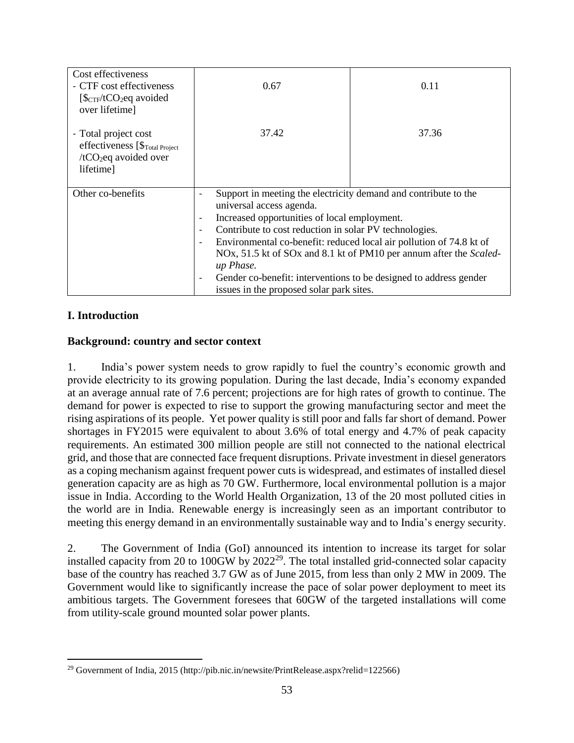| Cost effectiveness<br>- CTF cost effectiveness<br>$[\frac{6}{\text{CTF}}/tCO_2$ eq avoided<br>over lifetime]         | 0.67                                                                                                                                                                                                                                      | 0.11                                                                                                                                                                                                                                                                                                                                                                                        |  |
|----------------------------------------------------------------------------------------------------------------------|-------------------------------------------------------------------------------------------------------------------------------------------------------------------------------------------------------------------------------------------|---------------------------------------------------------------------------------------------------------------------------------------------------------------------------------------------------------------------------------------------------------------------------------------------------------------------------------------------------------------------------------------------|--|
| - Total project cost<br>effectiveness [\$ <sub>Total Project</sub><br>/tCO <sub>2</sub> eq avoided over<br>lifetime] | 37.42                                                                                                                                                                                                                                     | 37.36                                                                                                                                                                                                                                                                                                                                                                                       |  |
| Other co-benefits                                                                                                    | $\overline{\phantom{a}}$<br>universal access agenda.<br>$\qquad \qquad \blacksquare$<br>$\qquad \qquad \blacksquare$<br>$\qquad \qquad \blacksquare$<br>up Phase.<br>$\overline{\phantom{a}}$<br>issues in the proposed solar park sites. | Support in meeting the electricity demand and contribute to the<br>Increased opportunities of local employment.<br>Contribute to cost reduction in solar PV technologies.<br>Environmental co-benefit: reduced local air pollution of 74.8 kt of<br>NOx, 51.5 kt of SOx and 8.1 kt of PM10 per annum after the Scaled-<br>Gender co-benefit: interventions to be designed to address gender |  |

# **I. Introduction**

 $\overline{a}$ 

### **Background: country and sector context**

1. India's power system needs to grow rapidly to fuel the country's economic growth and provide electricity to its growing population. During the last decade, India's economy expanded at an average annual rate of 7.6 percent; projections are for high rates of growth to continue. The demand for power is expected to rise to support the growing manufacturing sector and meet the rising aspirations of its people. Yet power quality is still poor and falls far short of demand. Power shortages in FY2015 were equivalent to about 3.6% of total energy and 4.7% of peak capacity requirements. An estimated 300 million people are still not connected to the national electrical grid, and those that are connected face frequent disruptions. Private investment in diesel generators as a coping mechanism against frequent power cuts is widespread, and estimates of installed diesel generation capacity are as high as 70 GW. Furthermore, local environmental pollution is a major issue in India. According to the World Health Organization, 13 of the 20 most polluted cities in the world are in India. Renewable energy is increasingly seen as an important contributor to meeting this energy demand in an environmentally sustainable way and to India's energy security.

2. The Government of India (GoI) announced its intention to increase its target for solar installed capacity from 20 to 100GW by  $2022^{29}$ . The total installed grid-connected solar capacity base of the country has reached 3.7 GW as of June 2015, from less than only 2 MW in 2009. The Government would like to significantly increase the pace of solar power deployment to meet its ambitious targets. The Government foresees that 60GW of the targeted installations will come from utility-scale ground mounted solar power plants.

<sup>&</sup>lt;sup>29</sup> Government of India, 2015 (http://pib.nic.in/newsite/PrintRelease.aspx?relid=122566)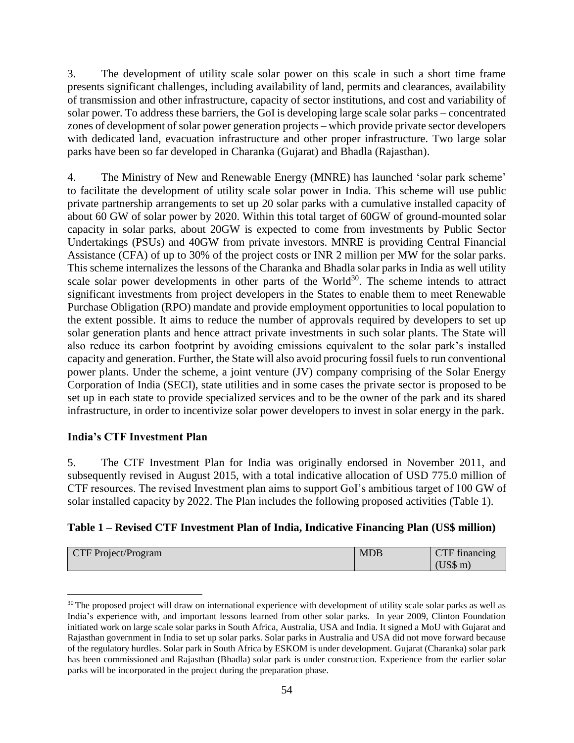3. The development of utility scale solar power on this scale in such a short time frame presents significant challenges, including availability of land, permits and clearances, availability of transmission and other infrastructure, capacity of sector institutions, and cost and variability of solar power. To address these barriers, the GoI is developing large scale solar parks – concentrated zones of development of solar power generation projects – which provide private sector developers with dedicated land, evacuation infrastructure and other proper infrastructure. Two large solar parks have been so far developed in Charanka (Gujarat) and Bhadla (Rajasthan).

4. The Ministry of New and Renewable Energy (MNRE) has launched 'solar park scheme' to facilitate the development of utility scale solar power in India. This scheme will use public private partnership arrangements to set up 20 solar parks with a cumulative installed capacity of about 60 GW of solar power by 2020. Within this total target of 60GW of ground-mounted solar capacity in solar parks, about 20GW is expected to come from investments by Public Sector Undertakings (PSUs) and 40GW from private investors. MNRE is providing Central Financial Assistance (CFA) of up to 30% of the project costs or INR 2 million per MW for the solar parks. This scheme internalizes the lessons of the Charanka and Bhadla solar parks in India as well utility scale solar power developments in other parts of the World<sup>30</sup>. The scheme intends to attract significant investments from project developers in the States to enable them to meet Renewable Purchase Obligation (RPO) mandate and provide employment opportunities to local population to the extent possible. It aims to reduce the number of approvals required by developers to set up solar generation plants and hence attract private investments in such solar plants. The State will also reduce its carbon footprint by avoiding emissions equivalent to the solar park's installed capacity and generation. Further, the State will also avoid procuring fossil fuels to run conventional power plants. Under the scheme, a joint venture (JV) company comprising of the Solar Energy Corporation of India (SECI), state utilities and in some cases the private sector is proposed to be set up in each state to provide specialized services and to be the owner of the park and its shared infrastructure, in order to incentivize solar power developers to invest in solar energy in the park.

### **India's CTF Investment Plan**

 $\overline{a}$ 

5. The CTF Investment Plan for India was originally endorsed in November 2011, and subsequently revised in August 2015, with a total indicative allocation of USD 775.0 million of CTF resources. The revised Investment plan aims to support GoI's ambitious target of 100 GW of solar installed capacity by 2022. The Plan includes the following proposed activities (Table 1).

### **Table 1 – Revised CTF Investment Plan of India, Indicative Financing Plan (US\$ million)**

| CTF Project/Program | <b>MDB</b> | CTF financing   |
|---------------------|------------|-----------------|
|                     |            | $\text{US}\$ m) |

<sup>&</sup>lt;sup>30</sup> The proposed project will draw on international experience with development of utility scale solar parks as well as India's experience with, and important lessons learned from other solar parks. In year 2009, Clinton Foundation initiated work on large scale solar parks in South Africa, Australia, USA and India. It signed a MoU with Gujarat and Rajasthan government in India to set up solar parks. Solar parks in Australia and USA did not move forward because of the regulatory hurdles. Solar park in South Africa by ESKOM is under development. Gujarat (Charanka) solar park has been commissioned and Rajasthan (Bhadla) solar park is under construction. Experience from the earlier solar parks will be incorporated in the project during the preparation phase.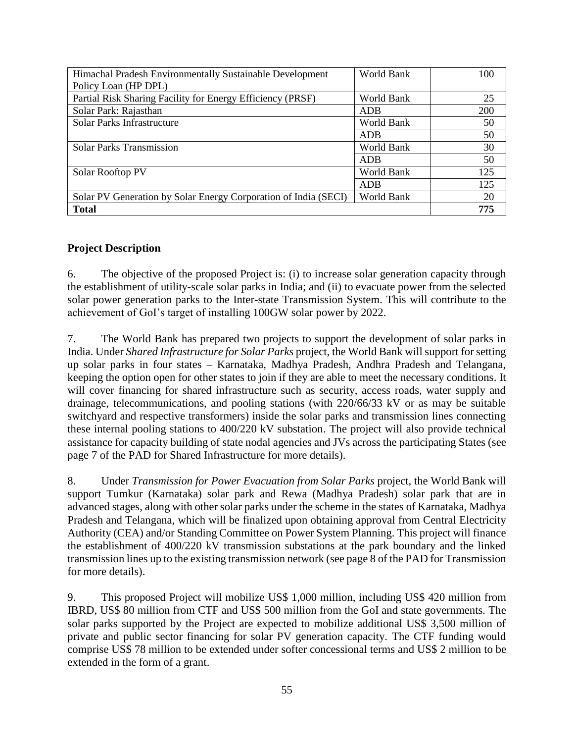| Himachal Pradesh Environmentally Sustainable Development        | World Bank | 100 |
|-----------------------------------------------------------------|------------|-----|
| Policy Loan (HP DPL)                                            |            |     |
| Partial Risk Sharing Facility for Energy Efficiency (PRSF)      | World Bank | 25  |
| Solar Park: Rajasthan                                           | ADB        | 200 |
| <b>Solar Parks Infrastructure</b>                               | World Bank | 50  |
|                                                                 | ADB        | 50  |
| <b>Solar Parks Transmission</b>                                 | World Bank | 30  |
|                                                                 | ADB        | 50  |
| Solar Rooftop PV                                                | World Bank | 125 |
|                                                                 | <b>ADB</b> | 125 |
| Solar PV Generation by Solar Energy Corporation of India (SECI) | World Bank | 20  |
| <b>Total</b>                                                    |            | 775 |

# **Project Description**

6. The objective of the proposed Project is: (i) to increase solar generation capacity through the establishment of utility-scale solar parks in India; and (ii) to evacuate power from the selected solar power generation parks to the Inter-state Transmission System. This will contribute to the achievement of GoI's target of installing 100GW solar power by 2022.

7. The World Bank has prepared two projects to support the development of solar parks in India. Under *Shared Infrastructure for Solar Parks* project, the World Bank will support for setting up solar parks in four states – Karnataka, Madhya Pradesh, Andhra Pradesh and Telangana, keeping the option open for other states to join if they are able to meet the necessary conditions. It will cover financing for shared infrastructure such as security, access roads, water supply and drainage, telecommunications, and pooling stations (with 220/66/33 kV or as may be suitable switchyard and respective transformers) inside the solar parks and transmission lines connecting these internal pooling stations to 400/220 kV substation. The project will also provide technical assistance for capacity building of state nodal agencies and JVs across the participating States (see page 7 of the PAD for Shared Infrastructure for more details).

8. Under *Transmission for Power Evacuation from Solar Parks* project, the World Bank will support Tumkur (Karnataka) solar park and Rewa (Madhya Pradesh) solar park that are in advanced stages, along with other solar parks under the scheme in the states of Karnataka, Madhya Pradesh and Telangana, which will be finalized upon obtaining approval from Central Electricity Authority (CEA) and/or Standing Committee on Power System Planning. This project will finance the establishment of 400/220 kV transmission substations at the park boundary and the linked transmission lines up to the existing transmission network (see page 8 of the PAD for Transmission for more details).

9. This proposed Project will mobilize US\$ 1,000 million, including US\$ 420 million from IBRD, US\$ 80 million from CTF and US\$ 500 million from the GoI and state governments. The solar parks supported by the Project are expected to mobilize additional US\$ 3,500 million of private and public sector financing for solar PV generation capacity. The CTF funding would comprise US\$ 78 million to be extended under softer concessional terms and US\$ 2 million to be extended in the form of a grant.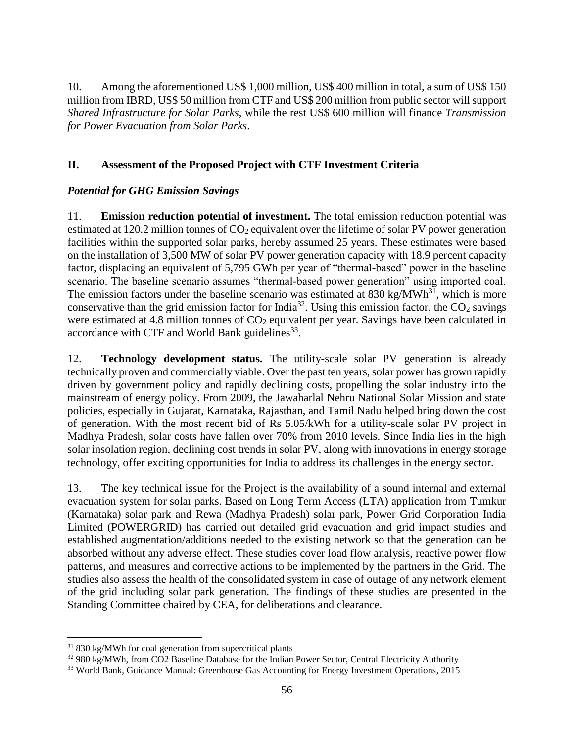10. Among the aforementioned US\$ 1,000 million, US\$ 400 million in total, a sum of US\$ 150 million from IBRD, US\$ 50 million from CTF and US\$ 200 million from public sector will support *Shared Infrastructure for Solar Parks*, while the rest US\$ 600 million will finance *Transmission for Power Evacuation from Solar Parks*.

# **II. Assessment of the Proposed Project with CTF Investment Criteria**

# *Potential for GHG Emission Savings*

11. **Emission reduction potential of investment.** The total emission reduction potential was estimated at 120.2 million tonnes of CO<sub>2</sub> equivalent over the lifetime of solar PV power generation facilities within the supported solar parks, hereby assumed 25 years. These estimates were based on the installation of 3,500 MW of solar PV power generation capacity with 18.9 percent capacity factor, displacing an equivalent of 5,795 GWh per year of "thermal-based" power in the baseline scenario. The baseline scenario assumes "thermal-based power generation" using imported coal. The emission factors under the baseline scenario was estimated at  $830 \text{ kg} / \text{MWh}^{31}$ , which is more conservative than the grid emission factor for India<sup>32</sup>. Using this emission factor, the  $CO<sub>2</sub>$  savings were estimated at 4.8 million tonnes of CO<sub>2</sub> equivalent per year. Savings have been calculated in accordance with CTF and World Bank guidelines<sup>33</sup>.

12. **Technology development status.** The utility-scale solar PV generation is already technically proven and commercially viable. Over the past ten years, solar power has grown rapidly driven by government policy and rapidly declining costs, propelling the solar industry into the mainstream of energy policy. From 2009, the Jawaharlal Nehru National Solar Mission and state policies, especially in Gujarat, Karnataka, Rajasthan, and Tamil Nadu helped bring down the cost of generation. With the most recent bid of Rs 5.05/kWh for a utility-scale solar PV project in Madhya Pradesh, solar costs have fallen over 70% from 2010 levels. Since India lies in the high solar insolation region, declining cost trends in solar PV, along with innovations in energy storage technology, offer exciting opportunities for India to address its challenges in the energy sector.

13. The key technical issue for the Project is the availability of a sound internal and external evacuation system for solar parks. Based on Long Term Access (LTA) application from Tumkur (Karnataka) solar park and Rewa (Madhya Pradesh) solar park, Power Grid Corporation India Limited (POWERGRID) has carried out detailed grid evacuation and grid impact studies and established augmentation/additions needed to the existing network so that the generation can be absorbed without any adverse effect. These studies cover load flow analysis, reactive power flow patterns, and measures and corrective actions to be implemented by the partners in the Grid. The studies also assess the health of the consolidated system in case of outage of any network element of the grid including solar park generation. The findings of these studies are presented in the Standing Committee chaired by CEA, for deliberations and clearance.

<sup>&</sup>lt;sup>31</sup> 830 kg/MWh for coal generation from supercritical plants

<sup>&</sup>lt;sup>32</sup> 980 kg/MWh, from CO2 Baseline Database for the Indian Power Sector, Central Electricity Authority

<sup>&</sup>lt;sup>33</sup> World Bank, Guidance Manual: Greenhouse Gas Accounting for Energy Investment Operations, 2015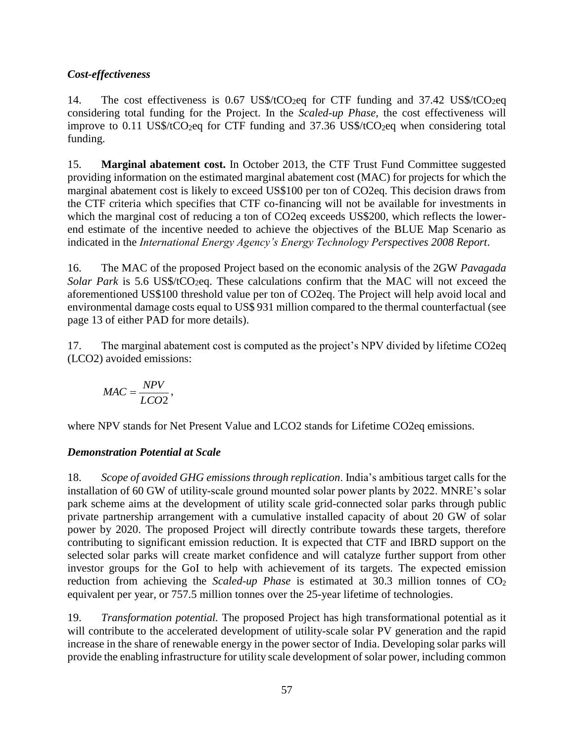# *Cost-effectiveness*

14. The cost effectiveness is 0.67 US\$/tCO<sub>2</sub>eq for CTF funding and 37.42 US\$/tCO<sub>2</sub>eq considering total funding for the Project. In the *Scaled-up Phase*, the cost effectiveness will improve to 0.11 US\$/tCO<sub>2</sub>eq for CTF funding and 37.36 US\$/tCO<sub>2</sub>eq when considering total funding.

15. **Marginal abatement cost.** In October 2013, the CTF Trust Fund Committee suggested providing information on the estimated marginal abatement cost (MAC) for projects for which the marginal abatement cost is likely to exceed US\$100 per ton of CO2eq. This decision draws from the CTF criteria which specifies that CTF co-financing will not be available for investments in which the marginal cost of reducing a ton of CO2eq exceeds US\$200, which reflects the lowerend estimate of the incentive needed to achieve the objectives of the BLUE Map Scenario as indicated in the *International Energy Agency's Energy Technology Perspectives 2008 Report*.

16. The MAC of the proposed Project based on the economic analysis of the 2GW *Pavagada Solar Park* is 5.6 US\$/tCO<sub>2</sub>eq. These calculations confirm that the MAC will not exceed the aforementioned US\$100 threshold value per ton of CO2eq. The Project will help avoid local and environmental damage costs equal to US\$ 931 million compared to the thermal counterfactual (see page 13 of either PAD for more details).

17. The marginal abatement cost is computed as the project's NPV divided by lifetime CO2eq (LCO2) avoided emissions:

$$
MAC = \frac{NPV}{LCO2},
$$

where NPV stands for Net Present Value and LCO2 stands for Lifetime CO2eq emissions.

# *Demonstration Potential at Scale*

18. *Scope of avoided GHG emissions through replication*. India's ambitious target calls for the installation of 60 GW of utility-scale ground mounted solar power plants by 2022. MNRE's solar park scheme aims at the development of utility scale grid-connected solar parks through public private partnership arrangement with a cumulative installed capacity of about 20 GW of solar power by 2020. The proposed Project will directly contribute towards these targets, therefore contributing to significant emission reduction. It is expected that CTF and IBRD support on the selected solar parks will create market confidence and will catalyze further support from other investor groups for the GoI to help with achievement of its targets. The expected emission reduction from achieving the *Scaled-up Phase* is estimated at 30.3 million tonnes of CO<sub>2</sub> equivalent per year, or 757.5 million tonnes over the 25-year lifetime of technologies.

19. *Transformation potential.* The proposed Project has high transformational potential as it will contribute to the accelerated development of utility-scale solar PV generation and the rapid increase in the share of renewable energy in the power sector of India. Developing solar parks will provide the enabling infrastructure for utility scale development of solar power, including common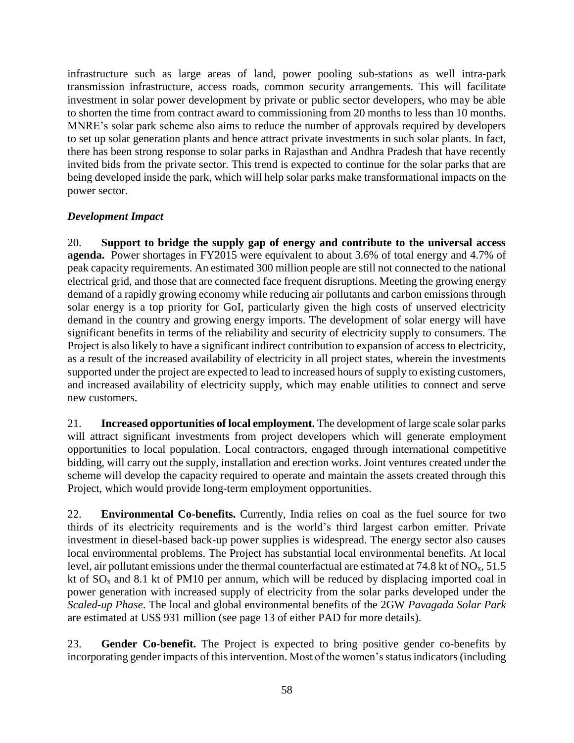infrastructure such as large areas of land, power pooling sub-stations as well intra-park transmission infrastructure, access roads, common security arrangements. This will facilitate investment in solar power development by private or public sector developers, who may be able to shorten the time from contract award to commissioning from 20 months to less than 10 months. MNRE's solar park scheme also aims to reduce the number of approvals required by developers to set up solar generation plants and hence attract private investments in such solar plants. In fact, there has been strong response to solar parks in Rajasthan and Andhra Pradesh that have recently invited bids from the private sector. This trend is expected to continue for the solar parks that are being developed inside the park, which will help solar parks make transformational impacts on the power sector.

# *Development Impact*

20. **Support to bridge the supply gap of energy and contribute to the universal access agenda.** Power shortages in FY2015 were equivalent to about 3.6% of total energy and 4.7% of peak capacity requirements. An estimated 300 million people are still not connected to the national electrical grid, and those that are connected face frequent disruptions. Meeting the growing energy demand of a rapidly growing economy while reducing air pollutants and carbon emissions through solar energy is a top priority for GoI, particularly given the high costs of unserved electricity demand in the country and growing energy imports. The development of solar energy will have significant benefits in terms of the reliability and security of electricity supply to consumers. The Project is also likely to have a significant indirect contribution to expansion of access to electricity, as a result of the increased availability of electricity in all project states, wherein the investments supported under the project are expected to lead to increased hours of supply to existing customers, and increased availability of electricity supply, which may enable utilities to connect and serve new customers.

21. **Increased opportunities of local employment.** The development of large scale solar parks will attract significant investments from project developers which will generate employment opportunities to local population. Local contractors, engaged through international competitive bidding, will carry out the supply, installation and erection works. Joint ventures created under the scheme will develop the capacity required to operate and maintain the assets created through this Project, which would provide long-term employment opportunities.

22. **Environmental Co-benefits.** Currently, India relies on coal as the fuel source for two thirds of its electricity requirements and is the world's third largest carbon emitter. Private investment in diesel-based back-up power supplies is widespread. The energy sector also causes local environmental problems. The Project has substantial local environmental benefits. At local level, air pollutant emissions under the thermal counterfactual are estimated at 74.8 kt of  $NO<sub>x</sub>$ , 51.5 kt of  $SO_x$  and 8.1 kt of PM10 per annum, which will be reduced by displacing imported coal in power generation with increased supply of electricity from the solar parks developed under the *Scaled-up Phase*. The local and global environmental benefits of the 2GW *Pavagada Solar Park*  are estimated at US\$ 931 million (see page 13 of either PAD for more details).

23. **Gender Co-benefit.** The Project is expected to bring positive gender co-benefits by incorporating gender impacts of this intervention. Most of the women's status indicators (including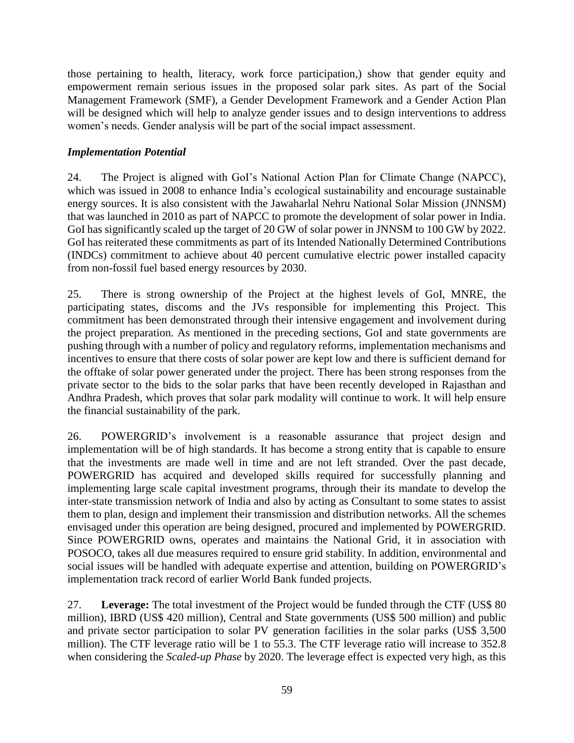those pertaining to health, literacy, work force participation,) show that gender equity and empowerment remain serious issues in the proposed solar park sites. As part of the Social Management Framework (SMF), a Gender Development Framework and a Gender Action Plan will be designed which will help to analyze gender issues and to design interventions to address women's needs. Gender analysis will be part of the social impact assessment.

### *Implementation Potential*

24. The Project is aligned with GoI's National Action Plan for Climate Change (NAPCC), which was issued in 2008 to enhance India's ecological sustainability and encourage sustainable energy sources. It is also consistent with the Jawaharlal Nehru National Solar Mission (JNNSM) that was launched in 2010 as part of NAPCC to promote the development of solar power in India. GoI has significantly scaled up the target of 20 GW of solar power in JNNSM to 100 GW by 2022. GoI has reiterated these commitments as part of its Intended Nationally Determined Contributions (INDCs) commitment to achieve about 40 percent cumulative electric power installed capacity from non-fossil fuel based energy resources by 2030.

25. There is strong ownership of the Project at the highest levels of GoI, MNRE, the participating states, discoms and the JVs responsible for implementing this Project. This commitment has been demonstrated through their intensive engagement and involvement during the project preparation. As mentioned in the preceding sections, GoI and state governments are pushing through with a number of policy and regulatory reforms, implementation mechanisms and incentives to ensure that there costs of solar power are kept low and there is sufficient demand for the offtake of solar power generated under the project. There has been strong responses from the private sector to the bids to the solar parks that have been recently developed in Rajasthan and Andhra Pradesh, which proves that solar park modality will continue to work. It will help ensure the financial sustainability of the park.

26. POWERGRID's involvement is a reasonable assurance that project design and implementation will be of high standards. It has become a strong entity that is capable to ensure that the investments are made well in time and are not left stranded. Over the past decade, POWERGRID has acquired and developed skills required for successfully planning and implementing large scale capital investment programs, through their its mandate to develop the inter-state transmission network of India and also by acting as Consultant to some states to assist them to plan, design and implement their transmission and distribution networks. All the schemes envisaged under this operation are being designed, procured and implemented by POWERGRID. Since POWERGRID owns, operates and maintains the National Grid, it in association with POSOCO, takes all due measures required to ensure grid stability. In addition, environmental and social issues will be handled with adequate expertise and attention, building on POWERGRID's implementation track record of earlier World Bank funded projects.

27. **Leverage:** The total investment of the Project would be funded through the CTF (US\$ 80 million), IBRD (US\$ 420 million), Central and State governments (US\$ 500 million) and public and private sector participation to solar PV generation facilities in the solar parks (US\$ 3,500 million). The CTF leverage ratio will be 1 to 55.3. The CTF leverage ratio will increase to 352.8 when considering the *Scaled-up Phase* by 2020. The leverage effect is expected very high, as this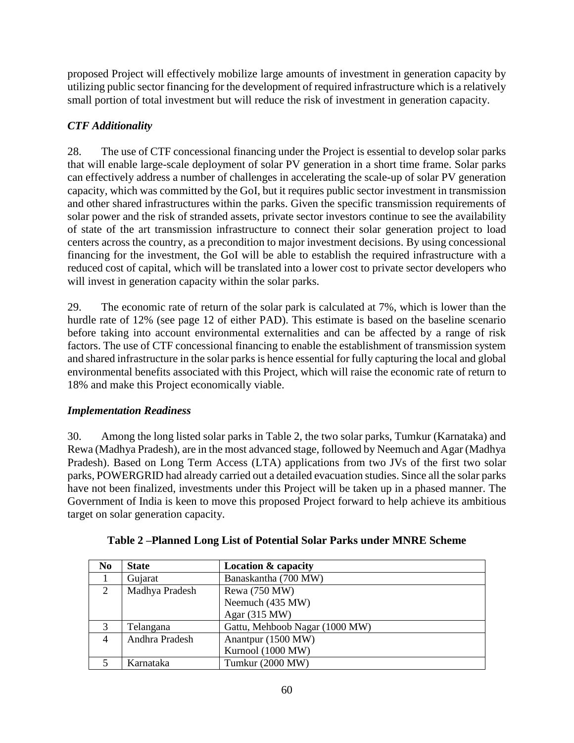proposed Project will effectively mobilize large amounts of investment in generation capacity by utilizing public sector financing for the development of required infrastructure which is a relatively small portion of total investment but will reduce the risk of investment in generation capacity.

# *CTF Additionality*

28. The use of CTF concessional financing under the Project is essential to develop solar parks that will enable large-scale deployment of solar PV generation in a short time frame. Solar parks can effectively address a number of challenges in accelerating the scale-up of solar PV generation capacity, which was committed by the GoI, but it requires public sector investment in transmission and other shared infrastructures within the parks. Given the specific transmission requirements of solar power and the risk of stranded assets, private sector investors continue to see the availability of state of the art transmission infrastructure to connect their solar generation project to load centers across the country, as a precondition to major investment decisions. By using concessional financing for the investment, the GoI will be able to establish the required infrastructure with a reduced cost of capital, which will be translated into a lower cost to private sector developers who will invest in generation capacity within the solar parks.

29. The economic rate of return of the solar park is calculated at 7%, which is lower than the hurdle rate of 12% (see page 12 of either PAD). This estimate is based on the baseline scenario before taking into account environmental externalities and can be affected by a range of risk factors. The use of CTF concessional financing to enable the establishment of transmission system and shared infrastructure in the solar parks is hence essential for fully capturing the local and global environmental benefits associated with this Project, which will raise the economic rate of return to 18% and make this Project economically viable.

### *Implementation Readiness*

30. Among the long listed solar parks in Table 2, the two solar parks, Tumkur (Karnataka) and Rewa (Madhya Pradesh), are in the most advanced stage, followed by Neemuch and Agar (Madhya Pradesh). Based on Long Term Access (LTA) applications from two JVs of the first two solar parks, POWERGRID had already carried out a detailed evacuation studies. Since all the solar parks have not been finalized, investments under this Project will be taken up in a phased manner. The Government of India is keen to move this proposed Project forward to help achieve its ambitious target on solar generation capacity.

| N <sub>0</sub> | <b>State</b>   | <b>Location &amp; capacity</b> |
|----------------|----------------|--------------------------------|
|                | Gujarat        | Banaskantha (700 MW)           |
| 2              | Madhya Pradesh | Rewa (750 MW)                  |
|                |                | Neemuch (435 MW)               |
|                |                | Agar (315 MW)                  |
| 3              | Telangana      | Gattu, Mehboob Nagar (1000 MW) |
| $\overline{4}$ | Andhra Pradesh | Anantpur (1500 MW)             |
|                |                | Kurnool (1000 MW)              |
|                | Karnataka      | Tumkur (2000 MW)               |

|  | Table 2 –Planned Long List of Potential Solar Parks under MNRE Scheme |
|--|-----------------------------------------------------------------------|
|  |                                                                       |